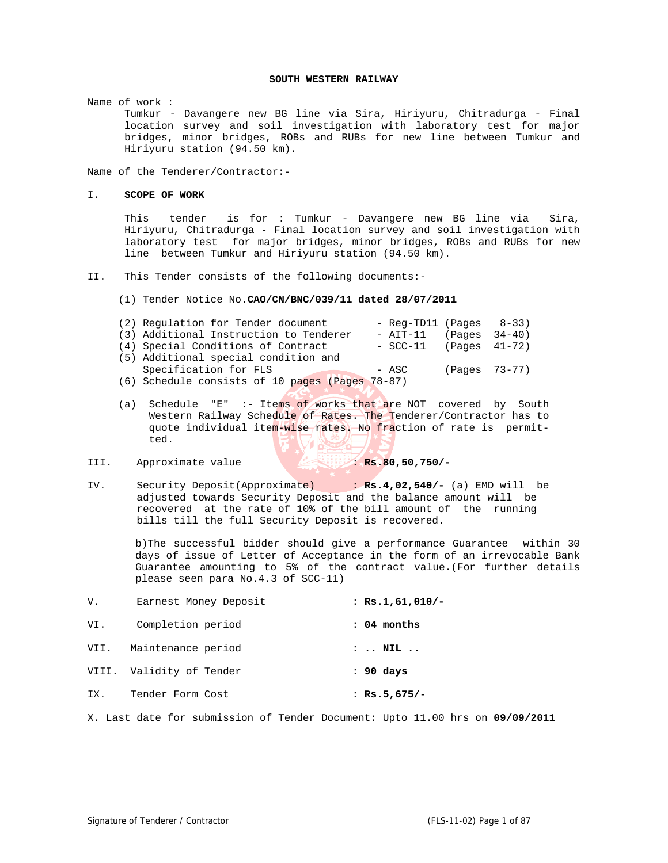#### **SOUTH WESTERN RAILWAY**

Name of work :

Tumkur - Davangere new BG line via Sira, Hiriyuru, Chitradurga - Final location survey and soil investigation with laboratory test for major bridges, minor bridges, ROBs and RUBs for new line between Tumkur and Hiriyuru station (94.50 km).

Name of the Tenderer/Contractor:-

#### I. **SCOPE OF WORK**

This tender is for : Tumkur - Davangere new BG line via Sira, Hiriyuru, Chitradurga - Final location survey and soil investigation with laboratory test for major bridges, minor bridges, ROBs and RUBs for new line between Tumkur and Hiriyuru station (94.50 km).

II. This Tender consists of the following documents:-

### (1) Tender Notice No.**CAO/CN/BNC/039/11 dated 28/07/2011**

| (2) Regulation for Tender document                | - $Req-TD11 (Pages 8-33)$ |                 |  |
|---------------------------------------------------|---------------------------|-----------------|--|
| (3) Additional Instruction to Tenderer            | $-$ AIT-11 (Pages 34-40)  |                 |  |
| (4) Special Conditions of Contract                | $-$ SCC-11 (Pages 41-72)  |                 |  |
| (5) Additional special condition and              |                           |                 |  |
| Specification for FLS                             | - ASC                     | $(Paqes 73-77)$ |  |
| $(6)$ Schedule consists of 10 pages (Pages 78-87) |                           |                 |  |

- (a) Schedule "E" :- Items of works that are NOT covered by South Western Railway Schedule of Rates. The Tenderer/Contractor has to quote individual item-wise rates. No fraction of rate is permit ted.
- III. Approximate value : **Rs.80,50,750/-**
- IV. Security Deposit(Approximate) : **Rs.4,02,540/-** (a) EMD will be adjusted towards Security Deposit and the balance amount will be recovered at the rate of 10% of the bill amount of the running bills till the full Security Deposit is recovered.

b)The successful bidder should give a performance Guarantee within 30 days of issue of Letter of Acceptance in the form of an irrevocable Bank Guarantee amounting to 5% of the contract value.(For further details please seen para No.4.3 of SCC-11)

| V.   | Earnest Money Deposit    | : $Rs.1,61,010/-$ |
|------|--------------------------|-------------------|
| VI.  | Completion period        | $: 04$ months     |
| VII. | Maintenance period       | $\vdots$ NIL      |
|      | VIII. Validity of Tender | : 90 days         |
| IX.  | Tender Form Cost         | : $Rs.5,675/-$    |

X. Last date for submission of Tender Document: Upto 11.00 hrs on **09/09/2011**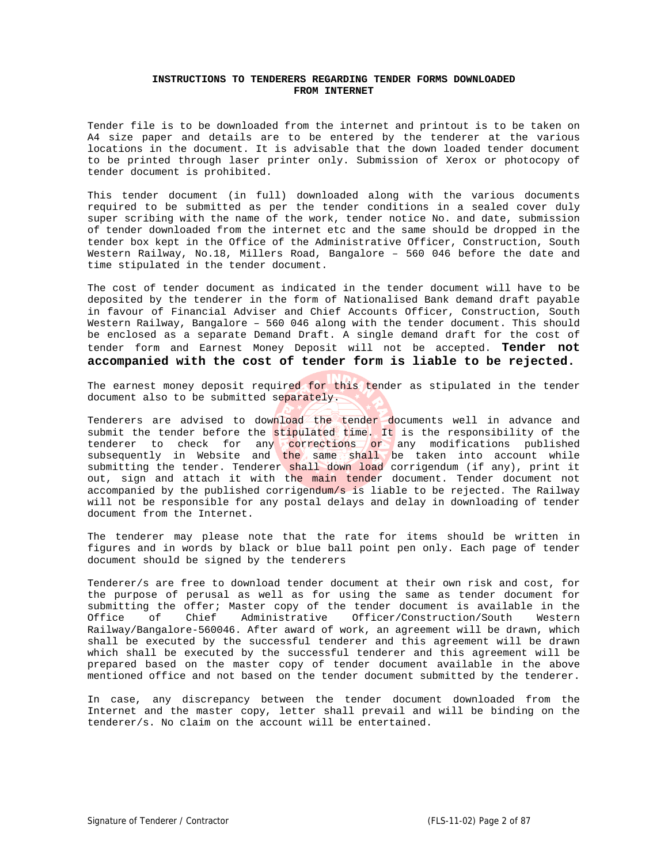### **INSTRUCTIONS TO TENDERERS REGARDING TENDER FORMS DOWNLOADED FROM INTERNET**

Tender file is to be downloaded from the internet and printout is to be taken on A4 size paper and details are to be entered by the tenderer at the various locations in the document. It is advisable that the down loaded tender document to be printed through laser printer only. Submission of Xerox or photocopy of tender document is prohibited.

This tender document (in full) downloaded along with the various documents required to be submitted as per the tender conditions in a sealed cover duly super scribing with the name of the work, tender notice No. and date, submission of tender downloaded from the internet etc and the same should be dropped in the tender box kept in the Office of the Administrative Officer, Construction, South Western Railway, No.18, Millers Road, Bangalore – 560 046 before the date and time stipulated in the tender document.

The cost of tender document as indicated in the tender document will have to be deposited by the tenderer in the form of Nationalised Bank demand draft payable in favour of Financial Adviser and Chief Accounts Officer, Construction, South Western Railway, Bangalore – 560 046 along with the tender document. This should be enclosed as a separate Demand Draft. A single demand draft for the cost of tender form and Earnest Money Deposit will not be accepted. **Tender not accompanied with the cost of tender form is liable to be rejected.** 

The earnest money deposit required for this tender as stipulated in the tender document also to be submitted separately.

Tenderers are advised to download the tender documents well in advance and submit the tender before the stipulated time. It is the responsibility of the tenderer to check for any corrections or any modifications published subsequently in Website and the same shall be taken into account while submitting the tender. Tenderer shall down load corrigendum (if any), print it out, sign and attach it with the main tender document. Tender document not accompanied by the published corrigendum/s is liable to be rejected. The Railway will not be responsible for any postal delays and delay in downloading of tender document from the Internet.

The tenderer may please note that the rate for items should be written in figures and in words by black or blue ball point pen only. Each page of tender document should be signed by the tenderers

Tenderer/s are free to download tender document at their own risk and cost, for the purpose of perusal as well as for using the same as tender document for submitting the offer; Master copy of the tender document is available in the Office of Chief Administrative Officer/Construction/South Western Railway/Bangalore-560046. After award of work, an agreement will be drawn, which shall be executed by the successful tenderer and this agreement will be drawn which shall be executed by the successful tenderer and this agreement will be prepared based on the master copy of tender document available in the above mentioned office and not based on the tender document submitted by the tenderer.

In case, any discrepancy between the tender document downloaded from the Internet and the master copy, letter shall prevail and will be binding on the tenderer/s. No claim on the account will be entertained.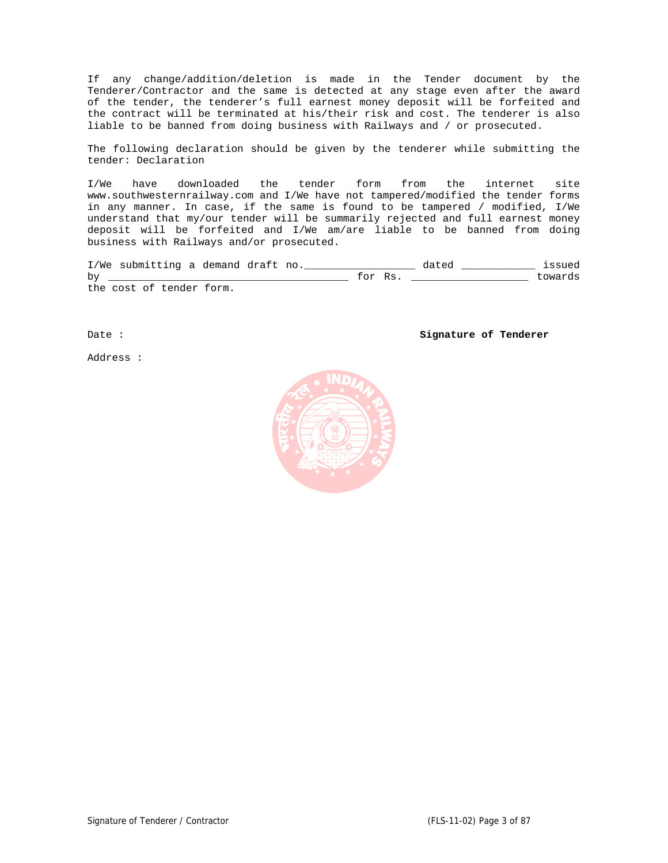If any change/addition/deletion is made in the Tender document by the Tenderer/Contractor and the same is detected at any stage even after the award of the tender, the tenderer's full earnest money deposit will be forfeited and the contract will be terminated at his/their risk and cost. The tenderer is also liable to be banned from doing business with Railways and / or prosecuted.

The following declaration should be given by the tenderer while submitting the tender: Declaration

I/We have downloaded the tender form from the internet site www.southwesternrailway.com and I/We have not tampered/modified the tender forms in any manner. In case, if the same is found to be tampered / modified, I/We understand that my/our tender will be summarily rejected and full earnest money deposit will be forfeited and I/We am/are liable to be banned from doing business with Railways and/or prosecuted.

I/We submitting a demand draft no.\_\_\_\_\_\_\_\_\_\_\_\_\_\_\_\_\_\_ dated \_\_\_\_\_\_\_\_\_\_\_\_ issued by \_\_\_\_\_\_\_\_\_\_\_\_\_\_\_\_\_\_\_\_\_\_\_\_\_\_\_\_\_\_\_\_\_\_\_\_\_\_\_ for Rs. \_\_\_\_\_\_\_\_\_\_\_\_\_\_\_\_\_\_\_ towards the cost of tender form.

Address :

Date : **Signature of Tenderer** 

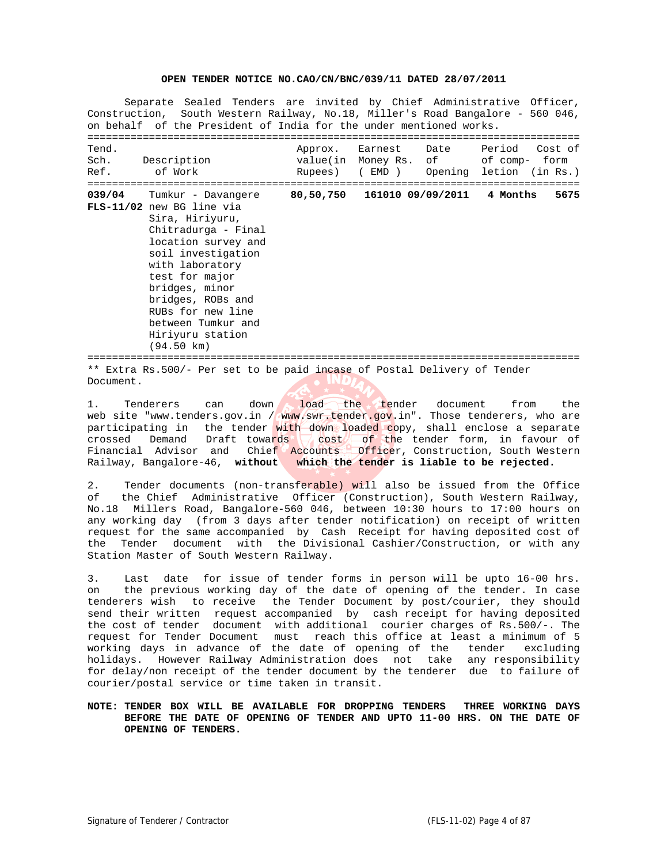#### **OPEN TENDER NOTICE NO.CAO/CN/BNC/039/11 DATED 28/07/2011**

Separate Sealed Tenders are invited by Chief Administrative Officer, Construction, South Western Railway, No.18, Miller's Road Bangalore - 560 046, on behalf of the President of India for the under mentioned works. ================================================================================ Tend.<br>
Tend.<br>
Sch. Possarintion and Money Paper of the Second Cost of the Period Cost of the Period Cost of the Period Cost Sch. Description value(in Money Rs. of of comp- form Ref. of Work Rupees) ( EMD ) Opening letion (in Rs.) ================================================================================ **039/04** Tumkur - Davangere **80,50,750 161010 09/09/2011 4 Months 5675 FLS-11/02** new BG line via Sira, Hiriyuru, Chitradurga - Final location survey and soil investigation with laboratory test for major bridges, minor bridges, ROBs and RUBs for new line between Tumkur and Hiriyuru station (94.50 km) ================================================================================

\*\* Extra Rs.500/- Per set to be paid incase of Postal Delivery of Tender Document.

1. Tenderers can down load the tender document from the web site "www.tenders.gov.in / www.swr.tender.gov.in". Those tenderers, who are participating in the tender with down loaded copy, shall enclose a separate crossed Demand Draft towards  $\bigvee$  cost of the tender form, in favour of Financial Advisor and Chief Accounts Officer, Construction, South Western Railway, Bangalore-46, **without which the tender is liable to be rejected.**

2. Tender documents (non-transferable) will also be issued from the Office of the Chief Administrative Officer (Construction), South Western Railway, No.18 Millers Road, Bangalore-560 046, between 10:30 hours to 17:00 hours on any working day (from 3 days after tender notification) on receipt of written request for the same accompanied by Cash Receipt for having deposited cost of the Tender document with the Divisional Cashier/Construction, or with any Station Master of South Western Railway.

3. Last date for issue of tender forms in person will be upto 16-00 hrs. on the previous working day of the date of opening of the tender. In case tenderers wish to receive the Tender Document by post/courier, they should send their written request accompanied by cash receipt for having deposited the cost of tender document with additional courier charges of Rs.500/-. The request for Tender Document must reach this office at least a minimum of 5 working days in advance of the date of opening of the tender excluding holidays. However Railway Administration does not take any responsibility for delay/non receipt of the tender document by the tenderer due to failure of courier/postal service or time taken in transit.

### **NOTE: TENDER BOX WILL BE AVAILABLE FOR DROPPING TENDERS THREE WORKING DAYS BEFORE THE DATE OF OPENING OF TENDER AND UPTO 11-00 HRS. ON THE DATE OF OPENING OF TENDERS.**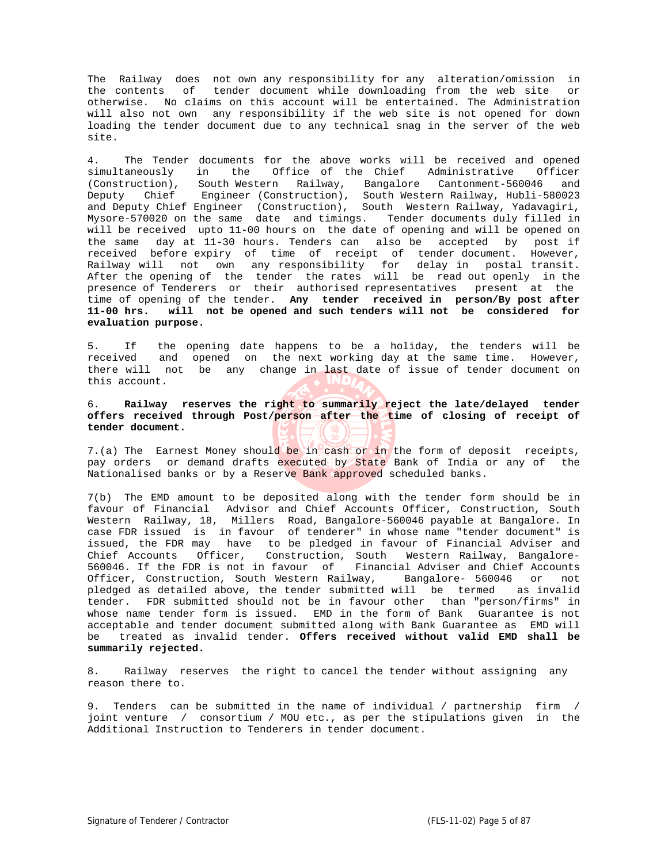The Railway does not own any responsibility for any alteration/omission in the contents of tender document while downloading from the web site or otherwise. No claims on this account will be entertained. The Administration will also not own any responsibility if the web site is not opened for down loading the tender document due to any technical snag in the server of the web site.

4. The Tender documents for the above works will be received and opened simultaneously in the Office of the Chief Administrative Officer (Construction), South Western Railway, Bangalore Cantonment-560046 and Deputy Chief Engineer (Construction), South Western Railway, Hubli-580023 and Deputy Chief Engineer (Construction), South Western Railway, Yadavagiri, Mysore-570020 on the same date and timings. Tender documents duly filled in will be received upto 11-00 hours on the date of opening and will be opened on the same day at 11-30 hours. Tenders can also be accepted by post if received before expiry of time of receipt of tender document. However, Railway will not own any responsibility for delay in postal transit. After the opening of the tender the rates will be read out openly in the presence of Tenderers or their authorised representatives present at the time of opening of the tender. **Any tender received in person/By post after 11-00 hrs. will not be opened and such tenders will not be considered for evaluation purpose.**

5. If the opening date happens to be a holiday, the tenders will be received and opened on the next working day at the same time. However, there will not be any change in last date of issue of tender document on this account.

### 6. **Railway reserves the right to summarily reject the late/delayed tender offers received through Post/person after the time of closing of receipt of tender document.**

7.(a) The Earnest Money should be in cash or in the form of deposit receipts, pay orders or demand drafts executed by State Bank of India or any of the Nationalised banks or by a Reserve Bank approved scheduled banks.

7(b) The EMD amount to be deposited along with the tender form should be in favour of Financial Advisor and Chief Accounts Officer, Construction, South Western Railway, 18, Millers Road, Bangalore-560046 payable at Bangalore. In case FDR issued is in favour of tenderer" in whose name "tender document" is issued, the FDR may have to be pledged in favour of Financial Adviser and Chief Accounts Officer, Construction, South Western Railway, Bangalore-560046. If the FDR is not in favour of Financial Adviser and Chief Accounts Officer, Construction, South Western Railway, Bangalore- 560046 or not pledged as detailed above, the tender submitted will be termed as invalid tender. FDR submitted should not be in favour other than "person/firms" in whose name tender form is issued. EMD in the form of Bank Guarantee is not acceptable and tender document submitted along with Bank Guarantee as EMD will be treated as invalid tender. **Offers received without valid EMD shall be summarily rejected.**

8. Railway reserves the right to cancel the tender without assigning any reason there to.

9. Tenders can be submitted in the name of individual / partnership firm / joint venture / consortium / MOU etc., as per the stipulations given in the Additional Instruction to Tenderers in tender document.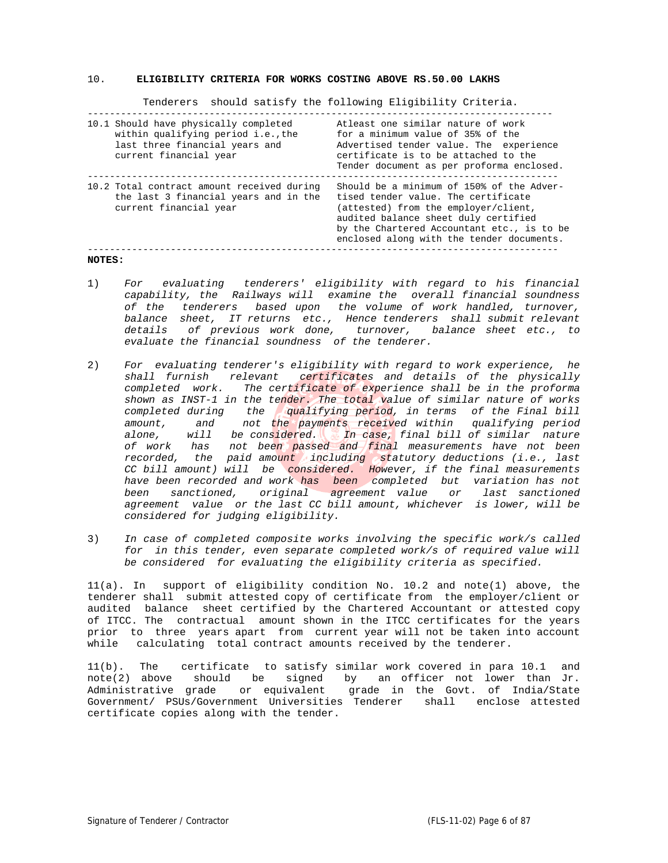#### 10. **ELIGIBILITY CRITERIA FOR WORKS COSTING ABOVE RS.50.00 LAKHS**

Tenderers should satisfy the following Eligibility Criteria.

| 10.1 Should have physically completed<br>within qualifying period i.e., the<br>last three financial years and<br>current financial year | Atleast one similar nature of work<br>for a minimum value of 35% of the<br>Advertised tender value. The experience<br>certificate is to be attached to the<br>Tender document as per proforma enclosed.                                                     |
|-----------------------------------------------------------------------------------------------------------------------------------------|-------------------------------------------------------------------------------------------------------------------------------------------------------------------------------------------------------------------------------------------------------------|
| 10.2 Total contract amount received during<br>the last 3 financial years and in the<br>current financial year                           | Should be a minimum of 150% of the Adver-<br>tised tender value. The certificate<br>(attested) from the employer/client,<br>audited balance sheet duly certified<br>by the Chartered Accountant etc., is to be<br>enclosed along with the tender documents. |

#### **NOTES:**

- 1) *For evaluating tenderers' eligibility with regard to his financial capability, the Railways will examine the overall financial soundness of the tenderers based upon the volume of work handled, turnover, balance sheet, IT returns etc., Hence tenderers shall submit relevant details of previous work done, turnover, balance sheet etc., to evaluate the financial soundness of the tenderer.*
- 2) *For evaluating tenderer's eligibility with regard to work experience, he shall furnish relevant certificates and details of the physically completed work. The certificate of experience shall be in the proforma shown as INST-1 in the tender. The total value of similar nature of works completed during the qualifying period, in terms of the Final bill amount, and not the payments received within qualifying period alone, will be considered. In case, final bill of similar nature of work has not been passed and final measurements have not been recorded, the paid amount including statutory deductions (i.e., last CC bill amount) will be considered. However, if the final measurements have been recorded and work has been completed but variation has not been sanctioned, original agreement value or last sanctioned agreement value or the last CC bill amount, whichever is lower, will be considered for judging eligibility.*
- 3) *In case of completed composite works involving the specific work/s called for in this tender, even separate completed work/s of required value will be considered for evaluating the eligibility criteria as specified.*

11(a). In support of eligibility condition No. 10.2 and note(1) above, the tenderer shall submit attested copy of certificate from the employer/client or audited balance sheet certified by the Chartered Accountant or attested copy of ITCC. The contractual amount shown in the ITCC certificates for the years prior to three years apart from current year will not be taken into account while calculating total contract amounts received by the tenderer.

11(b). The certificate to satisfy similar work covered in para 10.1 and note(2) above should be signed by an officer not lower than Jr. Administrative grade or equivalent grade in the Govt. of India/State Government/ PSUs/Government Universities Tenderer shall enclose attested certificate copies along with the tender.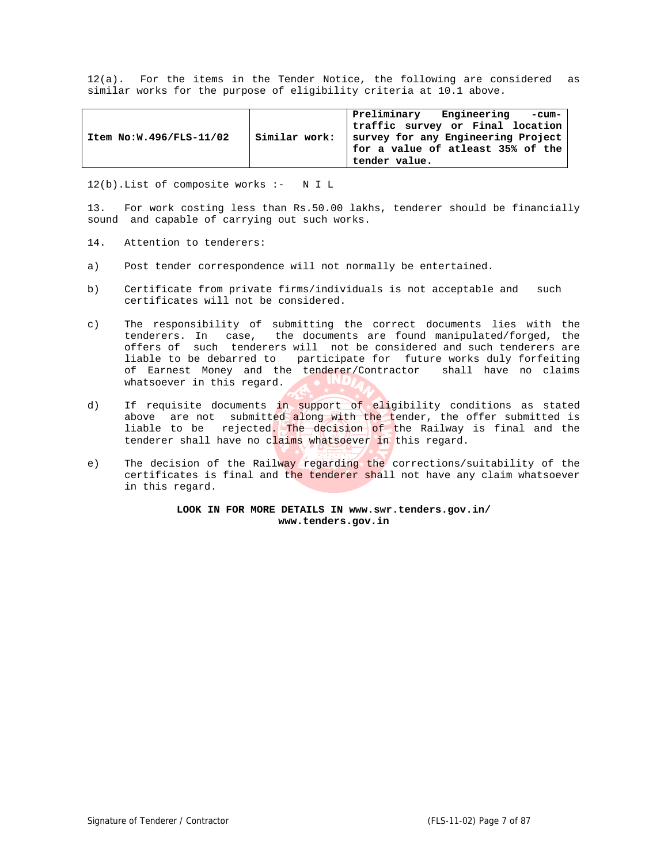12(a). For the items in the Tender Notice, the following are considered as similar works for the purpose of eligibility criteria at 10.1 above.

|                           |               | Engineering<br>Preliminary<br>$-cum-$ |
|---------------------------|---------------|---------------------------------------|
|                           |               | traffic survey or Final location      |
| Item $No:W.496/FLS-11/02$ | Similar work: | survey for any Engineering Project    |
|                           |               | for a value of atleast 35% of the     |
|                           |               | tender value.                         |

12(b).List of composite works :- N I L

13. For work costing less than Rs.50.00 lakhs, tenderer should be financially sound and capable of carrying out such works.

- 14. Attention to tenderers:
- a) Post tender correspondence will not normally be entertained.
- b) Certificate from private firms/individuals is not acceptable and such certificates will not be considered.
- c) The responsibility of submitting the correct documents lies with the tenderers. In case, the documents are found manipulated/forged, the offers of such tenderers will not be considered and such tenderers are liable to be debarred to participate for future works duly forfeiting of Earnest Money and the tenderer/Contractor shall have no claims whatsoever in this regard.
- d) If requisite documents in support of eligibility conditions as stated above are not submitted along with the tender, the offer submitted is liable to be rejected. The decision of the Railway is final and the tenderer shall have no claims whatsoever in this regard.
- e) The decision of the Railway regarding the corrections/suitability of the certificates is final and the tenderer shall not have any claim whatsoever in this regard.

**LOOK IN FOR MORE DETAILS IN www.swr.tenders.gov.in/ www.tenders.gov.in**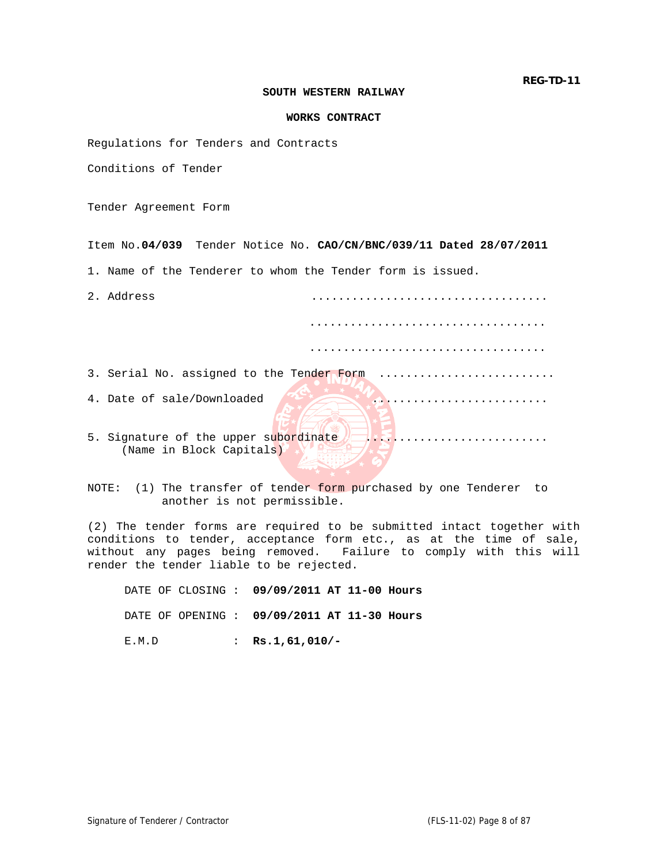#### **SOUTH WESTERN RAILWAY**

#### **WORKS CONTRACT**

Regulations for Tenders and Contracts

Conditions of Tender

Tender Agreement Form

Item No.**04/039** Tender Notice No. **CAO/CN/BNC/039/11 Dated 28/07/2011** 

1. Name of the Tenderer to whom the Tender form is issued.

| 2. Address                                                        |  |  |  |  |  |  |  |  |  |
|-------------------------------------------------------------------|--|--|--|--|--|--|--|--|--|
|                                                                   |  |  |  |  |  |  |  |  |  |
|                                                                   |  |  |  |  |  |  |  |  |  |
| 3. Serial No. assigned to the Tender Form                         |  |  |  |  |  |  |  |  |  |
| 4. Date of sale/Downloaded                                        |  |  |  |  |  |  |  |  |  |
| 5. Signature of the upper subordinate<br>(Name in Block Capitals) |  |  |  |  |  |  |  |  |  |

NOTE: (1) The transfer of tender form purchased by one Tenderer to another is not permissible.

(2) The tender forms are required to be submitted intact together with conditions to tender, acceptance form etc., as at the time of sale, without any pages being removed. Failure to comply with this will render the tender liable to be rejected.

DATE OF CLOSING : **09/09/2011 AT 11-00 Hours** DATE OF OPENING : **09/09/2011 AT 11-30 Hours** E.M.D : **Rs.1,61,010/-**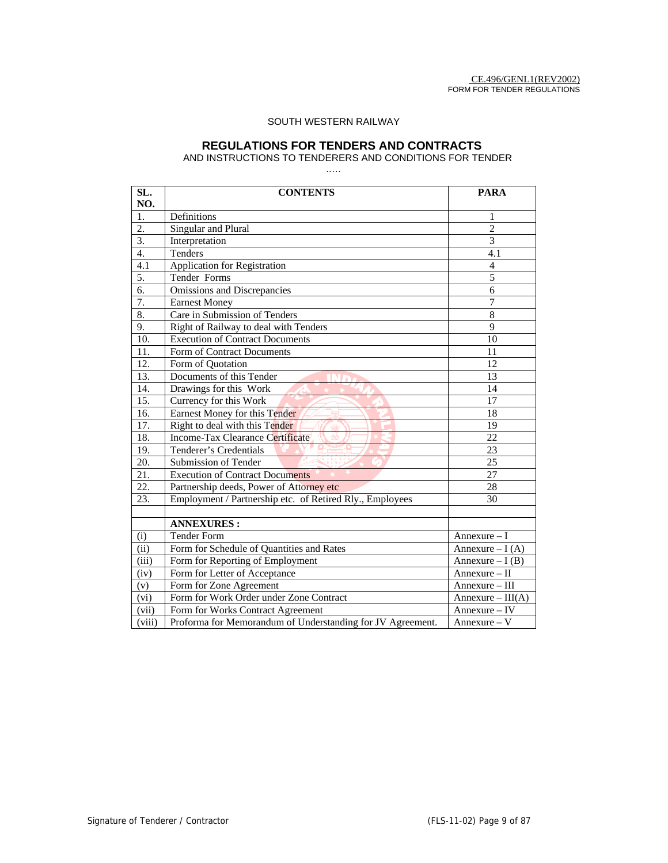CE.496/GENL1(REV2002) FORM FOR TENDER REGULATIONS

# SOUTH WESTERN RAILWAY

..…

# **REGULATIONS FOR TENDERS AND CONTRACTS**

AND INSTRUCTIONS TO TENDERERS AND CONDITIONS FOR TENDER

| SL.<br>NO.                 | <b>CONTENTS</b>                                            | <b>PARA</b>         |
|----------------------------|------------------------------------------------------------|---------------------|
| $\overline{1}$ .           | Definitions                                                | 1                   |
| 2.                         | Singular and Plural                                        | $\overline{2}$      |
| $\overline{3}$ .           | Interpretation                                             | $\overline{3}$      |
| $\overline{4}$ .           | Tenders                                                    | 4.1                 |
| $\overline{4.1}$           | <b>Application for Registration</b>                        | $\overline{4}$      |
| 5.                         | Tender Forms                                               | 5                   |
| 6.                         | Omissions and Discrepancies                                | 6                   |
| 7.                         | <b>Earnest Money</b>                                       | $\overline{7}$      |
| 8.                         | Care in Submission of Tenders                              | 8                   |
| 9.                         | Right of Railway to deal with Tenders                      | 9                   |
| 10.                        | <b>Execution of Contract Documents</b>                     | 10                  |
| 11.                        | Form of Contract Documents                                 | 11                  |
| 12.                        | Form of Quotation                                          | 12                  |
| $\overline{13}$ .          | Documents of this Tender                                   | $\overline{13}$     |
| 14.                        | Drawings for this Work                                     | 14                  |
| $\overline{15}$ .          | Currency for this Work                                     | 17                  |
| 16.                        | Earnest Money for this Tender                              | 18                  |
| 17.                        | Right to deal with this Tender                             | 19                  |
| 18.                        | <b>Income-Tax Clearance Certificate</b>                    | 22                  |
| 19.                        | Tenderer's Credentials                                     | 23                  |
| 20.                        | Submission of Tender                                       | 25                  |
| $\overline{21}$ .          | <b>Execution of Contract Documents</b>                     | $\overline{27}$     |
| $\overline{22}$ .          | Partnership deeds, Power of Attorney etc                   | 28                  |
| 23.                        | Employment / Partnership etc. of Retired Rly., Employees   | 30                  |
|                            |                                                            |                     |
|                            | <b>ANNEXURES:</b>                                          |                     |
| (i)                        | <b>Tender Form</b>                                         | Annexure $-I$       |
| (ii)                       | Form for Schedule of Quantities and Rates                  | Annexure $-I(A)$    |
| (iii)                      | Form for Reporting of Employment                           | Annexure $-I(B)$    |
| (iv)                       | Form for Letter of Acceptance                              | Annexure - II       |
| (v)                        | Form for Zone Agreement                                    | Annexure - III      |
| (vi)                       | Form for Work Order under Zone Contract                    | Annexure – $III(A)$ |
| (vii)                      | Form for Works Contract Agreement                          | Annexure - IV       |
| $\overline{\text{(viii)}}$ | Proforma for Memorandum of Understanding for JV Agreement. | $Annexure - V$      |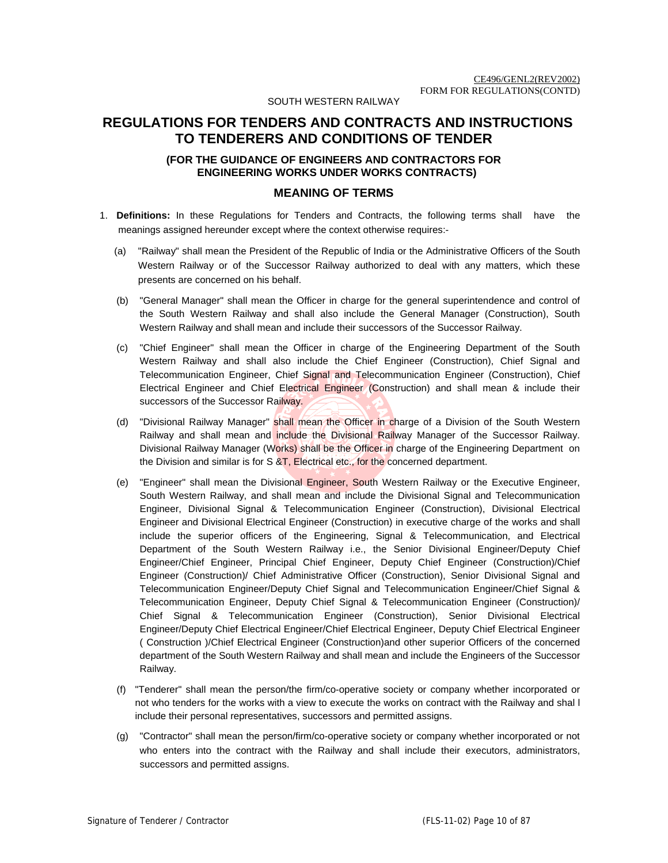SOUTH WESTERN RAILWAY

# **REGULATIONS FOR TENDERS AND CONTRACTS AND INSTRUCTIONS TO TENDERERS AND CONDITIONS OF TENDER**

# **(FOR THE GUIDANCE OF ENGINEERS AND CONTRACTORS FOR ENGINEERING WORKS UNDER WORKS CONTRACTS)**

### **MEANING OF TERMS**

- 1. **Definitions:** In these Regulations for Tenders and Contracts, the following terms shall have the meanings assigned hereunder except where the context otherwise requires:-
	- (a) "Railway" shall mean the President of the Republic of India or the Administrative Officers of the South Western Railway or of the Successor Railway authorized to deal with any matters, which these presents are concerned on his behalf.
	- (b) "General Manager" shall mean the Officer in charge for the general superintendence and control of the South Western Railway and shall also include the General Manager (Construction), South Western Railway and shall mean and include their successors of the Successor Railway.
	- (c) "Chief Engineer" shall mean the Officer in charge of the Engineering Department of the South Western Railway and shall also include the Chief Engineer (Construction), Chief Signal and Telecommunication Engineer, Chief Signal and Telecommunication Engineer (Construction), Chief Electrical Engineer and Chief Electrical Engineer (Construction) and shall mean & include their successors of the Successor Railway.
	- (d) "Divisional Railway Manager" shall mean the Officer in charge of a Division of the South Western Railway and shall mean and include the Divisional Railway Manager of the Successor Railway. Divisional Railway Manager (Works) shall be the Officer in charge of the Engineering Department on the Division and similar is for  $S \& T$ , Electrical etc., for the concerned department.
	- (e) "Engineer" shall mean the Divisional Engineer, South Western Railway or the Executive Engineer, South Western Railway, and shall mean and include the Divisional Signal and Telecommunication Engineer, Divisional Signal & Telecommunication Engineer (Construction), Divisional Electrical Engineer and Divisional Electrical Engineer (Construction) in executive charge of the works and shall include the superior officers of the Engineering, Signal & Telecommunication, and Electrical Department of the South Western Railway i.e., the Senior Divisional Engineer/Deputy Chief Engineer/Chief Engineer, Principal Chief Engineer, Deputy Chief Engineer (Construction)/Chief Engineer (Construction)/ Chief Administrative Officer (Construction), Senior Divisional Signal and Telecommunication Engineer/Deputy Chief Signal and Telecommunication Engineer/Chief Signal & Telecommunication Engineer, Deputy Chief Signal & Telecommunication Engineer (Construction)/ Chief Signal & Telecommunication Engineer (Construction), Senior Divisional Electrical Engineer/Deputy Chief Electrical Engineer/Chief Electrical Engineer, Deputy Chief Electrical Engineer ( Construction )/Chief Electrical Engineer (Construction)and other superior Officers of the concerned department of the South Western Railway and shall mean and include the Engineers of the Successor Railway.
	- (f) "Tenderer" shall mean the person/the firm/co-operative society or company whether incorporated or not who tenders for the works with a view to execute the works on contract with the Railway and shal l include their personal representatives, successors and permitted assigns.
	- (g) "Contractor" shall mean the person/firm/co-operative society or company whether incorporated or not who enters into the contract with the Railway and shall include their executors, administrators, successors and permitted assigns.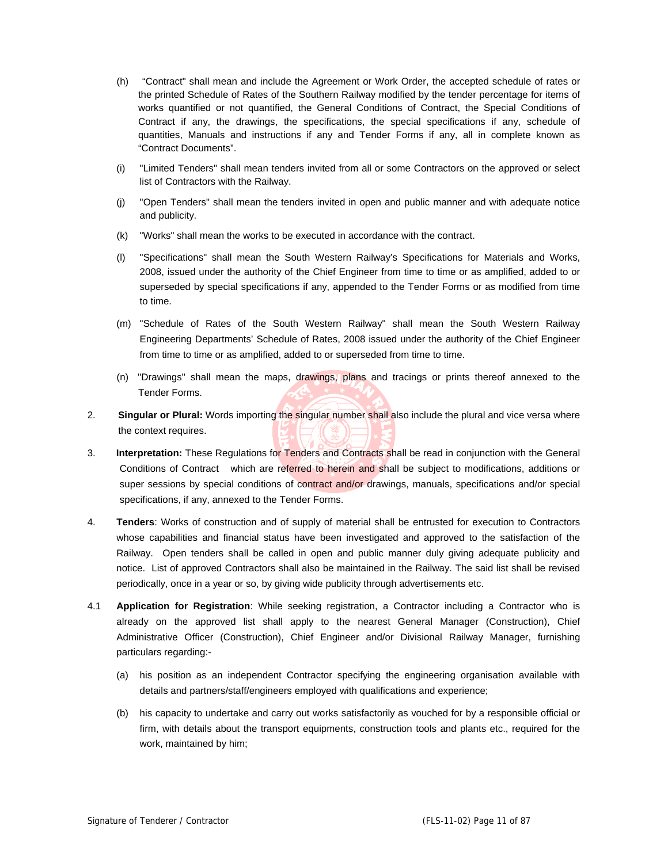- (h) "Contract" shall mean and include the Agreement or Work Order, the accepted schedule of rates or the printed Schedule of Rates of the Southern Railway modified by the tender percentage for items of works quantified or not quantified, the General Conditions of Contract, the Special Conditions of Contract if any, the drawings, the specifications, the special specifications if any, schedule of quantities, Manuals and instructions if any and Tender Forms if any, all in complete known as "Contract Documents".
- (i) "Limited Tenders" shall mean tenders invited from all or some Contractors on the approved or select list of Contractors with the Railway.
- (j) "Open Tenders" shall mean the tenders invited in open and public manner and with adequate notice and publicity.
- (k) "Works" shall mean the works to be executed in accordance with the contract.
- (l) "Specifications" shall mean the South Western Railway's Specifications for Materials and Works, 2008, issued under the authority of the Chief Engineer from time to time or as amplified, added to or superseded by special specifications if any, appended to the Tender Forms or as modified from time to time.
- (m) "Schedule of Rates of the South Western Railway" shall mean the South Western Railway Engineering Departments' Schedule of Rates, 2008 issued under the authority of the Chief Engineer from time to time or as amplified, added to or superseded from time to time.
- (n) "Drawings" shall mean the maps, drawings, plans and tracings or prints thereof annexed to the Tender Forms.
- 2. **Singular or Plural:** Words importing the singular number shall also include the plural and vice versa where the context requires.
- 3. **Interpretation:** These Regulations for Tenders and Contracts shall be read in conjunction with the General Conditions of Contract which are referred to herein and shall be subject to modifications, additions or super sessions by special conditions of contract and/or drawings, manuals, specifications and/or special specifications, if any, annexed to the Tender Forms.
- 4. **Tenders**: Works of construction and of supply of material shall be entrusted for execution to Contractors whose capabilities and financial status have been investigated and approved to the satisfaction of the Railway. Open tenders shall be called in open and public manner duly giving adequate publicity and notice. List of approved Contractors shall also be maintained in the Railway. The said list shall be revised periodically, once in a year or so, by giving wide publicity through advertisements etc.
- 4.1 **Application for Registration**: While seeking registration, a Contractor including a Contractor who is already on the approved list shall apply to the nearest General Manager (Construction), Chief Administrative Officer (Construction), Chief Engineer and/or Divisional Railway Manager, furnishing particulars regarding:-
	- (a) his position as an independent Contractor specifying the engineering organisation available with details and partners/staff/engineers employed with qualifications and experience;
	- (b) his capacity to undertake and carry out works satisfactorily as vouched for by a responsible official or firm, with details about the transport equipments, construction tools and plants etc., required for the work, maintained by him;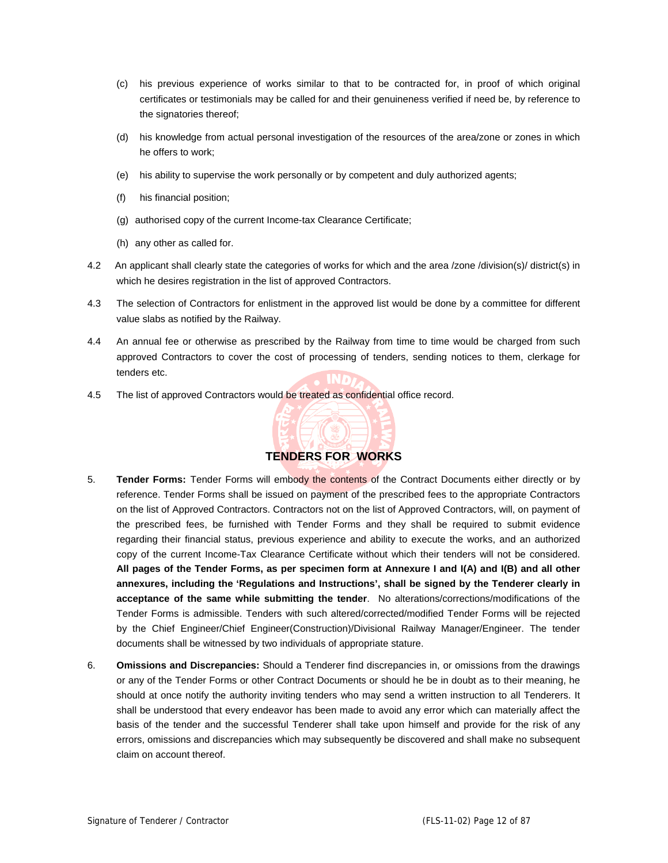- (c) his previous experience of works similar to that to be contracted for, in proof of which original certificates or testimonials may be called for and their genuineness verified if need be, by reference to the signatories thereof;
- (d) his knowledge from actual personal investigation of the resources of the area/zone or zones in which he offers to work;
- (e) his ability to supervise the work personally or by competent and duly authorized agents;
- (f) his financial position;
- (g) authorised copy of the current Income-tax Clearance Certificate;
- (h) any other as called for.
- 4.2 An applicant shall clearly state the categories of works for which and the area /zone /division(s)/ district(s) in which he desires registration in the list of approved Contractors.
- 4.3 The selection of Contractors for enlistment in the approved list would be done by a committee for different value slabs as notified by the Railway.
- 4.4 An annual fee or otherwise as prescribed by the Railway from time to time would be charged from such approved Contractors to cover the cost of processing of tenders, sending notices to them, clerkage for tenders etc.
- 4.5 The list of approved Contractors would be treated as confidential office record.



# **TENDERS FOR WORKS**

- 5. **Tender Forms:** Tender Forms will embody the contents of the Contract Documents either directly or by reference. Tender Forms shall be issued on payment of the prescribed fees to the appropriate Contractors on the list of Approved Contractors. Contractors not on the list of Approved Contractors, will, on payment of the prescribed fees, be furnished with Tender Forms and they shall be required to submit evidence regarding their financial status, previous experience and ability to execute the works, and an authorized copy of the current Income-Tax Clearance Certificate without which their tenders will not be considered. **All pages of the Tender Forms, as per specimen form at Annexure I and I(A) and I(B) and all other annexures, including the 'Regulations and Instructions', shall be signed by the Tenderer clearly in acceptance of the same while submitting the tender**. No alterations/corrections/modifications of the Tender Forms is admissible. Tenders with such altered/corrected/modified Tender Forms will be rejected by the Chief Engineer/Chief Engineer(Construction)/Divisional Railway Manager/Engineer. The tender documents shall be witnessed by two individuals of appropriate stature.
- 6. **Omissions and Discrepancies:** Should a Tenderer find discrepancies in, or omissions from the drawings or any of the Tender Forms or other Contract Documents or should he be in doubt as to their meaning, he should at once notify the authority inviting tenders who may send a written instruction to all Tenderers. It shall be understood that every endeavor has been made to avoid any error which can materially affect the basis of the tender and the successful Tenderer shall take upon himself and provide for the risk of any errors, omissions and discrepancies which may subsequently be discovered and shall make no subsequent claim on account thereof.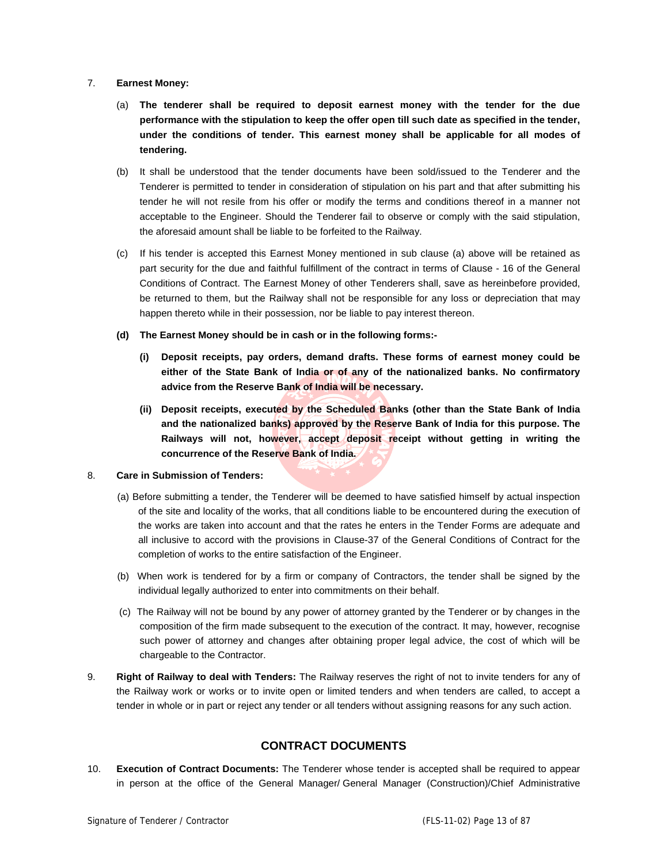# 7. **Earnest Money:**

- (a) **The tenderer shall be required to deposit earnest money with the tender for the due performance with the stipulation to keep the offer open till such date as specified in the tender, under the conditions of tender. This earnest money shall be applicable for all modes of tendering.**
- (b) It shall be understood that the tender documents have been sold/issued to the Tenderer and the Tenderer is permitted to tender in consideration of stipulation on his part and that after submitting his tender he will not resile from his offer or modify the terms and conditions thereof in a manner not acceptable to the Engineer. Should the Tenderer fail to observe or comply with the said stipulation, the aforesaid amount shall be liable to be forfeited to the Railway.
- (c) If his tender is accepted this Earnest Money mentioned in sub clause (a) above will be retained as part security for the due and faithful fulfillment of the contract in terms of Clause - 16 of the General Conditions of Contract. The Earnest Money of other Tenderers shall, save as hereinbefore provided, be returned to them, but the Railway shall not be responsible for any loss or depreciation that may happen thereto while in their possession, nor be liable to pay interest thereon.
- **(d) The Earnest Money should be in cash or in the following forms:-** 
	- **(i) Deposit receipts, pay orders, demand drafts. These forms of earnest money could be either of the State Bank of India or of any of the nationalized banks. No confirmatory advice from the Reserve Bank of India will be necessary.**
	- **(ii) Deposit receipts, executed by the Scheduled Banks (other than the State Bank of India and the nationalized banks) approved by the Reserve Bank of India for this purpose. The Railways will not, however, accept deposit receipt without getting in writing the concurrence of the Reserve Bank of India.**

# 8. **Care in Submission of Tenders:**

- (a) Before submitting a tender, the Tenderer will be deemed to have satisfied himself by actual inspection of the site and locality of the works, that all conditions liable to be encountered during the execution of the works are taken into account and that the rates he enters in the Tender Forms are adequate and all inclusive to accord with the provisions in Clause-37 of the General Conditions of Contract for the completion of works to the entire satisfaction of the Engineer.
- (b) When work is tendered for by a firm or company of Contractors, the tender shall be signed by the individual legally authorized to enter into commitments on their behalf.
- (c) The Railway will not be bound by any power of attorney granted by the Tenderer or by changes in the composition of the firm made subsequent to the execution of the contract. It may, however, recognise such power of attorney and changes after obtaining proper legal advice, the cost of which will be chargeable to the Contractor.
- 9. **Right of Railway to deal with Tenders:** The Railway reserves the right of not to invite tenders for any of the Railway work or works or to invite open or limited tenders and when tenders are called, to accept a tender in whole or in part or reject any tender or all tenders without assigning reasons for any such action.

# **CONTRACT DOCUMENTS**

10. **Execution of Contract Documents:** The Tenderer whose tender is accepted shall be required to appear in person at the office of the General Manager/ General Manager (Construction)/Chief Administrative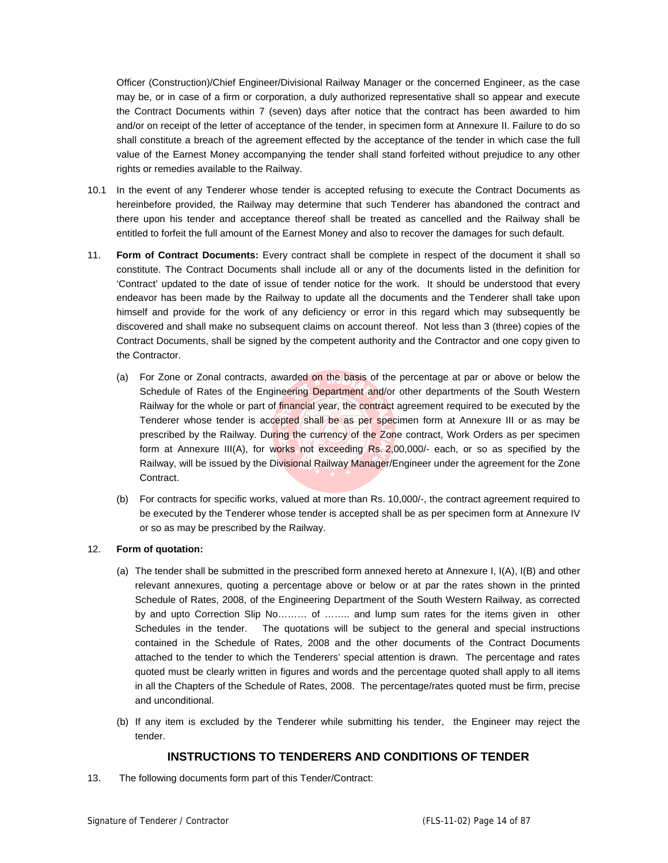Officer (Construction)/Chief Engineer/Divisional Railway Manager or the concerned Engineer, as the case may be, or in case of a firm or corporation, a duly authorized representative shall so appear and execute the Contract Documents within 7 (seven) days after notice that the contract has been awarded to him and/or on receipt of the letter of acceptance of the tender, in specimen form at Annexure II. Failure to do so shall constitute a breach of the agreement effected by the acceptance of the tender in which case the full value of the Earnest Money accompanying the tender shall stand forfeited without prejudice to any other rights or remedies available to the Railway.

- 10.1 In the event of any Tenderer whose tender is accepted refusing to execute the Contract Documents as hereinbefore provided, the Railway may determine that such Tenderer has abandoned the contract and there upon his tender and acceptance thereof shall be treated as cancelled and the Railway shall be entitled to forfeit the full amount of the Earnest Money and also to recover the damages for such default.
- 11. **Form of Contract Documents:** Every contract shall be complete in respect of the document it shall so constitute. The Contract Documents shall include all or any of the documents listed in the definition for 'Contract' updated to the date of issue of tender notice for the work. It should be understood that every endeavor has been made by the Railway to update all the documents and the Tenderer shall take upon himself and provide for the work of any deficiency or error in this regard which may subsequently be discovered and shall make no subsequent claims on account thereof. Not less than 3 (three) copies of the Contract Documents, shall be signed by the competent authority and the Contractor and one copy given to the Contractor.
	- (a) For Zone or Zonal contracts, awarded on the basis of the percentage at par or above or below the Schedule of Rates of the Engineering Department and/or other departments of the South Western Railway for the whole or part of financial year, the contract agreement required to be executed by the Tenderer whose tender is accepted shall be as per specimen form at Annexure III or as may be prescribed by the Railway. During the currency of the Zone contract, Work Orders as per specimen form at Annexure III(A), for works not exceeding Rs. 2,00,000/- each, or so as specified by the Railway, will be issued by the Divisional Railway Manager/Engineer under the agreement for the Zone Contract.
	- (b) For contracts for specific works, valued at more than Rs. 10,000/-, the contract agreement required to be executed by the Tenderer whose tender is accepted shall be as per specimen form at Annexure IV or so as may be prescribed by the Railway.

# 12. **Form of quotation:**

- (a) The tender shall be submitted in the prescribed form annexed hereto at Annexure I, I(A), I(B) and other relevant annexures, quoting a percentage above or below or at par the rates shown in the printed Schedule of Rates, 2008, of the Engineering Department of the South Western Railway, as corrected by and upto Correction Slip No……… of …….. and lump sum rates for the items given in other Schedules in the tender. The quotations will be subject to the general and special instructions contained in the Schedule of Rates, 2008 and the other documents of the Contract Documents attached to the tender to which the Tenderers' special attention is drawn. The percentage and rates quoted must be clearly written in figures and words and the percentage quoted shall apply to all items in all the Chapters of the Schedule of Rates, 2008. The percentage/rates quoted must be firm, precise and unconditional.
- (b) If any item is excluded by the Tenderer while submitting his tender, the Engineer may reject the tender.

# **INSTRUCTIONS TO TENDERERS AND CONDITIONS OF TENDER**

13. The following documents form part of this Tender/Contract: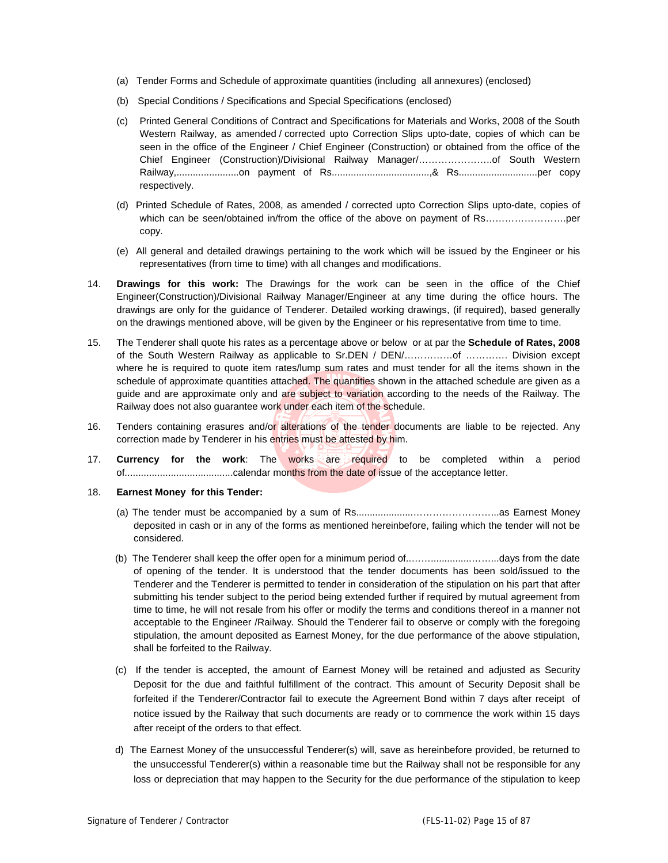- (a) Tender Forms and Schedule of approximate quantities (including all annexures) (enclosed)
- (b) Special Conditions / Specifications and Special Specifications (enclosed)
- (c) Printed General Conditions of Contract and Specifications for Materials and Works, 2008 of the South Western Railway, as amended / corrected upto Correction Slips upto-date, copies of which can be seen in the office of the Engineer / Chief Engineer (Construction) or obtained from the office of the Chief Engineer (Construction)/Divisional Railway Manager/…………………..of South Western Railway,.......................on payment of Rs....................................,& Rs.............................per copy respectively.
- (d) Printed Schedule of Rates, 2008, as amended / corrected upto Correction Slips upto-date, copies of which can be seen/obtained in/from the office of the above on payment of Rs……………………....per copy.
- (e) All general and detailed drawings pertaining to the work which will be issued by the Engineer or his representatives (from time to time) with all changes and modifications.
- 14. **Drawings for this work:** The Drawings for the work can be seen in the office of the Chief Engineer(Construction)/Divisional Railway Manager/Engineer at any time during the office hours. The drawings are only for the guidance of Tenderer. Detailed working drawings, (if required), based generally on the drawings mentioned above, will be given by the Engineer or his representative from time to time.
- 15. The Tenderer shall quote his rates as a percentage above or below or at par the **Schedule of Rates, 2008** of the South Western Railway as applicable to Sr.DEN / DEN/……………of …………. Division except where he is required to quote item rates/lump sum rates and must tender for all the items shown in the schedule of approximate quantities attached. The quantities shown in the attached schedule are given as a guide and are approximate only and are subject to variation according to the needs of the Railway. The Railway does not also guarantee work under each item of the schedule.
- 16. Tenders containing erasures and/or alterations of the tender documents are liable to be rejected. Any correction made by Tenderer in his entries must be attested by him.
- 17. **Currency for the work**: The works are required to be completed within a period of........................................calendar months from the date of issue of the acceptance letter.
- 18. **Earnest Money for this Tender:**
	- (a) The tender must be accompanied by a sum of Rs.....................……………………...as Earnest Money deposited in cash or in any of the forms as mentioned hereinbefore, failing which the tender will not be considered.
	- (b) The Tenderer shall keep the offer open for a minimum period of..……...............……...days from the date of opening of the tender. It is understood that the tender documents has been sold/issued to the Tenderer and the Tenderer is permitted to tender in consideration of the stipulation on his part that after submitting his tender subject to the period being extended further if required by mutual agreement from time to time, he will not resale from his offer or modify the terms and conditions thereof in a manner not acceptable to the Engineer /Railway. Should the Tenderer fail to observe or comply with the foregoing stipulation, the amount deposited as Earnest Money, for the due performance of the above stipulation, shall be forfeited to the Railway.
	- (c) If the tender is accepted, the amount of Earnest Money will be retained and adjusted as Security Deposit for the due and faithful fulfillment of the contract. This amount of Security Deposit shall be forfeited if the Tenderer/Contractor fail to execute the Agreement Bond within 7 days after receipt of notice issued by the Railway that such documents are ready or to commence the work within 15 days after receipt of the orders to that effect.
	- d) The Earnest Money of the unsuccessful Tenderer(s) will, save as hereinbefore provided, be returned to the unsuccessful Tenderer(s) within a reasonable time but the Railway shall not be responsible for any loss or depreciation that may happen to the Security for the due performance of the stipulation to keep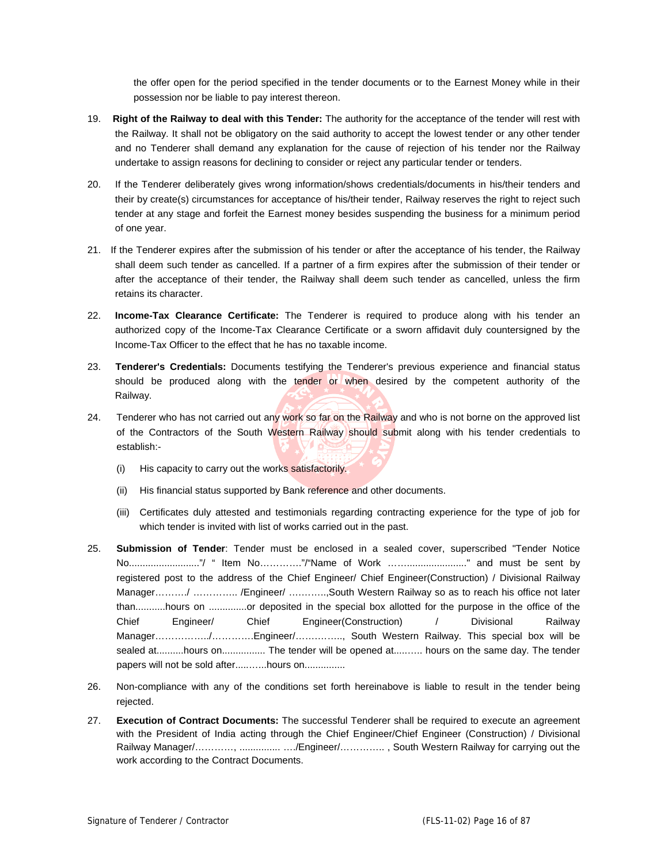the offer open for the period specified in the tender documents or to the Earnest Money while in their possession nor be liable to pay interest thereon.

- 19. **Right of the Railway to deal with this Tender:** The authority for the acceptance of the tender will rest with the Railway. It shall not be obligatory on the said authority to accept the lowest tender or any other tender and no Tenderer shall demand any explanation for the cause of rejection of his tender nor the Railway undertake to assign reasons for declining to consider or reject any particular tender or tenders.
- 20. If the Tenderer deliberately gives wrong information/shows credentials/documents in his/their tenders and their by create(s) circumstances for acceptance of his/their tender, Railway reserves the right to reject such tender at any stage and forfeit the Earnest money besides suspending the business for a minimum period of one year.
- 21. If the Tenderer expires after the submission of his tender or after the acceptance of his tender, the Railway shall deem such tender as cancelled. If a partner of a firm expires after the submission of their tender or after the acceptance of their tender, the Railway shall deem such tender as cancelled, unless the firm retains its character.
- 22. **Income-Tax Clearance Certificate:** The Tenderer is required to produce along with his tender an authorized copy of the Income-Tax Clearance Certificate or a sworn affidavit duly countersigned by the Income-Tax Officer to the effect that he has no taxable income.
- 23. **Tenderer's Credentials:** Documents testifying the Tenderer's previous experience and financial status should be produced along with the tender or when desired by the competent authority of the Railway.
- 24. Tenderer who has not carried out any work so far on the Railway and who is not borne on the approved list of the Contractors of the South Western Railway should submit along with his tender credentials to establish:-
	- (i) His capacity to carry out the works satisfactorily.
	- (ii) His financial status supported by Bank reference and other documents.
	- (iii) Certificates duly attested and testimonials regarding contracting experience for the type of job for which tender is invited with list of works carried out in the past.
- 25. **Submission of Tender**: Tender must be enclosed in a sealed cover, superscribed "Tender Notice No.........................."/ " Item No…………."/"Name of Work ……......................" and must be sent by registered post to the address of the Chief Engineer/ Chief Engineer(Construction) / Divisional Railway Manager………./ ………….. /Engineer/ ….……..,South Western Railway so as to reach his office not later than...........hours on ..............or deposited in the special box allotted for the purpose in the office of the Chief Engineer/ Chief Engineer(Construction) / Divisional Railway Manager……………../………….Engineer/…….…….., South Western Railway. This special box will be sealed at..........hours on................ The tender will be opened at.....….. hours on the same day. The tender papers will not be sold after...........hours on...............
- 26. Non-compliance with any of the conditions set forth hereinabove is liable to result in the tender being rejected.
- 27. **Execution of Contract Documents:** The successful Tenderer shall be required to execute an agreement with the President of India acting through the Chief Engineer/Chief Engineer (Construction) / Divisional Railway Manager/…………, ............... …./Engineer/………….. , South Western Railway for carrying out the work according to the Contract Documents.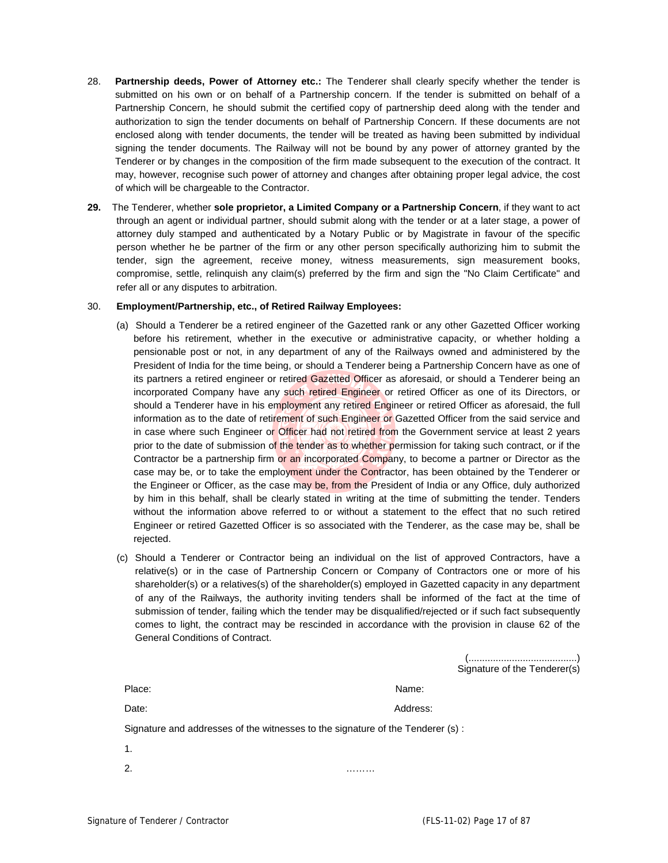- 28. **Partnership deeds, Power of Attorney etc.:** The Tenderer shall clearly specify whether the tender is submitted on his own or on behalf of a Partnership concern. If the tender is submitted on behalf of a Partnership Concern, he should submit the certified copy of partnership deed along with the tender and authorization to sign the tender documents on behalf of Partnership Concern. If these documents are not enclosed along with tender documents, the tender will be treated as having been submitted by individual signing the tender documents. The Railway will not be bound by any power of attorney granted by the Tenderer or by changes in the composition of the firm made subsequent to the execution of the contract. It may, however, recognise such power of attorney and changes after obtaining proper legal advice, the cost of which will be chargeable to the Contractor.
- **29.** The Tenderer, whether **sole proprietor, a Limited Company or a Partnership Concern**, if they want to act through an agent or individual partner, should submit along with the tender or at a later stage, a power of attorney duly stamped and authenticated by a Notary Public or by Magistrate in favour of the specific person whether he be partner of the firm or any other person specifically authorizing him to submit the tender, sign the agreement, receive money, witness measurements, sign measurement books, compromise, settle, relinquish any claim(s) preferred by the firm and sign the "No Claim Certificate" and refer all or any disputes to arbitration.

### 30. **Employment/Partnership, etc., of Retired Railway Employees:**

- (a) Should a Tenderer be a retired engineer of the Gazetted rank or any other Gazetted Officer working before his retirement, whether in the executive or administrative capacity, or whether holding a pensionable post or not, in any department of any of the Railways owned and administered by the President of India for the time being, or should a Tenderer being a Partnership Concern have as one of its partners a retired engineer or retired Gazetted Officer as aforesaid, or should a Tenderer being an incorporated Company have any such retired Engineer or retired Officer as one of its Directors, or should a Tenderer have in his employment any retired Engineer or retired Officer as aforesaid, the full information as to the date of retirement of such Engineer or Gazetted Officer from the said service and in case where such Engineer or Officer had not retired from the Government service at least 2 years prior to the date of submission of the tender as to whether permission for taking such contract, or if the Contractor be a partnership firm or an incorporated Company, to become a partner or Director as the case may be, or to take the employment under the Contractor, has been obtained by the Tenderer or the Engineer or Officer, as the case may be, from the President of India or any Office, duly authorized by him in this behalf, shall be clearly stated in writing at the time of submitting the tender. Tenders without the information above referred to or without a statement to the effect that no such retired Engineer or retired Gazetted Officer is so associated with the Tenderer, as the case may be, shall be rejected.
- (c) Should a Tenderer or Contractor being an individual on the list of approved Contractors, have a relative(s) or in the case of Partnership Concern or Company of Contractors one or more of his shareholder(s) or a relatives(s) of the shareholder(s) employed in Gazetted capacity in any department of any of the Railways, the authority inviting tenders shall be informed of the fact at the time of submission of tender, failing which the tender may be disqualified/rejected or if such fact subsequently comes to light, the contract may be rescinded in accordance with the provision in clause 62 of the General Conditions of Contract.

(........................................) Signature of the Tenderer(s)

| Place:                                                                         | Name:    |
|--------------------------------------------------------------------------------|----------|
| Date:                                                                          | Address: |
| Signature and addresses of the witnesses to the signature of the Tenderer (s): |          |
| 1.                                                                             |          |
| 2.                                                                             |          |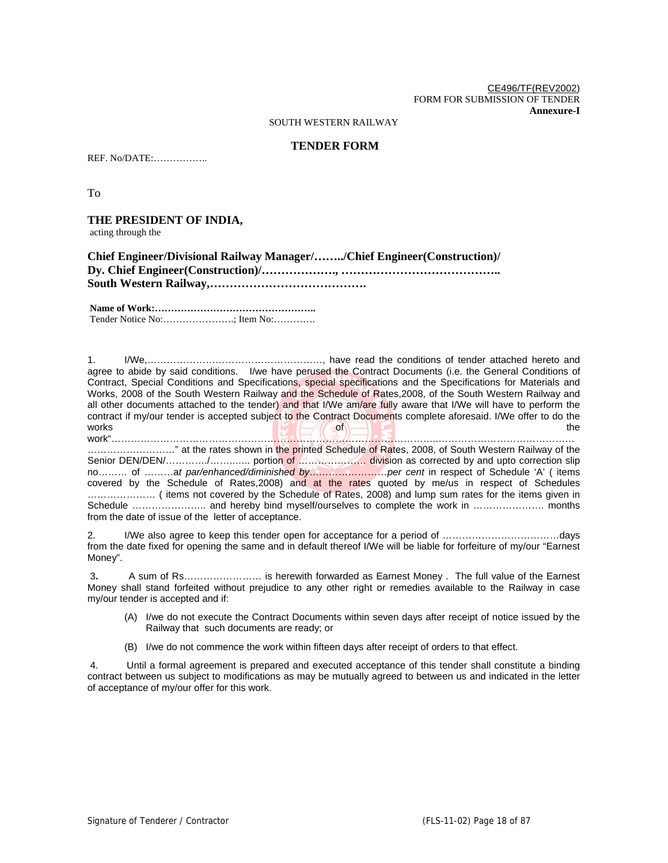CE496/TF(REV2002) FORM FOR SUBMISSION OF TENDER **Annexure-I** 

SOUTH WESTERN RAILWAY

# **TENDER FORM**

REF. No/DATE:……………..

To

# **THE PRESIDENT OF INDIA,**

acting through the

**Chief Engineer/Divisional Railway Manager/……../Chief Engineer(Construction)/ Dy. Chief Engineer(Construction)/………………., ………………………………….. South Western Railway,………………………………….** 

 **Name of Work:…………………………………………..**  Tender Notice No:………………….; Item No:………….

1. I/We,………………………………………………, have read the conditions of tender attached hereto and agree to abide by said conditions. I/we have perused the Contract Documents (i.e. the General Conditions of Contract, Special Conditions and Specifications, special specifications and the Specifications for Materials and Works, 2008 of the South Western Railway and the Schedule of Rates,2008, of the South Western Railway and all other documents attached to the tender) and that I/We am/are fully aware that I/We will have to perform the contract if my/our tender is accepted subject to the Contract Documents complete aforesaid. I/We offer to do the works works the state of  $\mathbb{R}^n$  of  $\longrightarrow$  the state of the state of the state of the state of the state of the state of the state of the state of the state of the state of the state of the state of the state of the state of t

work"………………………………………………………………………………………..…………………………………… .............................." at the rates shown in the printed Schedule of Rates, 2008, of South Western Railway of the Senior DEN/DEN/…………./……..….. portion of ………………… division as corrected by and upto correction slip no……… of ………a*t par/enhanced/diminished by……………………per cent* in respect of Schedule 'A' ( items covered by the Schedule of Rates, 2008) and at the rates quoted by me/us in respect of Schedules ………………… ( items not covered by the Schedule of Rates, 2008) and lump sum rates for the items given in Schedule ………………….. and hereby bind myself/ourselves to complete the work in …………………. months from the date of issue of the letter of acceptance.

I/We also agree to keep this tender open for acceptance for a period of …………………………………days from the date fixed for opening the same and in default thereof I/We will be liable for forfeiture of my/our "Earnest Money".

 3**.** A sum of Rs…………………… is herewith forwarded as Earnest Money . The full value of the Earnest Money shall stand forfeited without prejudice to any other right or remedies available to the Railway in case my/our tender is accepted and if:

- (A) I/we do not execute the Contract Documents within seven days after receipt of notice issued by the Railway that such documents are ready; or
- (B) I/we do not commence the work within fifteen days after receipt of orders to that effect.

 4. Until a formal agreement is prepared and executed acceptance of this tender shall constitute a binding contract between us subject to modifications as may be mutually agreed to between us and indicated in the letter of acceptance of my/our offer for this work.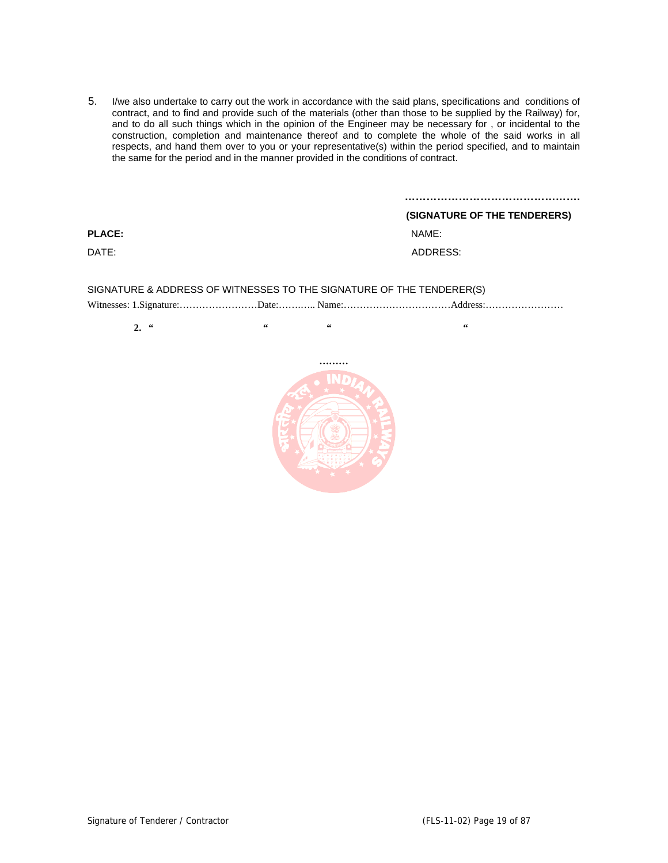5. I/we also undertake to carry out the work in accordance with the said plans, specifications and conditions of contract, and to find and provide such of the materials (other than those to be supplied by the Railway) for, and to do all such things which in the opinion of the Engineer may be necessary for , or incidental to the construction, completion and maintenance thereof and to complete the whole of the said works in all respects, and hand them over to you or your representative(s) within the period specified, and to maintain the same for the period and in the manner provided in the conditions of contract.

| (SIGNATURE OF THE TENDERERS) |
|------------------------------|
| NAME:                        |
| ADDRESS:                     |
|                              |

SIGNATURE & ADDRESS OF WITNESSES TO THE SIGNATURE OF THE TENDERER(S)

Witnesses: 1.Signature:……………………Date:…….….. Name:……………………………Address:……………………

 **2. " " " "** 

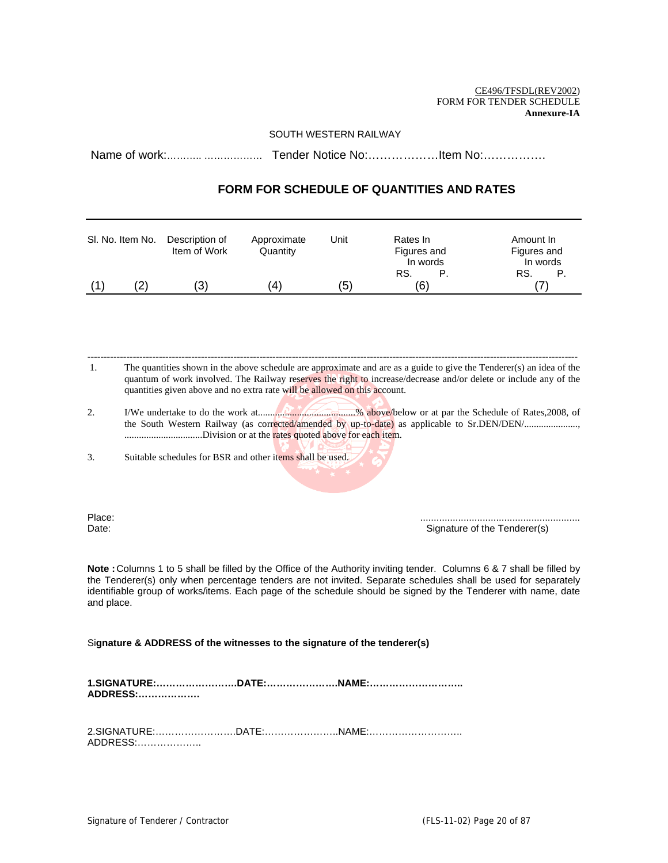CE496/TFSDL(REV2002) FORM FOR TENDER SCHEDULE **Annexure-IA**

### SOUTH WESTERN RAILWAY

Name of work:……….. ……………… Tender Notice No:………………Item No:…………….

# **FORM FOR SCHEDULE OF QUANTITIES AND RATES**

| SI. No. Item No. |              | Description of<br>Item of Work | Approximate<br>Quantity | Unit | Rates In<br>Figures and<br>In words | Amount In<br>Figures and<br>In words |  |  |
|------------------|--------------|--------------------------------|-------------------------|------|-------------------------------------|--------------------------------------|--|--|
|                  |              |                                |                         |      | RS.                                 | RS.                                  |  |  |
|                  | $\mathbf{2}$ | 3)                             | (4                      | (5)  | (6)                                 |                                      |  |  |

- ------------------------------------------------------------------------------------------------------------------------------------------------------- 1. The quantities shown in the above schedule are approximate and are as a guide to give the Tenderer(s) an idea of the quantum of work involved. The Railway reserves the right to increase/decrease and/or delete or include any of the quantities given above and no extra rate will be allowed on this account.
- 2. I/We undertake to do the work at........................................% above/below or at par the Schedule of Rates,2008, of the South Western Railway (as corrected/amended by up-to-date) as applicable to Sr.DEN/DEN/.................... ....................................Division or at the rates quoted above for each item.
- 3. Suitable schedules for BSR and other items shall be used.

Place: ...........................................................

Date: Signature of the Tenderer(s)

**Note :** Columns 1 to 5 shall be filled by the Office of the Authority inviting tender. Columns 6 & 7 shall be filled by the Tenderer(s) only when percentage tenders are not invited. Separate schedules shall be used for separately identifiable group of works/items. Each page of the schedule should be signed by the Tenderer with name, date and place.

### Si**gnature & ADDRESS of the witnesses to the signature of the tenderer(s)**

**1.SIGNATURE:…………………….DATE:………………….NAME:……………………….. ADDRESS:……………….** 

2.SIGNATURE:…………………….DATE:…………………..NAME:……………………….. ADDRESS:………………..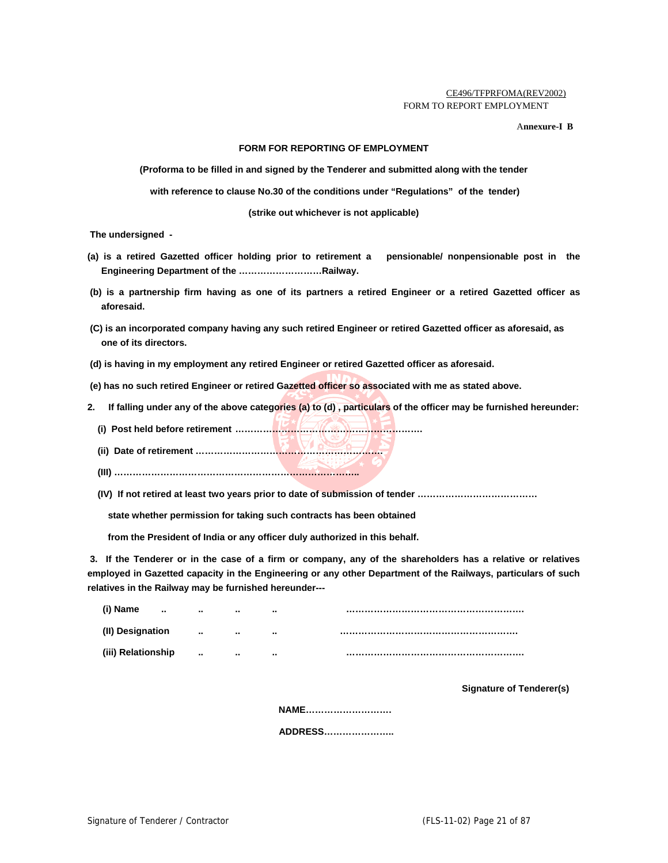### CE496/TFPRFOMA(REV2002) FORM TO REPORT EMPLOYMENT

A**nnexure-I B** 

#### **FORM FOR REPORTING OF EMPLOYMENT**

**(Proforma to be filled in and signed by the Tenderer and submitted along with the tender** 

 **with reference to clause No.30 of the conditions under "Regulations" of the tender)** 

**(strike out whichever is not applicable)** 

 **The undersigned -** 

- **(a) is a retired Gazetted officer holding prior to retirement a pensionable/ nonpensionable post in the Engineering Department of the ………………………Railway.**
- **(b) is a partnership firm having as one of its partners a retired Engineer or a retired Gazetted officer as aforesaid.**
- **(C) is an incorporated company having any such retired Engineer or retired Gazetted officer as aforesaid, as one of its directors.**
- **(d) is having in my employment any retired Engineer or retired Gazetted officer as aforesaid.**
- **(e) has no such retired Engineer or retired Gazetted officer so associated with me as stated above.**
- **2. If falling under any of the above categories (a) to (d) , particulars of the officer may be furnished hereunder:** 
	- **(i) Post held before retirement …………………………………………………….**
	- **(ii) Date of retirement …………………………………………………….**
	- **(III) ……………………………………………………………………..**
	- **(IV) If not retired at least two years prior to date of submission of tender …………………………………**

 **state whether permission for taking such contracts has been obtained** 

 **from the President of India or any officer duly authorized in this behalf.** 

 **3. If the Tenderer or in the case of a firm or company, any of the shareholders has a relative or relatives employed in Gazetted capacity in the Engineering or any other Department of the Railways, particulars of such relatives in the Railway may be furnished hereunder---** 

| (i) Name<br>       | .      |   |  |
|--------------------|--------|---|--|
| (II) Designation   |        |   |  |
| (iii) Relationship | $\sim$ | . |  |

 **Signature of Tenderer(s)** 

 **NAME……………………….** 

 **ADDRESS…………………..**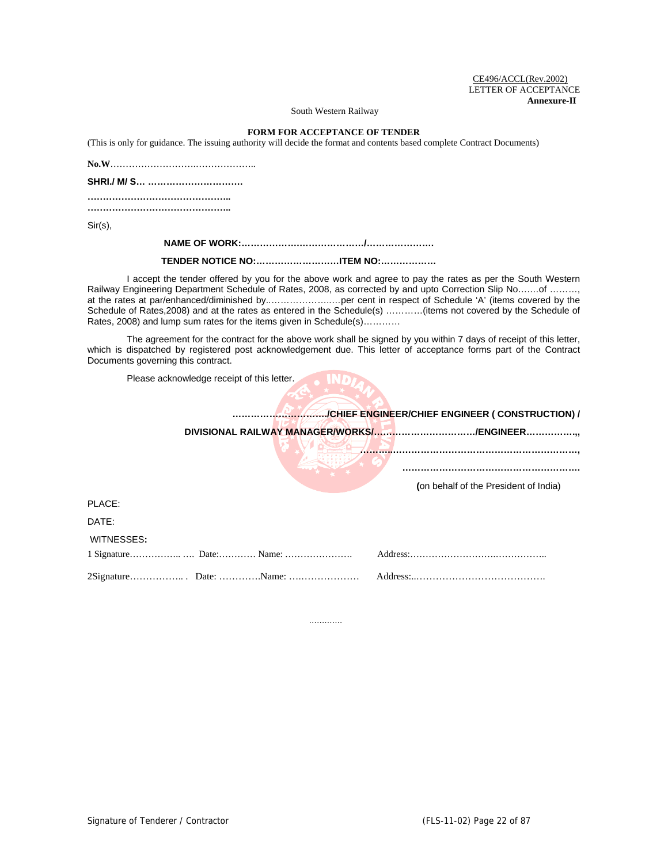CE496/ACCL(Rev.2002) LETTER OF ACCEPTANCE  **Annexure-II** 

South Western Railway

# **FORM FOR ACCEPTANCE OF TENDER**

(This is only for guidance. The issuing authority will decide the format and contents based complete Contract Documents)

**No.W**……………………….………………..

**SHRI./ M/ S… ………………………….** 

**……………………………………….. ………………………………………..** 

Sir(s),

 **NAME OF WORK:……………….…………………/………………….** 

**TENDER NOTICE NO:………………………ITEM NO:………………** 

I accept the tender offered by you for the above work and agree to pay the rates as per the South Western Railway Engineering Department Schedule of Rates, 2008, as corrected by and upto Correction Slip No….…of ………, at the rates at par/enhanced/diminished by..………………..…per cent in respect of Schedule 'A' (items covered by the Schedule of Rates,2008) and at the rates as entered in the Schedule(s) …………(items not covered by the Schedule of Rates, 2008) and lump sum rates for the items given in Schedule(s)…………

 The agreement for the contract for the above work shall be signed by you within 7 days of receipt of this letter, which is dispatched by registered post acknowledgement due. This letter of acceptance forms part of the Contract Documents governing this contract.

Please acknowledge receipt of this letter.

**…………………………./CHIEF ENGINEER/CHIEF ENGINEER ( CONSTRUCTION) /** 

|            | DIVISIONAL RAILWAY MANAGER/WORKS//ENGINEER        |
|------------|---------------------------------------------------|
|            |                                                   |
|            | (on behalf of the President of India)             |
| PLACE:     |                                                   |
| DATE:      |                                                   |
| WITNESSES: |                                                   |
|            | Address: Electronic Communication of the Address: |
|            |                                                   |

…………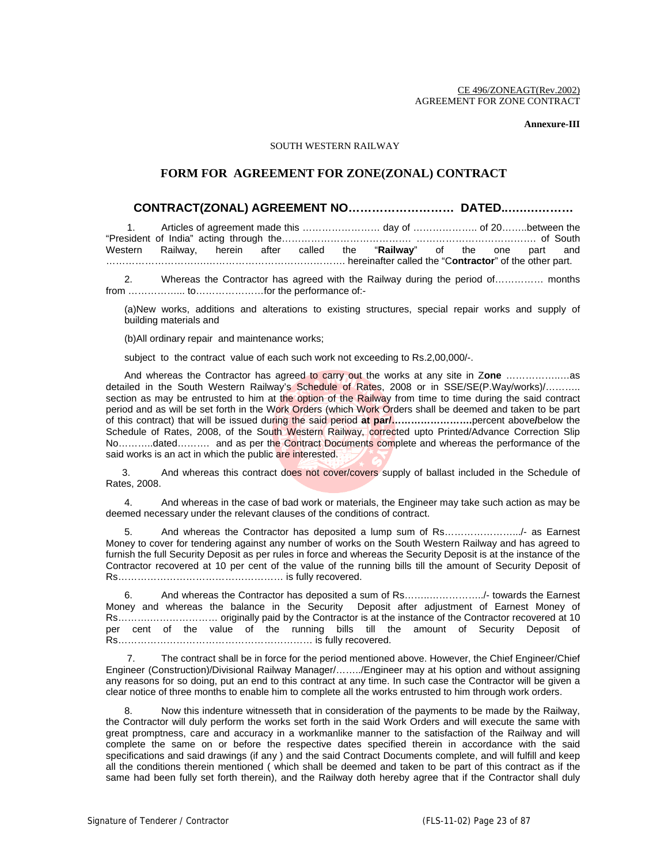CE 496/ZONEAGT(Rev.2002) AGREEMENT FOR ZONE CONTRACT

**Annexure-III** 

#### SOUTH WESTERN RAILWAY

# **FORM FOR AGREEMENT FOR ZONE(ZONAL) CONTRACT**

# **CONTRACT(ZONAL) AGREEMENT NO……………………… DATED..….….………**

 1. Articles of agreement made this …………………… day of ……………….. of 20……..between the "President of India" acting through the…………………………………. ………………………………. of South Western Railway, herein after called the "Railway" of the one part ………………………….……………………………………. hereinafter called the "C**ontractor**" of the other part.

2. Whereas the Contractor has agreed with the Railway during the period of…………… months from ……………... to…………………for the performance of:-

(a)New works, additions and alterations to existing structures, special repair works and supply of building materials and

(b)All ordinary repair and maintenance works;

subject to the contract value of each such work not exceeding to Rs.2,00,000/-.

And whereas the Contractor has agreed to carry out the works at any site in Z**one** ……………..…as detailed in the South Western Railway's Schedule of Rates, 2008 or in SSE/SE(P.Way/works)/……….. section as may be entrusted to him at the option of the Railway from time to time during the said contract period and as will be set forth in the Work Orders (which Work Orders shall be deemed and taken to be part of this contract) that will be issued during the said period **at par/…………………….**percent above**/**below the Schedule of Rates, 2008, of the South Western Railway, corrected upto Printed/Advance Correction Slip No………..dated………. and as per the Contract Documents complete and whereas the performance of the said works is an act in which the public are interested.

3. And whereas this contract does not cover/covers supply of ballast included in the Schedule of Rates, 2008.

 4. And whereas in the case of bad work or materials, the Engineer may take such action as may be deemed necessary under the relevant clauses of the conditions of contract.

5. And whereas the Contractor has deposited a lump sum of Rs………………….../- as Earnest Money to cover for tendering against any number of works on the South Western Railway and has agreed to furnish the full Security Deposit as per rules in force and whereas the Security Deposit is at the instance of the Contractor recovered at 10 per cent of the value of the running bills till the amount of Security Deposit of Rs…………………………………………… is fully recovered.

6. And whereas the Contractor has deposited a sum of Rs……..……………../- towards the Earnest Money and whereas the balance in the Security Deposit after adjustment of Earnest Money of Rs……….………………… originally paid by the Contractor is at the instance of the Contractor recovered at 10 per cent of the value of the running bills till the amount of Security Deposit of Rs…………………………………………………… is fully recovered.

The contract shall be in force for the period mentioned above. However, the Chief Engineer/Chief Engineer (Construction)/Divisional Railway Manager/……../Engineer may at his option and without assigning any reasons for so doing, put an end to this contract at any time. In such case the Contractor will be given a clear notice of three months to enable him to complete all the works entrusted to him through work orders.

Now this indenture witnesseth that in consideration of the payments to be made by the Railway. the Contractor will duly perform the works set forth in the said Work Orders and will execute the same with great promptness, care and accuracy in a workmanlike manner to the satisfaction of the Railway and will complete the same on or before the respective dates specified therein in accordance with the said specifications and said drawings (if any ) and the said Contract Documents complete, and will fulfill and keep all the conditions therein mentioned ( which shall be deemed and taken to be part of this contract as if the same had been fully set forth therein), and the Railway doth hereby agree that if the Contractor shall duly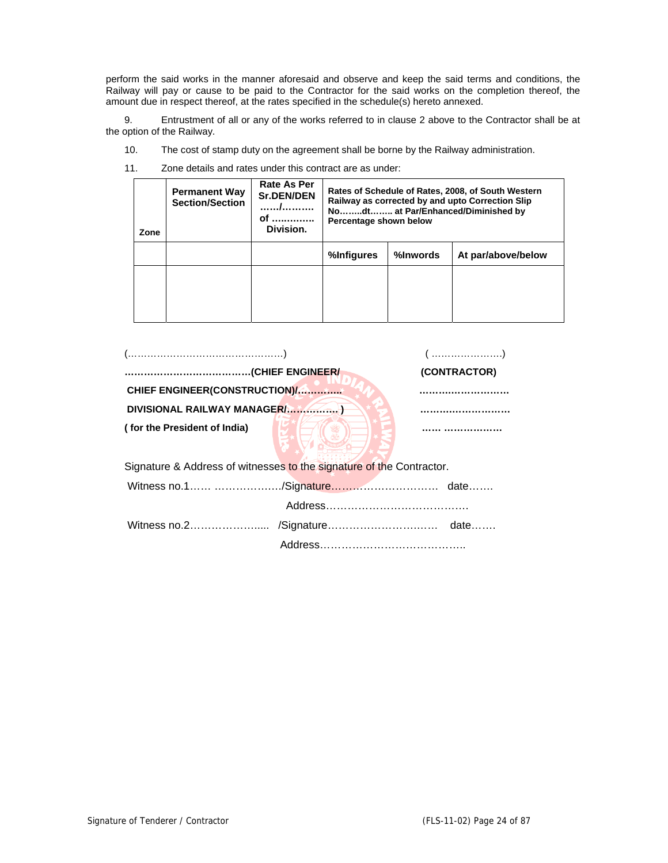perform the said works in the manner aforesaid and observe and keep the said terms and conditions, the Railway will pay or cause to be paid to the Contractor for the said works on the completion thereof, the amount due in respect thereof, at the rates specified in the schedule(s) hereto annexed.

9. Entrustment of all or any of the works referred to in clause 2 above to the Contractor shall be at the option of the Railway.

10. The cost of stamp duty on the agreement shall be borne by the Railway administration.

11. Zone details and rates under this contract are as under:

| Zone | <b>Permanent Way</b><br><b>Section/Section</b> | <b>Rate As Per</b><br><b>Sr.DEN/DEN</b><br>./<br>οf<br>.<br>Division. | Rates of Schedule of Rates, 2008, of South Western<br>Railway as corrected by and upto Correction Slip<br>Nodt at Par/Enhanced/Diminished by<br>Percentage shown below |          |                    |  |  |  |  |
|------|------------------------------------------------|-----------------------------------------------------------------------|------------------------------------------------------------------------------------------------------------------------------------------------------------------------|----------|--------------------|--|--|--|--|
|      |                                                |                                                                       | %Infigures                                                                                                                                                             | %Inwords | At par/above/below |  |  |  |  |
|      |                                                |                                                                       |                                                                                                                                                                        |          |                    |  |  |  |  |
|      |                                                |                                                                       |                                                                                                                                                                        |          |                    |  |  |  |  |

|                                                                      | (CONTRACTOR) |
|----------------------------------------------------------------------|--------------|
| CHIEF ENGINEER(CONSTRUCTION)                                         | .            |
|                                                                      |              |
| (for the President of India)                                         |              |
| Signature & Address of witnesses to the signature of the Contractor. |              |
|                                                                      |              |
|                                                                      |              |
|                                                                      |              |
|                                                                      |              |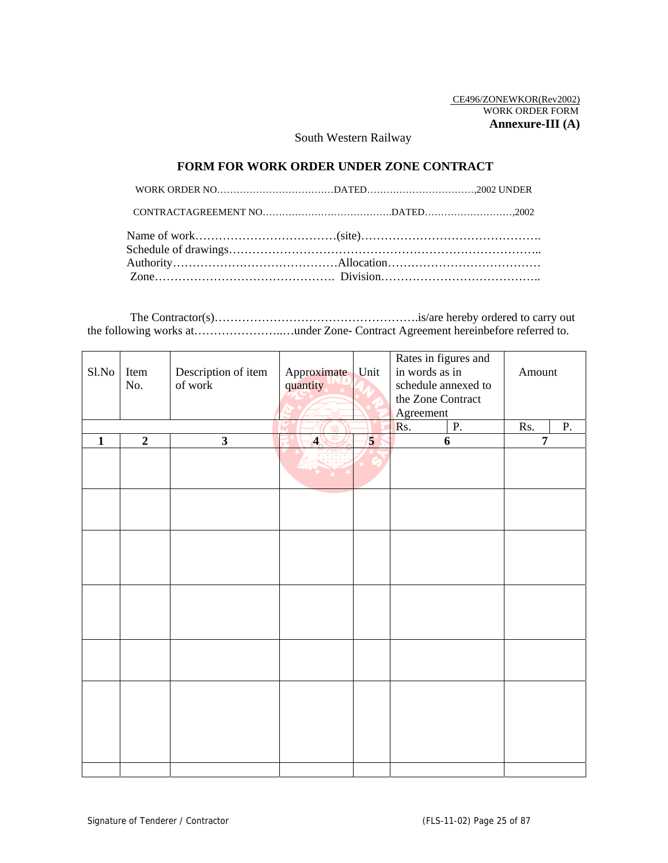CE496/ZONEWKOR(Rev2002) WORK ORDER FORM **Annexure-III (A)**

South Western Railway

# **FORM FOR WORK ORDER UNDER ZONE CONTRACT**

 The Contractor(s)…………………………………………….is/are hereby ordered to carry out the following works at…………………..…under Zone- Contract Agreement hereinbefore referred to.

| Sl.No        | Item<br>No.    | Description of item<br>of work | Approximate<br>quantity | Unit           | Rates in figures and<br>in words as in<br>schedule annexed to<br>the Zone Contract<br>Agreement | Amount         |
|--------------|----------------|--------------------------------|-------------------------|----------------|-------------------------------------------------------------------------------------------------|----------------|
|              |                |                                |                         |                | $\overline{P}$ .<br>R <sub>s</sub> .                                                            | P.<br>Rs.      |
| $\mathbf{1}$ | $\overline{2}$ | $\overline{\mathbf{3}}$        | $\blacktriangleleft$    | 5 <sup>1</sup> | 6                                                                                               | $\overline{7}$ |
|              |                |                                |                         |                |                                                                                                 |                |
|              |                |                                |                         |                |                                                                                                 |                |
|              |                |                                |                         |                |                                                                                                 |                |
|              |                |                                |                         |                |                                                                                                 |                |
|              |                |                                |                         |                |                                                                                                 |                |
|              |                |                                |                         |                |                                                                                                 |                |
|              |                |                                |                         |                |                                                                                                 |                |
|              |                |                                |                         |                |                                                                                                 |                |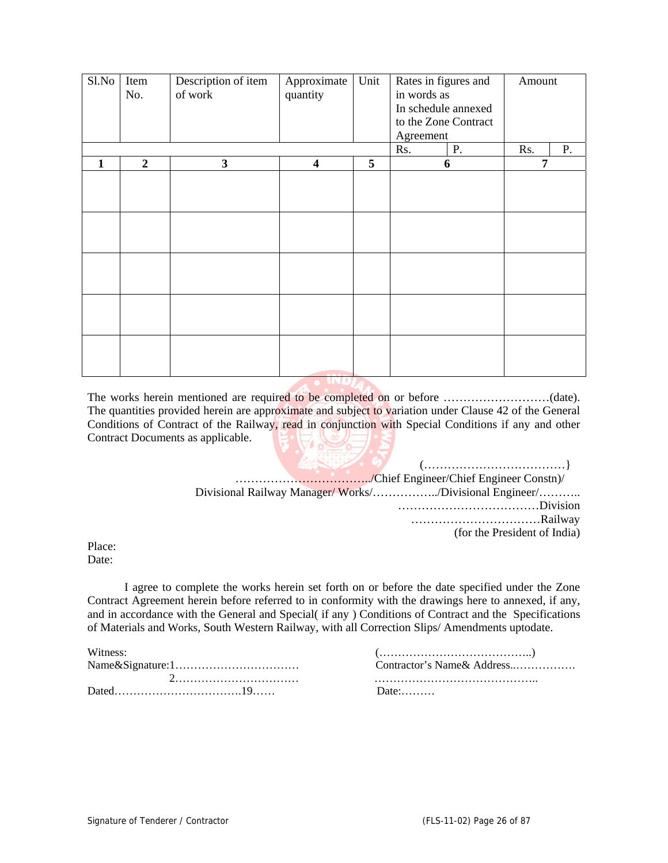| Sl.No | Item<br>No.    | Description of item<br>of work | Approximate<br>quantity | Unit | Rates in figures and<br>in words as<br>In schedule annexed<br>to the Zone Contract<br>Agreement | Amount         |    |
|-------|----------------|--------------------------------|-------------------------|------|-------------------------------------------------------------------------------------------------|----------------|----|
|       |                |                                |                         |      | P.<br>Rs.                                                                                       | Rs.            | P. |
| 1     | $\overline{2}$ | $\overline{\mathbf{3}}$        | $\overline{\mathbf{4}}$ | 5    | 6                                                                                               | $\overline{7}$ |    |
|       |                |                                |                         |      |                                                                                                 |                |    |
|       |                |                                |                         |      |                                                                                                 |                |    |
|       |                |                                |                         |      |                                                                                                 |                |    |
|       |                |                                |                         |      |                                                                                                 |                |    |
|       |                |                                |                         |      |                                                                                                 |                |    |

The works herein mentioned are required to be completed on or before ...............................(date). The quantities provided herein are approximate and subject to variation under Clause 42 of the General Conditions of Contract of the Railway, read in conjunction with Special Conditions if any and other Contract Documents as applicable.

| $\left( \frac{1}{2} \right)$ $( \dots \dots \dots \dots \dots \dots )$ |
|------------------------------------------------------------------------|
|                                                                        |
| Divisional Railway Manager/Works//Divisional Engineer/                 |
| Division                                                               |
| Railway                                                                |
| (for the President of India)                                           |
|                                                                        |

Place: Date:

I agree to complete the works herein set forth on or before the date specified under the Zone Contract Agreement herein before referred to in conformity with the drawings here to annexed, if any, and in accordance with the General and Special( if any ) Conditions of Contract and the Specifications of Materials and Works, South Western Railway, with all Correction Slips/ Amendments uptodate.

| Witness: |       |  |
|----------|-------|--|
|          |       |  |
|          |       |  |
|          | Date: |  |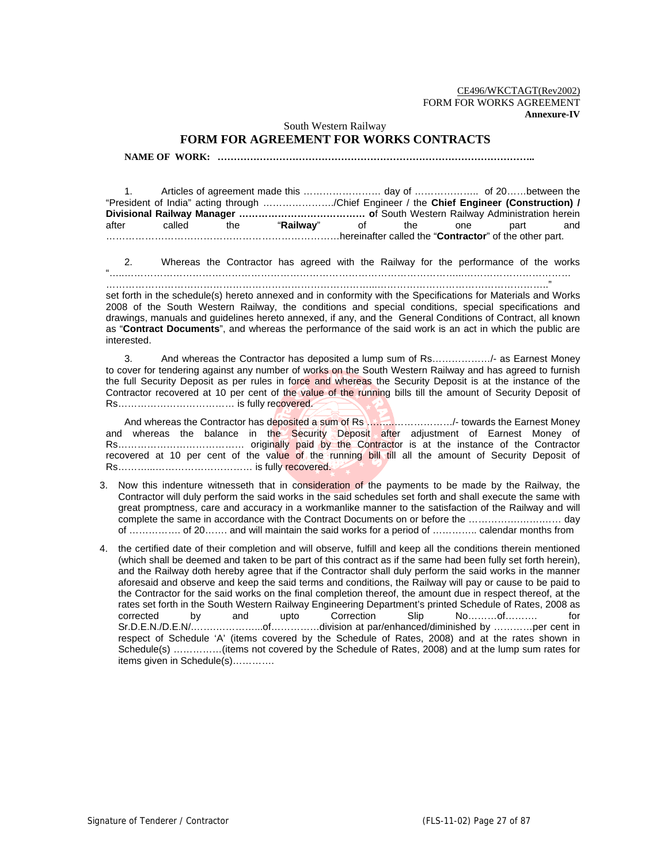CE496/WKCTAGT(Rev2002) FORM FOR WORKS AGREEMENT **Annexure-IV**

#### South Western Railway

# **FORM FOR AGREEMENT FOR WORKS CONTRACTS**

 **NAME OF WORK: ……………………………………………………………………………………..** 

1. Articles of agreement made this …………………… day of ……………….. of 20……between the "President of India" acting through …………………./Chief Engineer / the **Chief Engineer (Construction) / Divisional Railway Manager ………………………………… o**f South Western Railway Administration herein after called the "**Railway**" of the one part and ………………………………………………………………hereinafter called the "**Contractor**" of the other part.

2. Whereas the Contractor has agreed with the Railway for the performance of the works "…..…………………………………………………………………………………………...…………………………… ………………………………………………………………………...…………………………………………….."

set forth in the schedule(s) hereto annexed and in conformity with the Specifications for Materials and Works 2008 of the South Western Railway, the conditions and special conditions, special specifications and drawings, manuals and guidelines hereto annexed, if any, and the General Conditions of Contract, all known as "**Contract Documents**", and whereas the performance of the said work is an act in which the public are interested.

 3. And whereas the Contractor has deposited a lump sum of Rs………………/- as Earnest Money to cover for tendering against any number of works on the South Western Railway and has agreed to furnish the full Security Deposit as per rules in force and whereas the Security Deposit is at the instance of the Contractor recovered at 10 per cent of the value of the running bills till the amount of Security Deposit of Rs……………………………… is fully recovered.

And whereas the Contractor has deposited a sum of Rs ….…..………………/- towards the Earnest Money and whereas the balance in the Security Deposit after adjustment of Earnest Money of Rs………………………………… originally paid by the Contractor is at the instance of the Contractor recovered at 10 per cent of the value of the running bill till all the amount of Security Deposit of Rs………...………………………… is fully recovered.

- 3. Now this indenture witnesseth that in consideration of the payments to be made by the Railway, the Contractor will duly perform the said works in the said schedules set forth and shall execute the same with great promptness, care and accuracy in a workmanlike manner to the satisfaction of the Railway and will complete the same in accordance with the Contract Documents on or before the …………….…….…… day of ……………. of 20……. and will maintain the said works for a period of ………….. calendar months from
- 4. the certified date of their completion and will observe, fulfill and keep all the conditions therein mentioned (which shall be deemed and taken to be part of this contract as if the same had been fully set forth herein), and the Railway doth hereby agree that if the Contractor shall duly perform the said works in the manner aforesaid and observe and keep the said terms and conditions, the Railway will pay or cause to be paid to the Contractor for the said works on the final completion thereof, the amount due in respect thereof, at the rates set forth in the South Western Railway Engineering Department's printed Schedule of Rates, 2008 as corrected by and upto Correction Slip No………of………. for Sr.D.E.N./D.E.N/.…….…………...of……………division at par/enhanced/diminished by …………per cent in respect of Schedule 'A' (items covered by the Schedule of Rates, 2008) and at the rates shown in Schedule(s) ……………(items not covered by the Schedule of Rates, 2008) and at the lump sum rates for items given in Schedule(s)………….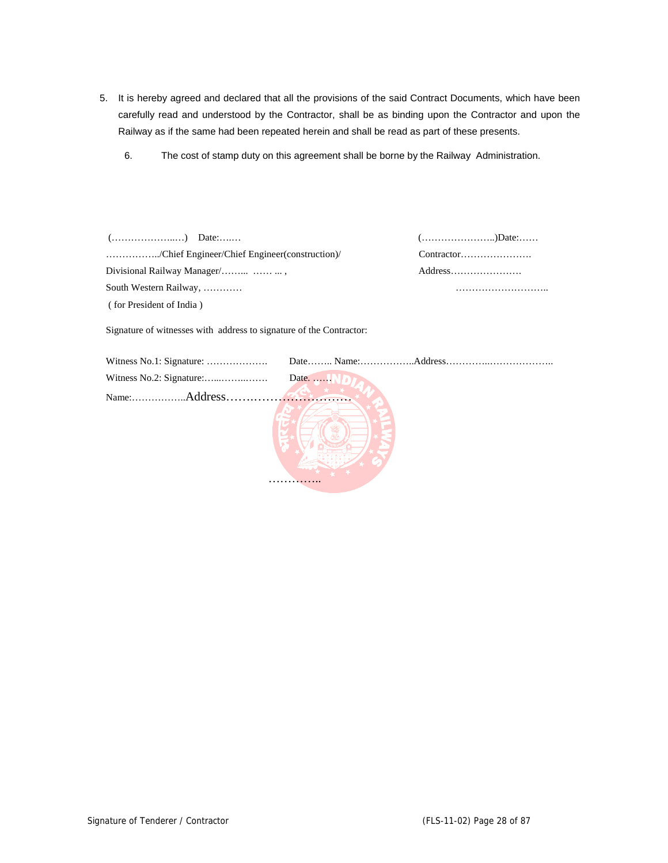- 5. It is hereby agreed and declared that all the provisions of the said Contract Documents, which have been carefully read and understood by the Contractor, shall be as binding upon the Contractor and upon the Railway as if the same had been repeated herein and shall be read as part of these presents.
	- 6. The cost of stamp duty on this agreement shall be borne by the Railway Administration.

| $(\dots \dots \dots \dots \dots \dots)$ Date: | $(\ldots, \ldots, \ldots, \ldots, \ldots)$ Date: $\ldots, \ldots$ |
|-----------------------------------------------|-------------------------------------------------------------------|
| /Chief Engineer/Chief Engineer(construction)/ | Contractor                                                        |
|                                               | Address                                                           |
| South Western Railway,                        |                                                                   |
| (for President of India)                      |                                                                   |

Signature of witnesses with address to signature of the Contractor:

| Date. |
|-------|
|       |
|       |
|       |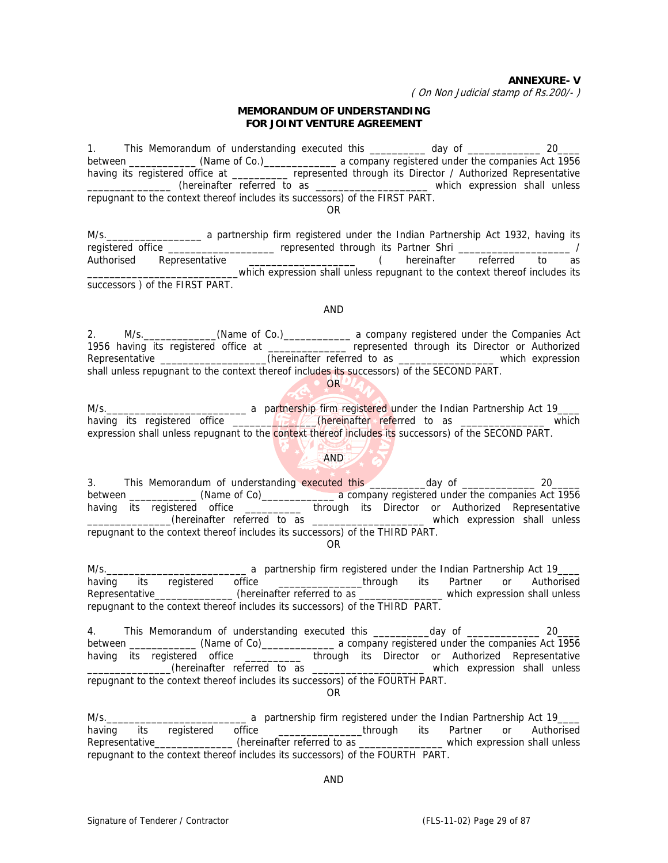### **ANNEXURE- V**

( On Non Judicial stamp of Rs.200/- )

# **MEMORANDUM OF UNDERSTANDING FOR JOINT VENTURE AGREEMENT**

1. This Memorandum of understanding executed this \_\_\_\_\_\_\_\_\_\_ day of \_\_\_\_\_\_\_\_\_\_\_\_ 20\_\_ between \_\_\_\_\_\_\_\_\_\_\_\_\_(Name of Co.)\_\_\_\_\_\_\_\_\_\_\_\_\_\_\_\_\_\_\_\_ a company registered under the companies Act 1956 having its registered office at \_\_\_\_\_\_\_\_\_\_ represented through its Director / Authorized Representative \_\_\_\_\_\_\_\_\_\_\_\_\_\_\_ (hereinafter referred to as \_\_\_\_\_\_\_\_\_\_\_\_\_\_\_\_\_\_\_\_ which expression shall unless repugnant to the context thereof includes its successors) of the FIRST PART.

OR

M/s.\_\_\_\_\_\_\_\_\_\_\_\_\_\_\_\_\_ a partnership firm registered under the Indian Partnership Act 1932, having its registered office \_\_\_\_\_\_\_\_\_\_\_\_\_\_\_\_\_\_\_ represented through its Partner Shri \_\_\_\_\_\_\_\_\_\_\_\_\_\_\_\_\_\_\_\_ / Authorised Representative \_\_\_\_\_\_\_\_\_\_\_\_\_\_\_\_\_\_\_ ( hereinafter referred to as \_\_\_\_\_\_\_\_\_\_\_\_\_\_\_\_\_\_\_\_\_\_\_\_\_\_\_which expression shall unless repugnant to the context thereof includes its successors ) of the FIRST PART.

### AND

2. M/s. \_\_\_\_\_\_\_\_\_\_\_(Name of Co.)\_\_\_\_\_\_\_\_\_\_\_\_\_\_\_\_\_\_\_\_\_\_ a company registered under the Companies Act 1956 having its registered office at \_\_\_\_\_\_\_\_\_\_\_\_\_\_ represented through its Director or Authorized Representative \_\_\_\_\_\_\_\_\_\_\_\_\_\_\_\_\_(hereinafter referred to as \_\_\_\_\_\_\_\_\_\_\_\_\_\_\_\_\_\_\_ which expression shall unless repugnant to the context thereof includes its successors) of the SECOND PART. OR

M/s.\_\_\_\_\_\_\_\_\_\_\_\_\_\_\_\_\_\_\_\_\_\_\_\_\_ a partnership firm registered under the Indian Partnership Act 19\_\_\_\_ having its registered office \_\_\_\_\_\_\_\_\_\_\_\_\_\_\_\_\_\_\_\_\_\_\_\_\_\_\_\_\_(hereinafter referred to as \_\_\_\_\_\_\_\_\_\_\_\_\_\_\_\_ which expression shall unless repugnant to the context thereof includes its successors) of the SECOND PART.

# AND

3. This Memorandum of understanding executed this \_\_\_\_\_\_\_\_\_day of \_\_\_\_\_\_\_\_\_\_\_\_\_ 20\_ between \_\_\_\_\_\_\_\_\_\_\_\_ (Name of Co)\_\_\_\_\_\_\_\_\_\_\_\_\_ a company registered under the companies Act 1956 having its registered office \_\_\_\_\_\_\_\_\_\_ through its Director or Authorized Representative \_\_\_\_\_\_\_\_\_\_\_\_\_\_\_(hereinafter referred to as \_\_\_\_\_\_\_\_\_\_\_\_\_\_\_\_\_\_\_\_ which expression shall unless repugnant to the context thereof includes its successors) of the THIRD PART. OR

M/s.\_\_\_\_\_\_\_\_\_\_\_\_\_\_\_\_\_\_\_\_\_\_\_\_\_ a partnership firm registered under the Indian Partnership Act 19\_\_\_\_ having its registered office \_\_\_\_\_\_\_\_\_\_\_\_\_\_\_through its Partner or Authorised Representative\_\_\_\_\_\_\_\_\_\_\_\_\_\_\_\_(hereinafter referred to as \_\_\_\_\_\_\_\_\_\_\_\_\_\_\_\_\_\_\_ which expression shall unless repugnant to the context thereof includes its successors) of the THIRD PART.

4. This Memorandum of understanding executed this \_\_\_\_\_\_\_\_\_\_\_day of \_\_\_\_\_\_\_\_\_\_\_\_ 20\_\_ between \_\_\_\_\_\_\_\_\_\_\_\_\_ (Name of Co)\_\_\_\_\_\_\_\_\_\_\_\_\_\_ a company registered under the companies Act 1956 having its registered office \_\_\_\_\_\_\_\_\_\_ through its Director or Authorized Representative \_\_\_\_\_\_\_\_\_\_\_\_\_\_\_(hereinafter referred to as \_\_\_\_\_\_\_\_\_\_\_\_\_\_\_\_\_\_\_\_ which expression shall unless repugnant to the context thereof includes its successors) of the FOURTH PART. OR

M/s.\_\_\_\_\_\_\_\_\_\_\_\_\_\_\_\_\_\_\_\_\_\_\_\_\_ a partnership firm registered under the Indian Partnership Act 19\_\_\_\_ having its registered office \_\_\_\_\_\_\_\_\_\_\_\_\_\_\_\_through its Partner or Authorised Representative\_\_\_\_\_\_\_\_\_\_\_\_\_\_\_\_(hereinafter referred to as \_\_\_\_\_\_\_\_\_\_\_\_\_\_\_\_\_\_\_ which expression shall unless repugnant to the context thereof includes its successors) of the FOURTH PART.

AND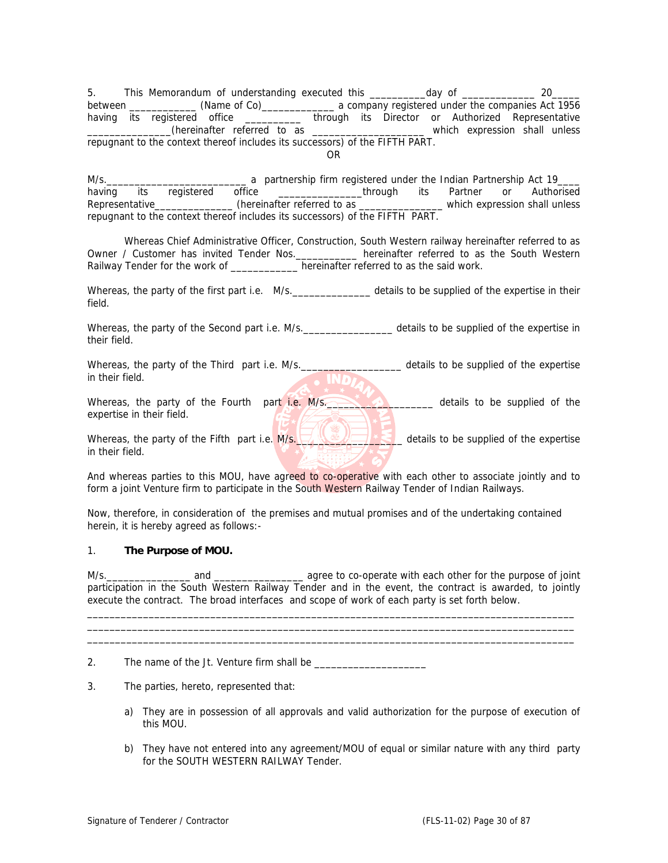5. This Memorandum of understanding executed this \_\_\_\_\_\_\_\_\_\_day of \_\_\_\_\_\_\_\_\_\_\_\_\_ 20\_\_\_\_\_ between \_\_\_\_\_\_\_\_\_\_\_\_\_ (Name of Co)\_\_\_\_\_\_\_\_\_\_\_\_\_\_\_ a company registered under the companies Act 1956 having its registered office \_\_\_\_\_\_\_\_\_\_ through its Director or Authorized Representative \_\_\_\_\_\_\_\_\_\_\_\_\_\_\_(hereinafter referred to as \_\_\_\_\_\_\_\_\_\_\_\_\_\_\_\_\_\_\_\_ which expression shall unless repugnant to the context thereof includes its successors) of the FIFTH PART.

OR

M/s.\_\_\_\_\_\_\_\_\_\_\_\_\_\_\_\_\_\_\_\_\_\_\_\_\_ a partnership firm registered under the Indian Partnership Act 19\_\_\_\_ having its registered office \_\_\_\_\_\_\_\_\_\_\_\_\_\_\_\_through its Partner or Authorised Representative **EXEC SECONG CONSTRESS** (hereinafter referred to as  $\blacksquare$  which expression shall unless repugnant to the context thereof includes its successors) of the FIFTH PART.

Whereas Chief Administrative Officer, Construction, South Western railway hereinafter referred to as Owner / Customer has invited Tender Nos.\_\_\_\_\_\_\_\_\_\_\_ hereinafter referred to as the South Western Railway Tender for the work of \_\_\_\_\_\_\_\_\_\_\_\_\_ hereinafter referred to as the said work.

Whereas, the party of the first part i.e. M/s. details to be supplied of the expertise in their field.

Whereas, the party of the Second part i.e. M/s. \_\_\_\_\_\_\_\_\_\_\_\_\_\_\_\_\_ details to be supplied of the expertise in their field.

Whereas, the party of the Third part i.e. M/s. \_\_\_\_\_\_\_\_\_\_\_\_\_\_\_\_\_\_\_\_\_\_\_ details to be supplied of the expertise in their field.

Whereas, the party of the Fourth part i.e. M/s. Contract the details to be supplied of the expertise in their field.

Whereas, the party of the Fifth part i.e.  $M/s$ .  $\Box$   $\Box$   $\Box$   $\Box$  details to be supplied of the expertise in their field.

And whereas parties to this MOU, have agreed to co-operative with each other to associate jointly and to form a joint Venture firm to participate in the South Western Railway Tender of Indian Railways.

Now, therefore, in consideration of the premises and mutual promises and of the undertaking contained herein, it is hereby agreed as follows:-

# 1. **The Purpose of MOU.**

M/s.\_\_\_\_\_\_\_\_\_\_\_\_\_\_\_ and \_\_\_\_\_\_\_\_\_\_\_\_\_\_\_\_ agree to co-operate with each other for the purpose of joint participation in the South Western Railway Tender and in the event, the contract is awarded, to jointly execute the contract. The broad interfaces and scope of work of each party is set forth below.

\_\_\_\_\_\_\_\_\_\_\_\_\_\_\_\_\_\_\_\_\_\_\_\_\_\_\_\_\_\_\_\_\_\_\_\_\_\_\_\_\_\_\_\_\_\_\_\_\_\_\_\_\_\_\_\_\_\_\_\_\_\_\_\_\_\_\_\_\_\_\_\_\_\_\_\_\_\_\_\_\_\_\_\_\_\_\_ \_\_\_\_\_\_\_\_\_\_\_\_\_\_\_\_\_\_\_\_\_\_\_\_\_\_\_\_\_\_\_\_\_\_\_\_\_\_\_\_\_\_\_\_\_\_\_\_\_\_\_\_\_\_\_\_\_\_\_\_\_\_\_\_\_\_\_\_\_\_\_\_\_\_\_\_\_\_\_\_\_\_\_\_\_\_\_ \_\_\_\_\_\_\_\_\_\_\_\_\_\_\_\_\_\_\_\_\_\_\_\_\_\_\_\_\_\_\_\_\_\_\_\_\_\_\_\_\_\_\_\_\_\_\_\_\_\_\_\_\_\_\_\_\_\_\_\_\_\_\_\_\_\_\_\_\_\_\_\_\_\_\_\_\_\_\_\_\_\_\_\_\_\_\_

2. The name of the Jt. Venture firm shall be \_\_\_\_\_\_\_\_\_\_\_\_\_

- 3. The parties, hereto, represented that:
	- a) They are in possession of all approvals and valid authorization for the purpose of execution of this MOU.
	- b) They have not entered into any agreement/MOU of equal or similar nature with any third party for the SOUTH WESTERN RAILWAY Tender.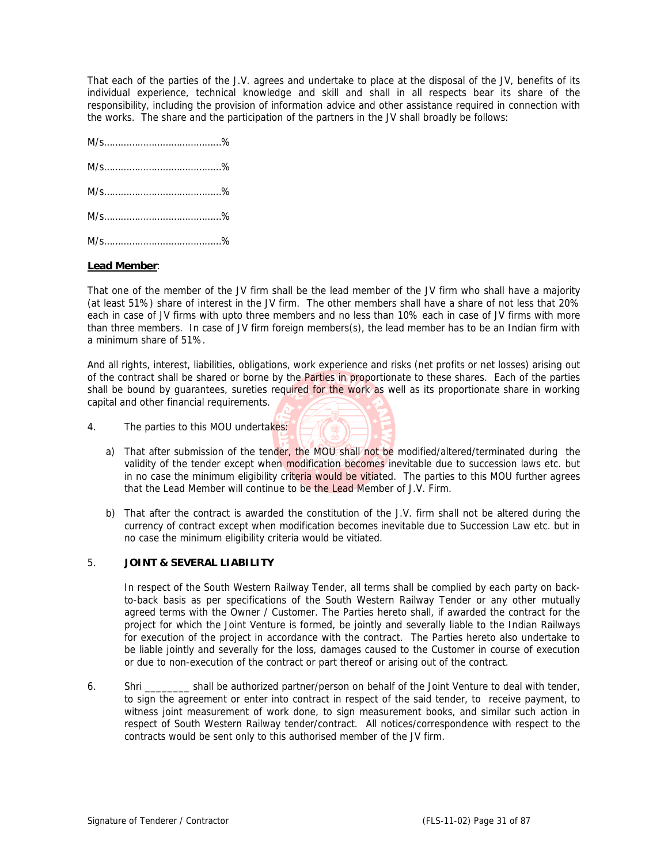That each of the parties of the J.V. agrees and undertake to place at the disposal of the JV, benefits of its individual experience, technical knowledge and skill and shall in all respects bear its share of the responsibility, including the provision of information advice and other assistance required in connection with the works. The share and the participation of the partners in the JV shall broadly be follows:

# **Lead Member**:

That one of the member of the JV firm shall be the lead member of the JV firm who shall have a majority (at least 51%) share of interest in the JV firm. The other members shall have a share of not less that 20% each in case of JV firms with upto three members and no less than 10% each in case of JV firms with more than three members. In case of JV firm foreign members(s), the lead member has to be an Indian firm with a minimum share of 51%.

And all rights, interest, liabilities, obligations, work experience and risks (net profits or net losses) arising out of the contract shall be shared or borne by the Parties in proportionate to these shares. Each of the parties shall be bound by guarantees, sureties required for the work as well as its proportionate share in working capital and other financial requirements.

# 4. The parties to this MOU undertakes:

- a) That after submission of the tender, the MOU shall not be modified/altered/terminated during the validity of the tender except when modification becomes inevitable due to succession laws etc. but in no case the minimum eligibility criteria would be vitiated. The parties to this MOU further agrees that the Lead Member will continue to be the Lead Member of J.V. Firm.
- b) That after the contract is awarded the constitution of the J.V. firm shall not be altered during the currency of contract except when modification becomes inevitable due to Succession Law etc. but in no case the minimum eligibility criteria would be vitiated.

# 5. **JOINT & SEVERAL LIABILITY**

In respect of the South Western Railway Tender, all terms shall be complied by each party on backto-back basis as per specifications of the South Western Railway Tender or any other mutually agreed terms with the Owner / Customer. The Parties hereto shall, if awarded the contract for the project for which the Joint Venture is formed, be jointly and severally liable to the Indian Railways for execution of the project in accordance with the contract. The Parties hereto also undertake to be liable jointly and severally for the loss, damages caused to the Customer in course of execution or due to non-execution of the contract or part thereof or arising out of the contract.

6. Shri \_\_\_\_\_\_\_\_ shall be authorized partner/person on behalf of the Joint Venture to deal with tender, to sign the agreement or enter into contract in respect of the said tender, to receive payment, to witness joint measurement of work done, to sign measurement books, and similar such action in respect of South Western Railway tender/contract. All notices/correspondence with respect to the contracts would be sent only to this authorised member of the JV firm.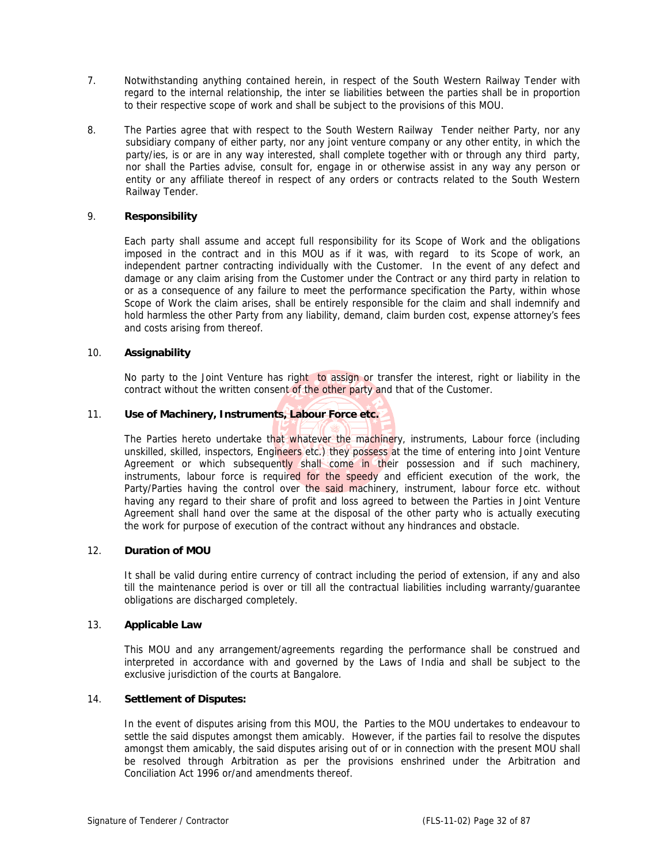- 7. Notwithstanding anything contained herein, in respect of the South Western Railway Tender with regard to the internal relationship, the inter se liabilities between the parties shall be in proportion to their respective scope of work and shall be subject to the provisions of this MOU.
- 8. The Parties agree that with respect to the South Western Railway Tender neither Party, nor any subsidiary company of either party, nor any joint venture company or any other entity, in which the party/ies, is or are in any way interested, shall complete together with or through any third party, nor shall the Parties advise, consult for, engage in or otherwise assist in any way any person or entity or any affiliate thereof in respect of any orders or contracts related to the South Western Railway Tender.

# 9. **Responsibility**

Each party shall assume and accept full responsibility for its Scope of Work and the obligations imposed in the contract and in this MOU as if it was, with regard to its Scope of work, an independent partner contracting individually with the Customer. In the event of any defect and damage or any claim arising from the Customer under the Contract or any third party in relation to or as a consequence of any failure to meet the performance specification the Party, within whose Scope of Work the claim arises, shall be entirely responsible for the claim and shall indemnify and hold harmless the other Party from any liability, demand, claim burden cost, expense attorney's fees and costs arising from thereof.

# 10. **Assignability**

No party to the Joint Venture has right to assign or transfer the interest, right or liability in the contract without the written consent of the other party and that of the Customer.

# 11. **Use of Machinery, Instruments, Labour Force etc.**

The Parties hereto undertake that whatever the machinery, instruments, Labour force (including unskilled, skilled, inspectors, Engineers etc.) they possess at the time of entering into Joint Venture Agreement or which subsequently shall come in their possession and if such machinery, instruments, labour force is required for the speedy and efficient execution of the work, the Party/Parties having the control over the said machinery, instrument, labour force etc. without having any regard to their share of profit and loss agreed to between the Parties in Joint Venture Agreement shall hand over the same at the disposal of the other party who is actually executing the work for purpose of execution of the contract without any hindrances and obstacle.

# 12. **Duration of MOU**

It shall be valid during entire currency of contract including the period of extension, if any and also till the maintenance period is over or till all the contractual liabilities including warranty/guarantee obligations are discharged completely.

# 13. **Applicable Law**

This MOU and any arrangement/agreements regarding the performance shall be construed and interpreted in accordance with and governed by the Laws of India and shall be subject to the exclusive jurisdiction of the courts at Bangalore.

# 14. **Settlement of Disputes:**

In the event of disputes arising from this MOU, the Parties to the MOU undertakes to endeavour to settle the said disputes amongst them amicably. However, if the parties fail to resolve the disputes amongst them amicably, the said disputes arising out of or in connection with the present MOU shall be resolved through Arbitration as per the provisions enshrined under the Arbitration and Conciliation Act 1996 or/and amendments thereof.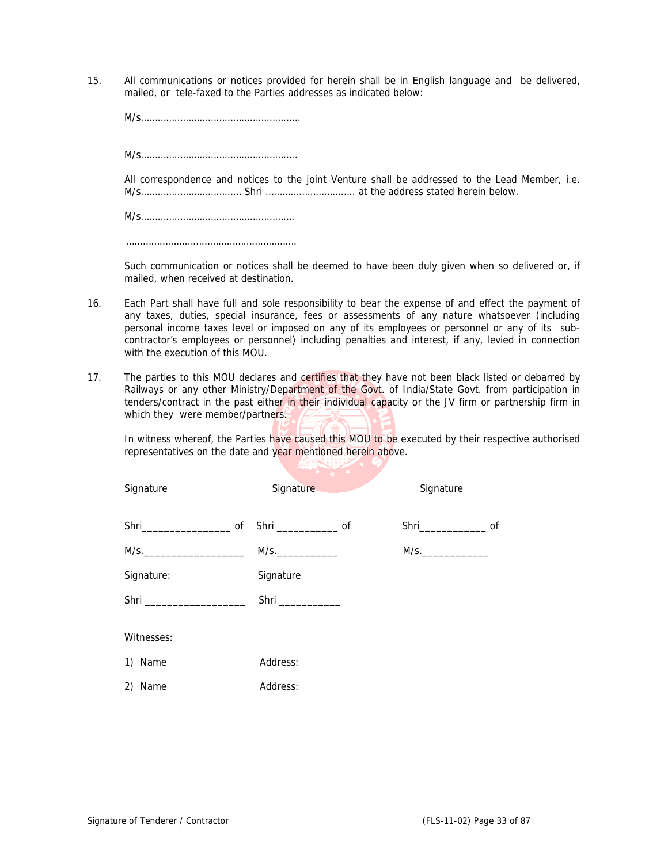15. All communications or notices provided for herein shall be in English language and be delivered, mailed, or tele-faxed to the Parties addresses as indicated below:

M/s…………………………………………………

M/s………………………………………………..

All correspondence and notices to the joint Venture shall be addressed to the Lead Member, i.e. M/s……………………………… Shri ………………………….. at the address stated herein below.

M/s………………………………………………. …………………………………………………….

Such communication or notices shall be deemed to have been duly given when so delivered or, if mailed, when received at destination.

- 16. Each Part shall have full and sole responsibility to bear the expense of and effect the payment of any taxes, duties, special insurance, fees or assessments of any nature whatsoever (including personal income taxes level or imposed on any of its employees or personnel or any of its subcontractor's employees or personnel) including penalties and interest, if any, levied in connection with the execution of this MOU.
- 17. The parties to this MOU declares and certifies that they have not been black listed or debarred by Railways or any other Ministry/Department of the Govt. of India/State Govt. from participation in tenders/contract in the past either in their individual capacity or the JV firm or partnership firm in which they were member/partners.

In witness whereof, the Parties have caused this MOU to be executed by their respective authorised representatives on the date and year mentioned herein above.

| Signature                     | Signature                    | Signature |  |  |
|-------------------------------|------------------------------|-----------|--|--|
|                               | Shri ____________________ of |           |  |  |
|                               | M/s.                         | M/s.      |  |  |
| Signature:                    | Signature                    |           |  |  |
| Shri ________________________ | Shri                         |           |  |  |
| Witnesses:                    |                              |           |  |  |
| 1) Name                       | Address:                     |           |  |  |
| 2) Name                       | Address:                     |           |  |  |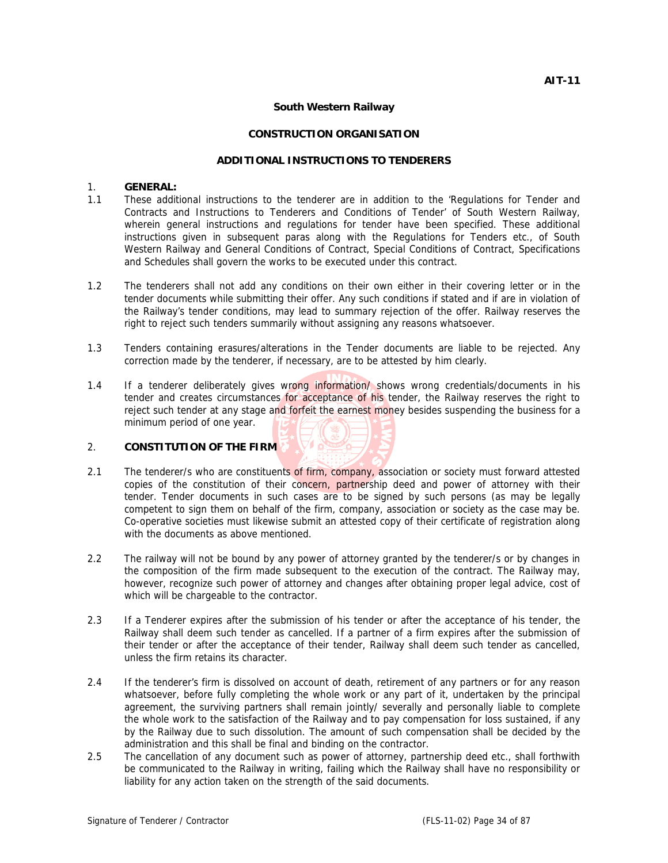### **South Western Railway**

# **CONSTRUCTION ORGANISATION**

# **ADDITIONAL INSTRUCTIONS TO TENDERERS**

# 1. **GENERAL:**

- 1.1 These additional instructions to the tenderer are in addition to the 'Regulations for Tender and Contracts and Instructions to Tenderers and Conditions of Tender' of South Western Railway, wherein general instructions and regulations for tender have been specified. These additional instructions given in subsequent paras along with the Regulations for Tenders etc., of South Western Railway and General Conditions of Contract, Special Conditions of Contract, Specifications and Schedules shall govern the works to be executed under this contract.
- 1.2 The tenderers shall not add any conditions on their own either in their covering letter or in the tender documents while submitting their offer. Any such conditions if stated and if are in violation of the Railway's tender conditions, may lead to summary rejection of the offer. Railway reserves the right to reject such tenders summarily without assigning any reasons whatsoever.
- 1.3 Tenders containing erasures/alterations in the Tender documents are liable to be rejected. Any correction made by the tenderer, if necessary, are to be attested by him clearly.
- 1.4 If a tenderer deliberately gives wrong information/ shows wrong credentials/documents in his tender and creates circumstances for acceptance of his tender, the Railway reserves the right to reject such tender at any stage and forfeit the earnest money besides suspending the business for a minimum period of one year.

# 2. **CONSTITUTION OF THE FIRM**

- 2.1 The tenderer/s who are constituents of firm, company, association or society must forward attested copies of the constitution of their concern, partnership deed and power of attorney with their tender. Tender documents in such cases are to be signed by such persons (as may be legally competent to sign them on behalf of the firm, company, association or society as the case may be. Co-operative societies must likewise submit an attested copy of their certificate of registration along with the documents as above mentioned.
- 2.2 The railway will not be bound by any power of attorney granted by the tenderer/s or by changes in the composition of the firm made subsequent to the execution of the contract. The Railway may, however, recognize such power of attorney and changes after obtaining proper legal advice, cost of which will be chargeable to the contractor.
- 2.3 If a Tenderer expires after the submission of his tender or after the acceptance of his tender, the Railway shall deem such tender as cancelled. If a partner of a firm expires after the submission of their tender or after the acceptance of their tender, Railway shall deem such tender as cancelled, unless the firm retains its character.
- 2.4 If the tenderer's firm is dissolved on account of death, retirement of any partners or for any reason whatsoever, before fully completing the whole work or any part of it, undertaken by the principal agreement, the surviving partners shall remain jointly/ severally and personally liable to complete the whole work to the satisfaction of the Railway and to pay compensation for loss sustained, if any by the Railway due to such dissolution. The amount of such compensation shall be decided by the administration and this shall be final and binding on the contractor.
- 2.5 The cancellation of any document such as power of attorney, partnership deed etc., shall forthwith be communicated to the Railway in writing, failing which the Railway shall have no responsibility or liability for any action taken on the strength of the said documents.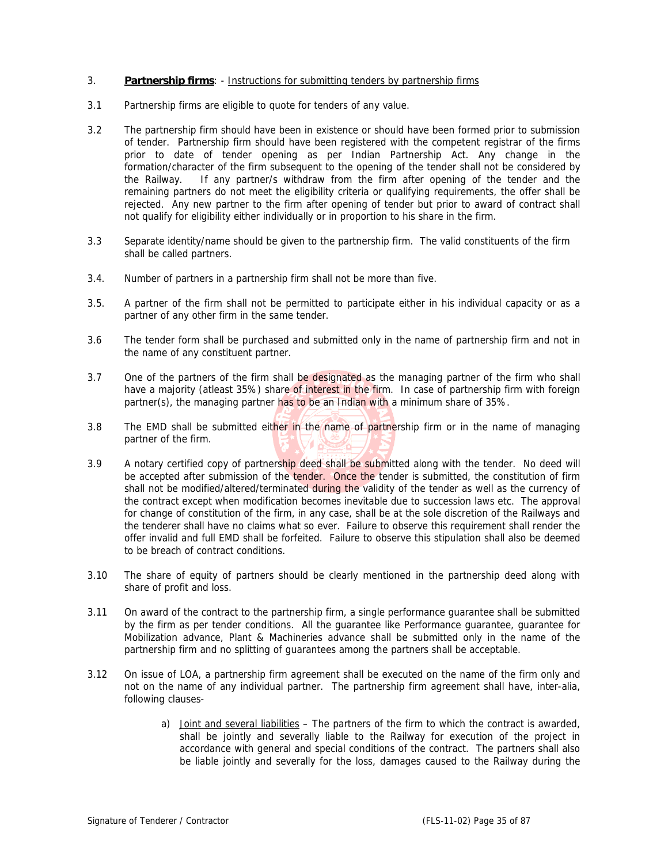# 3. **Partnership firms**: - Instructions for submitting tenders by partnership firms

- 3.1 Partnership firms are eligible to quote for tenders of any value.
- 3.2 The partnership firm should have been in existence or should have been formed prior to submission of tender. Partnership firm should have been registered with the competent registrar of the firms prior to date of tender opening as per Indian Partnership Act. Any change in the formation/character of the firm subsequent to the opening of the tender shall not be considered by the Railway. If any partner/s withdraw from the firm after opening of the tender and the remaining partners do not meet the eligibility criteria or qualifying requirements, the offer shall be rejected. Any new partner to the firm after opening of tender but prior to award of contract shall not qualify for eligibility either individually or in proportion to his share in the firm.
- 3.3 Separate identity/name should be given to the partnership firm. The valid constituents of the firm shall be called partners.
- 3.4. Number of partners in a partnership firm shall not be more than five.
- 3.5. A partner of the firm shall not be permitted to participate either in his individual capacity or as a partner of any other firm in the same tender.
- 3.6 The tender form shall be purchased and submitted only in the name of partnership firm and not in the name of any constituent partner.
- 3.7 One of the partners of the firm shall be designated as the managing partner of the firm who shall have a majority (atleast 35%) share of interest in the firm. In case of partnership firm with foreign partner(s), the managing partner has to be an Indian with a minimum share of 35%.
- 3.8 The EMD shall be submitted either in the name of partnership firm or in the name of managing partner of the firm.
- 3.9 A notary certified copy of partnership deed shall be submitted along with the tender. No deed will be accepted after submission of the tender. Once the tender is submitted, the constitution of firm shall not be modified/altered/terminated during the validity of the tender as well as the currency of the contract except when modification becomes inevitable due to succession laws etc. The approval for change of constitution of the firm, in any case, shall be at the sole discretion of the Railways and the tenderer shall have no claims what so ever. Failure to observe this requirement shall render the offer invalid and full EMD shall be forfeited. Failure to observe this stipulation shall also be deemed to be breach of contract conditions.
- 3.10 The share of equity of partners should be clearly mentioned in the partnership deed along with share of profit and loss.
- 3.11 On award of the contract to the partnership firm, a single performance guarantee shall be submitted by the firm as per tender conditions. All the guarantee like Performance guarantee, guarantee for Mobilization advance, Plant & Machineries advance shall be submitted only in the name of the partnership firm and no splitting of guarantees among the partners shall be acceptable.
- 3.12 On issue of LOA, a partnership firm agreement shall be executed on the name of the firm only and not on the name of any individual partner. The partnership firm agreement shall have, inter-alia, following clauses
	- a) Joint and several liabilities The partners of the firm to which the contract is awarded, shall be jointly and severally liable to the Railway for execution of the project in accordance with general and special conditions of the contract. The partners shall also be liable jointly and severally for the loss, damages caused to the Railway during the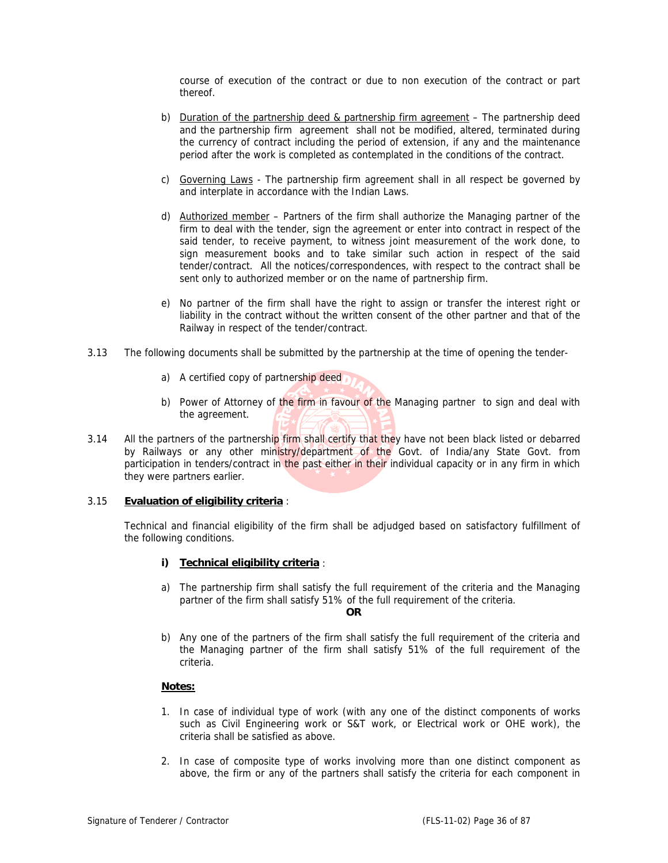course of execution of the contract or due to non execution of the contract or part thereof.

- b) Duration of the partnership deed & partnership firm agreement The partnership deed and the partnership firm agreement shall not be modified, altered, terminated during the currency of contract including the period of extension, if any and the maintenance period after the work is completed as contemplated in the conditions of the contract.
- c) Governing Laws The partnership firm agreement shall in all respect be governed by and interplate in accordance with the Indian Laws.
- d) Authorized member Partners of the firm shall authorize the Managing partner of the firm to deal with the tender, sign the agreement or enter into contract in respect of the said tender, to receive payment, to witness joint measurement of the work done, to sign measurement books and to take similar such action in respect of the said tender/contract. All the notices/correspondences, with respect to the contract shall be sent only to authorized member or on the name of partnership firm.
- e) No partner of the firm shall have the right to assign or transfer the interest right or liability in the contract without the written consent of the other partner and that of the Railway in respect of the tender/contract.
- 3.13 The following documents shall be submitted by the partnership at the time of opening the tender
	- a) A certified copy of partnership deed
	- b) Power of Attorney of the firm in favour of the Managing partner to sign and deal with the agreement.
- 3.14 All the partners of the partnership firm shall certify that they have not been black listed or debarred by Railways or any other ministry/department of the Govt. of India/any State Govt. from participation in tenders/contract in the past either in their individual capacity or in any firm in which they were partners earlier.

# 3.15 **Evaluation of eligibility criteria** :

Technical and financial eligibility of the firm shall be adjudged based on satisfactory fulfillment of the following conditions.

# **i) Technical eligibility criteria** :

a) The partnership firm shall satisfy the full requirement of the criteria and the Managing partner of the firm shall satisfy 51% of the full requirement of the criteria.

**OR** 

b) Any one of the partners of the firm shall satisfy the full requirement of the criteria and the Managing partner of the firm shall satisfy 51% of the full requirement of the criteria.

# **Notes:**

- 1. In case of individual type of work (with any one of the distinct components of works such as Civil Engineering work or S&T work, or Electrical work or OHE work), the criteria shall be satisfied as above.
- 2. In case of composite type of works involving more than one distinct component as above, the firm or any of the partners shall satisfy the criteria for each component in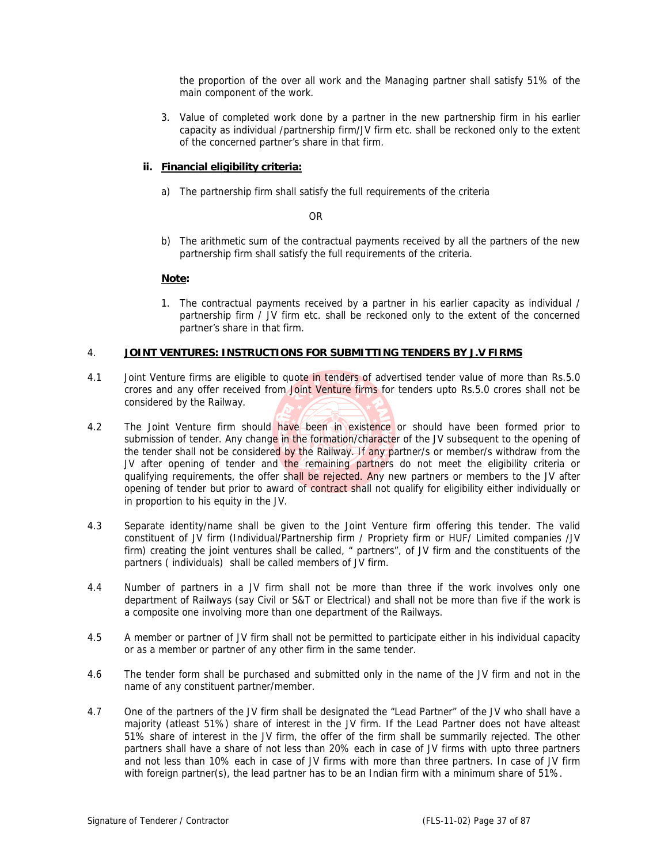the proportion of the over all work and the Managing partner shall satisfy 51% of the main component of the work.

3. Value of completed work done by a partner in the new partnership firm in his earlier capacity as individual /partnership firm/JV firm etc. shall be reckoned only to the extent of the concerned partner's share in that firm.

## **ii. Financial eligibility criteria:**

a) The partnership firm shall satisfy the full requirements of the criteria

#### OR

b) The arithmetic sum of the contractual payments received by all the partners of the new partnership firm shall satisfy the full requirements of the criteria.

## **Note:**

1. The contractual payments received by a partner in his earlier capacity as individual / partnership firm / JV firm etc. shall be reckoned only to the extent of the concerned partner's share in that firm.

## 4. **JOINT VENTURES: INSTRUCTIONS FOR SUBMITTING TENDERS BY J.V FIRMS**

- 4.1 Joint Venture firms are eligible to quote in tenders of advertised tender value of more than Rs.5.0 crores and any offer received from Joint Venture firms for tenders upto Rs.5.0 crores shall not be considered by the Railway.
- 4.2 The Joint Venture firm should have been in existence or should have been formed prior to submission of tender. Any change in the formation/character of the JV subsequent to the opening of the tender shall not be considered by the Railway. If any partner/s or member/s withdraw from the JV after opening of tender and the remaining partners do not meet the eligibility criteria or qualifying requirements, the offer shall be rejected. Any new partners or members to the JV after opening of tender but prior to award of contract shall not qualify for eligibility either individually or in proportion to his equity in the JV.
- 4.3 Separate identity/name shall be given to the Joint Venture firm offering this tender. The valid constituent of JV firm (Individual/Partnership firm / Propriety firm or HUF/ Limited companies /JV firm) creating the joint ventures shall be called, " partners", of JV firm and the constituents of the partners ( individuals) shall be called members of JV firm.
- 4.4 Number of partners in a JV firm shall not be more than three if the work involves only one department of Railways (say Civil or S&T or Electrical) and shall not be more than five if the work is a composite one involving more than one department of the Railways.
- 4.5 A member or partner of JV firm shall not be permitted to participate either in his individual capacity or as a member or partner of any other firm in the same tender.
- 4.6 The tender form shall be purchased and submitted only in the name of the JV firm and not in the name of any constituent partner/member.
- 4.7 One of the partners of the JV firm shall be designated the "Lead Partner" of the JV who shall have a majority (atleast 51%) share of interest in the JV firm. If the Lead Partner does not have alteast 51% share of interest in the JV firm, the offer of the firm shall be summarily rejected. The other partners shall have a share of not less than 20% each in case of JV firms with upto three partners and not less than 10% each in case of JV firms with more than three partners. In case of JV firm with foreign partner(s), the lead partner has to be an Indian firm with a minimum share of 51%.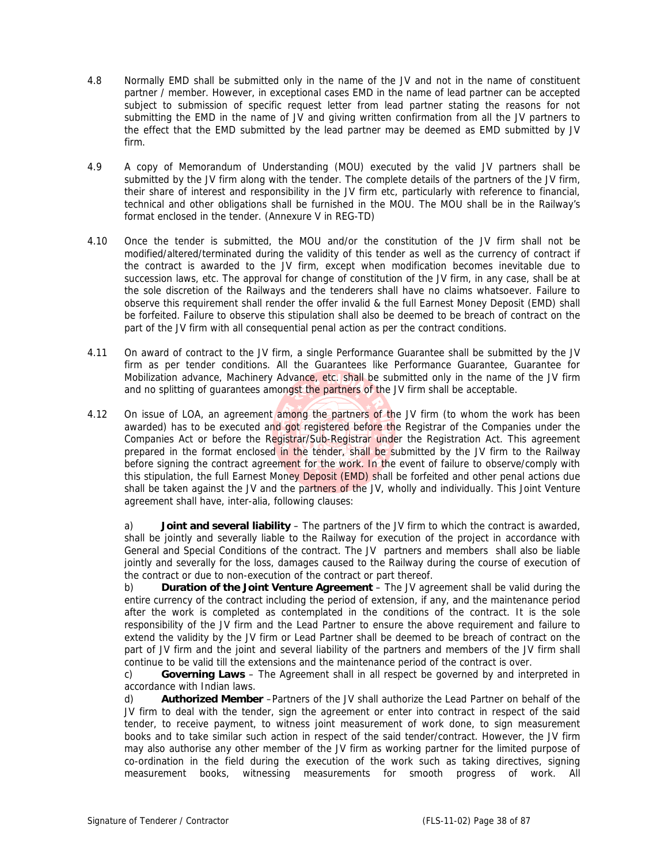- 4.8 Normally EMD shall be submitted only in the name of the JV and not in the name of constituent partner / member. However, in exceptional cases EMD in the name of lead partner can be accepted subject to submission of specific request letter from lead partner stating the reasons for not submitting the EMD in the name of JV and giving written confirmation from all the JV partners to the effect that the EMD submitted by the lead partner may be deemed as EMD submitted by JV firm.
- 4.9 A copy of Memorandum of Understanding (MOU) executed by the valid JV partners shall be submitted by the JV firm along with the tender. The complete details of the partners of the JV firm, their share of interest and responsibility in the JV firm etc, particularly with reference to financial, technical and other obligations shall be furnished in the MOU. The MOU shall be in the Railway's format enclosed in the tender. (Annexure V in REG-TD)
- 4.10 Once the tender is submitted, the MOU and/or the constitution of the JV firm shall not be modified/altered/terminated during the validity of this tender as well as the currency of contract if the contract is awarded to the JV firm, except when modification becomes inevitable due to succession laws, etc. The approval for change of constitution of the JV firm, in any case, shall be at the sole discretion of the Railways and the tenderers shall have no claims whatsoever. Failure to observe this requirement shall render the offer invalid & the full Earnest Money Deposit (EMD) shall be forfeited. Failure to observe this stipulation shall also be deemed to be breach of contract on the part of the JV firm with all consequential penal action as per the contract conditions.
- 4.11 On award of contract to the JV firm, a single Performance Guarantee shall be submitted by the JV firm as per tender conditions. All the Guarantees like Performance Guarantee, Guarantee for Mobilization advance, Machinery Advance, etc. shall be submitted only in the name of the JV firm and no splitting of guarantees amongst the partners of the JV firm shall be acceptable.
- 4.12 On issue of LOA, an agreement among the partners of the JV firm (to whom the work has been awarded) has to be executed and got registered before the Registrar of the Companies under the Companies Act or before the Registrar/Sub-Registrar under the Registration Act. This agreement prepared in the format enclosed in the tender, shall be submitted by the JV firm to the Railway before signing the contract agreement for the work. In the event of failure to observe/comply with this stipulation, the full Earnest Money Deposit (EMD) shall be forfeited and other penal actions due shall be taken against the JV and the partners of the JV, wholly and individually. This Joint Venture agreement shall have, inter-alia, following clauses:

a) **Joint and several liability** – The partners of the JV firm to which the contract is awarded, shall be jointly and severally liable to the Railway for execution of the project in accordance with General and Special Conditions of the contract. The JV partners and members shall also be liable jointly and severally for the loss, damages caused to the Railway during the course of execution of the contract or due to non-execution of the contract or part thereof.

b) **Duration of the Joint Venture Agreement** – The JV agreement shall be valid during the entire currency of the contract including the period of extension, if any, and the maintenance period after the work is completed as contemplated in the conditions of the contract. It is the sole responsibility of the JV firm and the Lead Partner to ensure the above requirement and failure to extend the validity by the JV firm or Lead Partner shall be deemed to be breach of contract on the part of JV firm and the joint and several liability of the partners and members of the JV firm shall continue to be valid till the extensions and the maintenance period of the contract is over.

c) **Governing Laws** – The Agreement shall in all respect be governed by and interpreted in accordance with Indian laws.

d) **Authorized Member** –Partners of the JV shall authorize the Lead Partner on behalf of the JV firm to deal with the tender, sign the agreement or enter into contract in respect of the said tender, to receive payment, to witness joint measurement of work done, to sign measurement books and to take similar such action in respect of the said tender/contract. However, the JV firm may also authorise any other member of the JV firm as working partner for the limited purpose of co-ordination in the field during the execution of the work such as taking directives, signing measurement books, witnessing measurements for smooth progress of work. All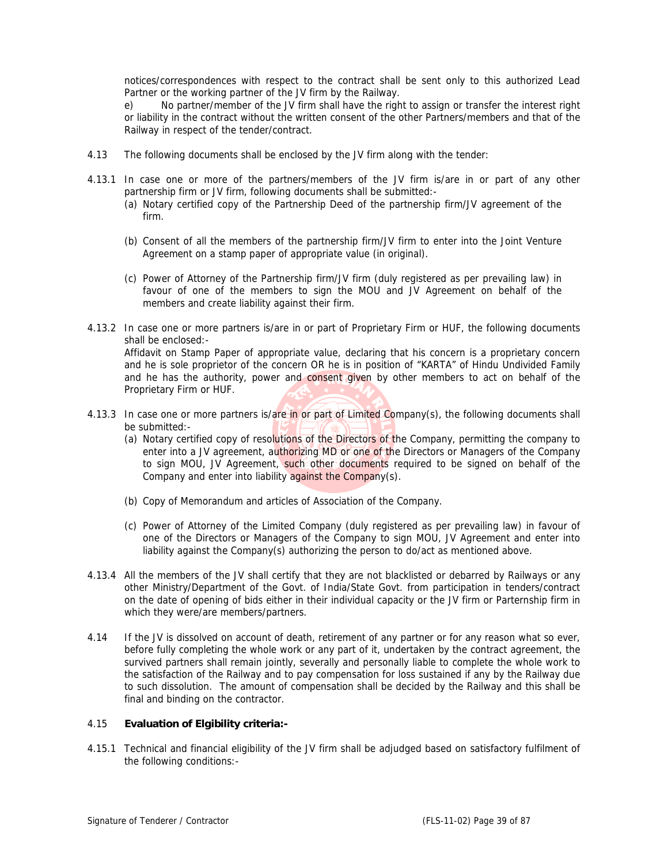notices/correspondences with respect to the contract shall be sent only to this authorized Lead Partner or the working partner of the JV firm by the Railway.

e) No partner/member of the JV firm shall have the right to assign or transfer the interest right or liability in the contract without the written consent of the other Partners/members and that of the Railway in respect of the tender/contract.

- 4.13 The following documents shall be enclosed by the JV firm along with the tender:
- 4.13.1 In case one or more of the partners/members of the JV firm is/are in or part of any other partnership firm or JV firm, following documents shall be submitted:-
	- (a) Notary certified copy of the Partnership Deed of the partnership firm/JV agreement of the firm.
	- (b) Consent of all the members of the partnership firm/JV firm to enter into the Joint Venture Agreement on a stamp paper of appropriate value (in original).
	- (c) Power of Attorney of the Partnership firm/JV firm (duly registered as per prevailing law) in favour of one of the members to sign the MOU and JV Agreement on behalf of the members and create liability against their firm.
- 4.13.2 In case one or more partners is/are in or part of Proprietary Firm or HUF, the following documents shall be enclosed:- Affidavit on Stamp Paper of appropriate value, declaring that his concern is a proprietary concern and he is sole proprietor of the concern OR he is in position of "KARTA" of Hindu Undivided Family and he has the authority, power and consent given by other members to act on behalf of the Proprietary Firm or HUF.
- 4.13.3 In case one or more partners is/are in or part of Limited Company(s), the following documents shall be submitted:-
	- (a) Notary certified copy of resolutions of the Directors of the Company, permitting the company to enter into a JV agreement, authorizing MD or one of the Directors or Managers of the Company to sign MOU, JV Agreement, such other documents required to be signed on behalf of the Company and enter into liability against the Company(s).
	- (b) Copy of Memorandum and articles of Association of the Company.
	- (c) Power of Attorney of the Limited Company (duly registered as per prevailing law) in favour of one of the Directors or Managers of the Company to sign MOU, JV Agreement and enter into liability against the Company(s) authorizing the person to do/act as mentioned above.
- 4.13.4 All the members of the JV shall certify that they are not blacklisted or debarred by Railways or any other Ministry/Department of the Govt. of India/State Govt. from participation in tenders/contract on the date of opening of bids either in their individual capacity or the JV firm or Parternship firm in which they were/are members/partners.
- 4.14 If the JV is dissolved on account of death, retirement of any partner or for any reason what so ever, before fully completing the whole work or any part of it, undertaken by the contract agreement, the survived partners shall remain jointly, severally and personally liable to complete the whole work to the satisfaction of the Railway and to pay compensation for loss sustained if any by the Railway due to such dissolution. The amount of compensation shall be decided by the Railway and this shall be final and binding on the contractor.

#### 4.15 **Evaluation of Elgibility criteria:-**

4.15.1 Technical and financial eligibility of the JV firm shall be adjudged based on satisfactory fulfilment of the following conditions:-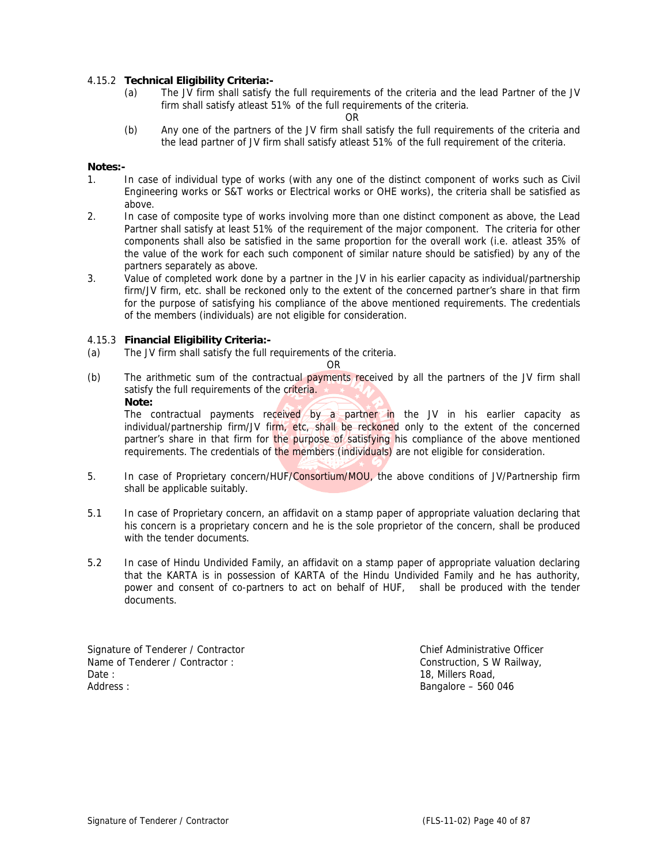## 4.15.2 **Technical Eligibility Criteria:-**

(a) The JV firm shall satisfy the full requirements of the criteria and the lead Partner of the JV firm shall satisfy atleast 51% of the full requirements of the criteria.

OR

(b) Any one of the partners of the JV firm shall satisfy the full requirements of the criteria and the lead partner of JV firm shall satisfy atleast 51% of the full requirement of the criteria.

## **Notes:-**

- 1. In case of individual type of works (with any one of the distinct component of works such as Civil Engineering works or S&T works or Electrical works or OHE works), the criteria shall be satisfied as above.
- 2. In case of composite type of works involving more than one distinct component as above, the Lead Partner shall satisfy at least 51% of the requirement of the major component. The criteria for other components shall also be satisfied in the same proportion for the overall work (i.e. atleast 35% of the value of the work for each such component of similar nature should be satisfied) by any of the partners separately as above.
- 3. Value of completed work done by a partner in the JV in his earlier capacity as individual/partnership firm/JV firm, etc. shall be reckoned only to the extent of the concerned partner's share in that firm for the purpose of satisfying his compliance of the above mentioned requirements. The credentials of the members (individuals) are not eligible for consideration.

## 4.15.3 **Financial Eligibility Criteria:-**

(a) The JV firm shall satisfy the full requirements of the criteria.

#### OR

(b) The arithmetic sum of the contractual payments received by all the partners of the JV firm shall satisfy the full requirements of the criteria.

#### **Note:**

The contractual payments received by a partner in the JV in his earlier capacity as individual/partnership firm/JV firm, etc, shall be reckoned only to the extent of the concerned partner's share in that firm for the purpose of satisfying his compliance of the above mentioned requirements. The credentials of the members (individuals) are not eligible for consideration.

- 5. In case of Proprietary concern/HUF/Consortium/MOU, the above conditions of JV/Partnership firm shall be applicable suitably.
- 5.1 In case of Proprietary concern, an affidavit on a stamp paper of appropriate valuation declaring that his concern is a proprietary concern and he is the sole proprietor of the concern, shall be produced with the tender documents.
- 5.2 In case of Hindu Undivided Family, an affidavit on a stamp paper of appropriate valuation declaring that the KARTA is in possession of KARTA of the Hindu Undivided Family and he has authority, power and consent of co-partners to act on behalf of HUF, shall be produced with the tender documents.

Signature of Tenderer / Contractor Chief Administrative Officer Name of Tenderer / Contractor : Construction, S W Railway, Date : 18, Millers Road, Address : Bangalore – 560 046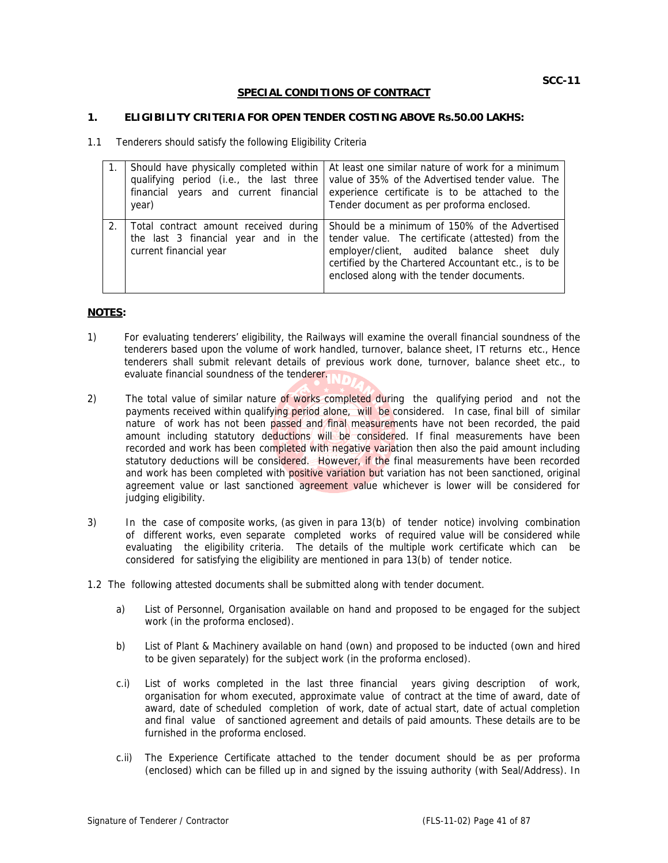## **SPECIAL CONDITIONS OF CONTRACT**

#### **1. ELIGIBILITY CRITERIA FOR OPEN TENDER COSTING ABOVE Rs.50.00 LAKHS:**

| Tenderers should satisfy the following Eligibility Criteria |
|-------------------------------------------------------------|
|-------------------------------------------------------------|

| Should have physically completed within<br>qualifying period (i.e., the last three<br>financial years and current financial<br>year) | At least one similar nature of work for a minimum<br>value of 35% of the Advertised tender value. The<br>experience certificate is to be attached to the<br>Tender document as per proforma enclosed.                                                  |
|--------------------------------------------------------------------------------------------------------------------------------------|--------------------------------------------------------------------------------------------------------------------------------------------------------------------------------------------------------------------------------------------------------|
| Total contract amount received during<br>the last 3 financial year and in the<br>current financial year                              | Should be a minimum of 150% of the Advertised<br>tender value. The certificate (attested) from the<br>employer/client, audited balance sheet duly<br>certified by the Chartered Accountant etc., is to be<br>enclosed along with the tender documents. |

## **NOTES:**

- 1) For evaluating tenderers' eligibility, the Railways will examine the overall financial soundness of the tenderers based upon the volume of work handled, turnover, balance sheet, IT returns etc., Hence tenderers shall submit relevant details of previous work done, turnover, balance sheet etc., to evaluate financial soundness of the tenderer.
- 2) The total value of similar nature of works completed during the qualifying period and not the payments received within qualifying period alone, will be considered. In case, final bill of similar nature of work has not been passed and final measurements have not been recorded, the paid amount including statutory deductions will be considered. If final measurements have been recorded and work has been completed with negative variation then also the paid amount including statutory deductions will be considered. However, if the final measurements have been recorded and work has been completed with positive variation but variation has not been sanctioned, original agreement value or last sanctioned agreement value whichever is lower will be considered for judging eligibility.
- 3) In the case of composite works, (as given in para 13(b) of tender notice) involving combination of different works, even separate completed works of required value will be considered while evaluating the eligibility criteria. The details of the multiple work certificate which can be considered for satisfying the eligibility are mentioned in para 13(b) of tender notice.
- 1.2 The following attested documents shall be submitted along with tender document.
	- a) List of Personnel, Organisation available on hand and proposed to be engaged for the subject work (in the proforma enclosed).
	- b) List of Plant & Machinery available on hand (own) and proposed to be inducted (own and hired to be given separately) for the subject work (in the proforma enclosed).
	- c.i) List of works completed in the last three financial years giving description of work, organisation for whom executed, approximate value of contract at the time of award, date of award, date of scheduled completion of work, date of actual start, date of actual completion and final value of sanctioned agreement and details of paid amounts. These details are to be furnished in the proforma enclosed.
	- c.ii) The Experience Certificate attached to the tender document should be as per proforma (enclosed) which can be filled up in and signed by the issuing authority (with Seal/Address). In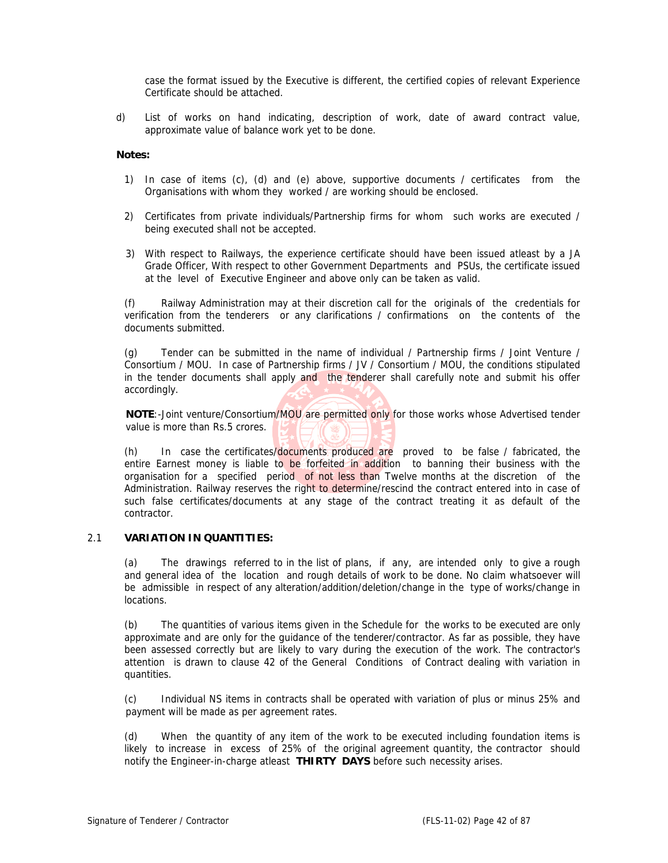case the format issued by the Executive is different, the certified copies of relevant Experience Certificate should be attached.

d) List of works on hand indicating, description of work, date of award contract value, approximate value of balance work yet to be done.

#### **Notes:**

- 1) In case of items (c), (d) and (e) above, supportive documents / certificates from the Organisations with whom they worked / are working should be enclosed.
- 2) Certificates from private individuals/Partnership firms for whom such works are executed / being executed shall not be accepted.
- 3) With respect to Railways, the experience certificate should have been issued atleast by a JA Grade Officer, With respect to other Government Departments and PSUs, the certificate issued at the level of Executive Engineer and above only can be taken as valid.

(f) Railway Administration may at their discretion call for the originals of the credentials for verification from the tenderers or any clarifications / confirmations on the contents of the documents submitted.

 (g) Tender can be submitted in the name of individual / Partnership firms / Joint Venture / Consortium / MOU. In case of Partnership firms / JV / Consortium / MOU, the conditions stipulated in the tender documents shall apply and the tenderer shall carefully note and submit his offer accordingly.

 **NOTE**:-Joint venture/Consortium/MOU are permitted only for those works whose Advertised tender value is more than Rs.5 crores.

 (h) In case the certificates/documents produced are proved to be false / fabricated, the entire Earnest money is liable to be forfeited in addition to banning their business with the organisation for a specified period of not less than Twelve months at the discretion of the Administration. Railway reserves the right to determine/rescind the contract entered into in case of such false certificates/documents at any stage of the contract treating it as default of the contractor.

## 2.1 **VARIATION IN QUANTITIES:**

(a) The drawings referred to in the list of plans, if any, are intended only to give a rough and general idea of the location and rough details of work to be done. No claim whatsoever will be admissible in respect of any alteration/addition/deletion/change in the type of works/change in locations.

(b) The quantities of various items given in the Schedule for the works to be executed are only approximate and are only for the guidance of the tenderer/contractor. As far as possible, they have been assessed correctly but are likely to vary during the execution of the work. The contractor's attention is drawn to clause 42 of the General Conditions of Contract dealing with variation in quantities.

(c) Individual NS items in contracts shall be operated with variation of plus or minus 25% and payment will be made as per agreement rates.

(d) When the quantity of any item of the work to be executed including foundation items is likely to increase in excess of 25% of the original agreement quantity, the contractor should notify the Engineer-in-charge atleast **THIRTY DAYS** before such necessity arises.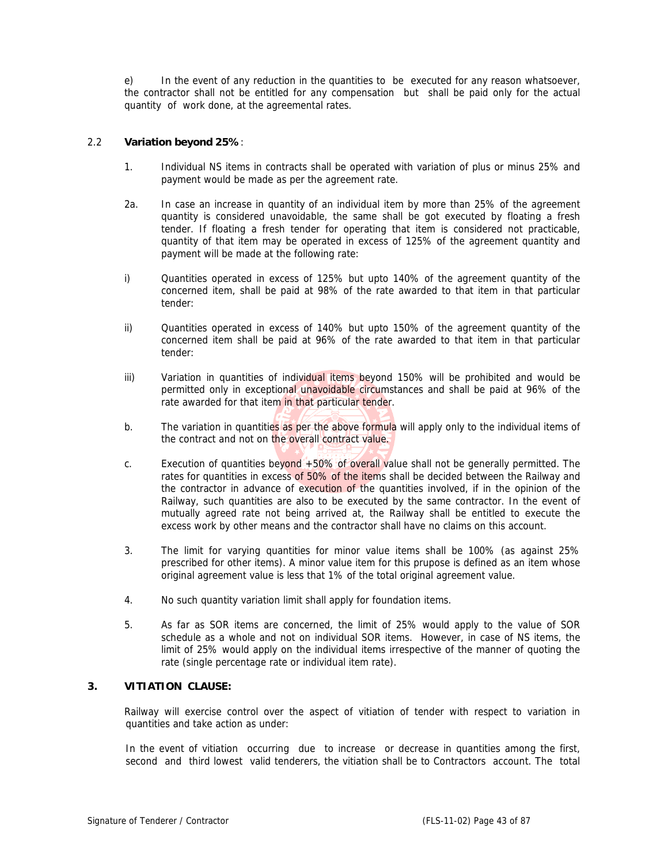e) In the event of any reduction in the quantities to be executed for any reason whatsoever, the contractor shall not be entitled for any compensation but shall be paid only for the actual quantity of work done, at the agreemental rates.

## 2.2 **Variation beyond 25%**:

- 1. Individual NS items in contracts shall be operated with variation of plus or minus 25% and payment would be made as per the agreement rate.
- 2a. In case an increase in quantity of an individual item by more than 25% of the agreement quantity is considered unavoidable, the same shall be got executed by floating a fresh tender. If floating a fresh tender for operating that item is considered not practicable, quantity of that item may be operated in excess of 125% of the agreement quantity and payment will be made at the following rate:
- i) Quantities operated in excess of 125% but upto 140% of the agreement quantity of the concerned item, shall be paid at 98% of the rate awarded to that item in that particular tender:
- ii) Quantities operated in excess of 140% but upto 150% of the agreement quantity of the concerned item shall be paid at 96% of the rate awarded to that item in that particular tender:
- iii) Variation in quantities of individual items beyond 150% will be prohibited and would be permitted only in exceptional unavoidable circumstances and shall be paid at 96% of the rate awarded for that item in that particular tender.
- b. The variation in quantities as per the above formula will apply only to the individual items of the contract and not on the overall contract value.
- c. Execution of quantities beyond  $+50\%$  of overall value shall not be generally permitted. The rates for quantities in excess of 50% of the items shall be decided between the Railway and the contractor in advance of execution of the quantities involved, if in the opinion of the Railway, such quantities are also to be executed by the same contractor. In the event of mutually agreed rate not being arrived at, the Railway shall be entitled to execute the excess work by other means and the contractor shall have no claims on this account.
- 3. The limit for varying quantities for minor value items shall be 100% (as against 25% prescribed for other items). A minor value item for this prupose is defined as an item whose original agreement value is less that 1% of the total original agreement value.
- 4. No such quantity variation limit shall apply for foundation items.
- 5. As far as SOR items are concerned, the limit of 25% would apply to the value of SOR schedule as a whole and not on individual SOR items. However, in case of NS items, the limit of 25% would apply on the individual items irrespective of the manner of quoting the rate (single percentage rate or individual item rate).

#### **3. VITIATION CLAUSE:**

Railway will exercise control over the aspect of vitiation of tender with respect to variation in quantities and take action as under:

In the event of vitiation occurring due to increase or decrease in quantities among the first, second and third lowest valid tenderers, the vitiation shall be to Contractors account. The total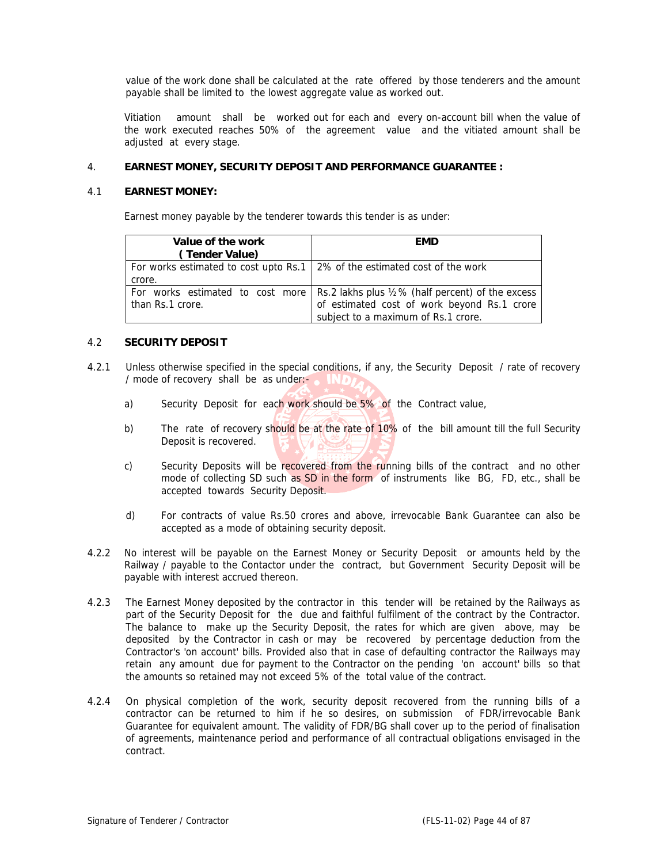value of the work done shall be calculated at the rate offered by those tenderers and the amount payable shall be limited to the lowest aggregate value as worked out.

Vitiation amount shall be worked out for each and every on-account bill when the value of the work executed reaches 50% of the agreement value and the vitiated amount shall be adjusted at every stage.

## 4. **EARNEST MONEY, SECURITY DEPOSIT AND PERFORMANCE GUARANTEE :**

## 4.1 **EARNEST MONEY:**

Earnest money payable by the tenderer towards this tender is as under:

| Value of the work<br>(Tender Value)                                                    | <b>EMD</b>                                                                                                                                                                       |
|----------------------------------------------------------------------------------------|----------------------------------------------------------------------------------------------------------------------------------------------------------------------------------|
| For works estimated to cost upto Rs.1   2% of the estimated cost of the work<br>crore. |                                                                                                                                                                                  |
| than Rs.1 crore.                                                                       | For works estimated to cost more $\vert$ Rs.2 lakhs plus 1/2% (half percent) of the excess<br>of estimated cost of work beyond Rs.1 crore<br>subject to a maximum of Rs.1 crore. |

## 4.2 **SECURITY DEPOSIT**

- 4.2.1 Unless otherwise specified in the special conditions, if any, the Security Deposit / rate of recovery / mode of recovery shall be as under:
	- a) Security Deposit for each work should be 5% of the Contract value,
	- b) The rate of recovery should be at the rate of 10% of the bill amount till the full Security Deposit is recovered.
	- c) Security Deposits will be recovered from the running bills of the contract and no other mode of collecting SD such as SD in the form of instruments like BG, FD, etc., shall be accepted towards Security Deposit.
	- d) For contracts of value Rs.50 crores and above, irrevocable Bank Guarantee can also be accepted as a mode of obtaining security deposit.
- 4.2.2 No interest will be payable on the Earnest Money or Security Deposit or amounts held by the Railway / payable to the Contactor under the contract, but Government Security Deposit will be payable with interest accrued thereon.
- 4.2.3 The Earnest Money deposited by the contractor in this tender will be retained by the Railways as part of the Security Deposit for the due and faithful fulfilment of the contract by the Contractor. The balance to make up the Security Deposit, the rates for which are given above, may be deposited by the Contractor in cash or may be recovered by percentage deduction from the Contractor's 'on account' bills. Provided also that in case of defaulting contractor the Railways may retain any amount due for payment to the Contractor on the pending 'on account' bills so that the amounts so retained may not exceed 5% of the total value of the contract.
- 4.2.4 On physical completion of the work, security deposit recovered from the running bills of a contractor can be returned to him if he so desires, on submission of FDR/irrevocable Bank Guarantee for equivalent amount. The validity of FDR/BG shall cover up to the period of finalisation of agreements, maintenance period and performance of all contractual obligations envisaged in the contract.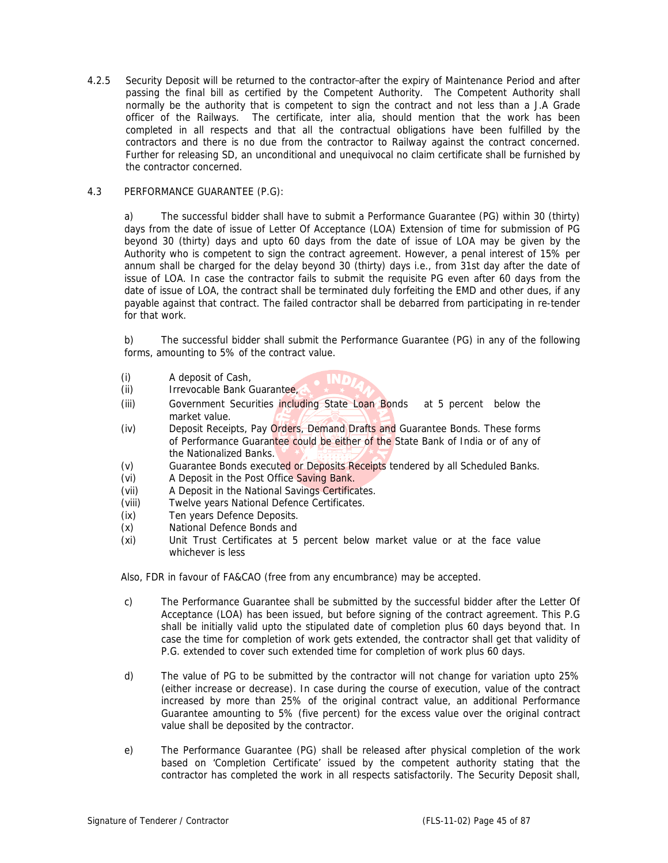4.2.5 Security Deposit will be returned to the contractor after the expiry of Maintenance Period and after passing the final bill as certified by the Competent Authority. The Competent Authority shall normally be the authority that is competent to sign the contract and not less than a J.A Grade officer of the Railways. The certificate, inter alia, should mention that the work has been completed in all respects and that all the contractual obligations have been fulfilled by the contractors and there is no due from the contractor to Railway against the contract concerned. Further for releasing SD, an unconditional and unequivocal no claim certificate shall be furnished by the contractor concerned.

## 4.3 PERFORMANCE GUARANTEE (P.G):

a) The successful bidder shall have to submit a Performance Guarantee (PG) within 30 (thirty) days from the date of issue of Letter Of Acceptance (LOA) Extension of time for submission of PG beyond 30 (thirty) days and upto 60 days from the date of issue of LOA may be given by the Authority who is competent to sign the contract agreement. However, a penal interest of 15% per annum shall be charged for the delay beyond 30 (thirty) days i.e., from 31st day after the date of issue of LOA. In case the contractor fails to submit the requisite PG even after 60 days from the date of issue of LOA, the contract shall be terminated duly forfeiting the EMD and other dues, if any payable against that contract. The failed contractor shall be debarred from participating in re-tender for that work.

b) The successful bidder shall submit the Performance Guarantee (PG) in any of the following forms, amounting to 5% of the contract value.

- (i) A deposit of Cash,
- (ii) Irrevocable Bank Guarantee
- (iii) Government Securities including State Loan Bonds at 5 percent below the market value.
- (iv) Deposit Receipts, Pay Orders, Demand Drafts and Guarantee Bonds. These forms of Performance Guarantee could be either of the State Bank of India or of any of the Nationalized Banks.
- (v) Guarantee Bonds executed or Deposits Receipts tendered by all Scheduled Banks.
- (vi) A Deposit in the Post Office Saving Bank.
- (vii) A Deposit in the National Savings Certificates.
- (viii) Twelve years National Defence Certificates.
- (ix) Ten years Defence Deposits.
- (x) National Defence Bonds and
- (xi) Unit Trust Certificates at 5 percent below market value or at the face value whichever is less

Also, FDR in favour of FA&CAO (free from any encumbrance) may be accepted.

- c) The Performance Guarantee shall be submitted by the successful bidder after the Letter Of Acceptance (LOA) has been issued, but before signing of the contract agreement. This P.G shall be initially valid upto the stipulated date of completion plus 60 days beyond that. In case the time for completion of work gets extended, the contractor shall get that validity of P.G. extended to cover such extended time for completion of work plus 60 days.
- d) The value of PG to be submitted by the contractor will not change for variation upto 25% (either increase or decrease). In case during the course of execution, value of the contract increased by more than 25% of the original contract value, an additional Performance Guarantee amounting to 5% (five percent) for the excess value over the original contract value shall be deposited by the contractor.
- e) The Performance Guarantee (PG) shall be released after physical completion of the work based on 'Completion Certificate' issued by the competent authority stating that the contractor has completed the work in all respects satisfactorily. The Security Deposit shall,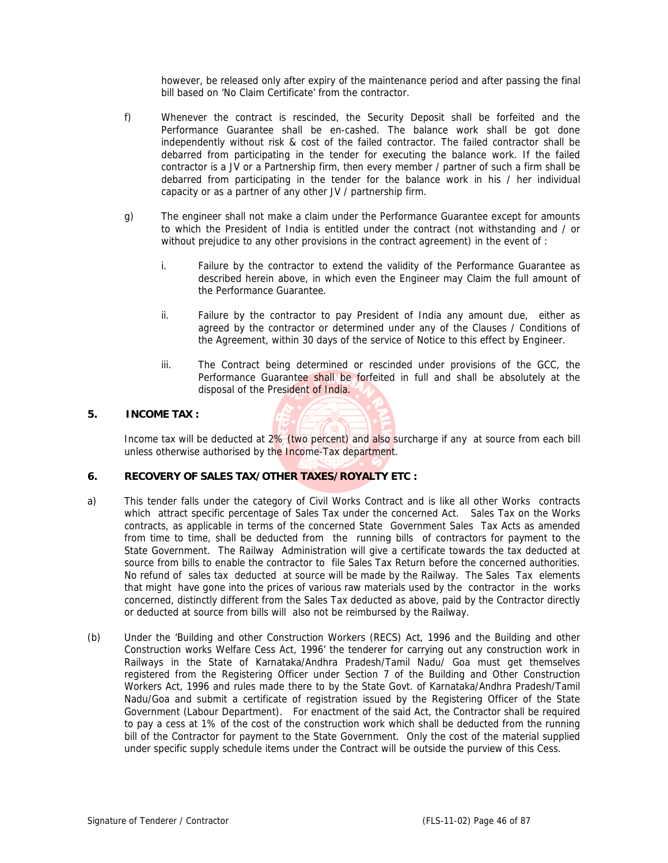however, be released only after expiry of the maintenance period and after passing the final bill based on 'No Claim Certificate' from the contractor.

- f) Whenever the contract is rescinded, the Security Deposit shall be forfeited and the Performance Guarantee shall be en-cashed. The balance work shall be got done independently without risk & cost of the failed contractor. The failed contractor shall be debarred from participating in the tender for executing the balance work. If the failed contractor is a JV or a Partnership firm, then every member / partner of such a firm shall be debarred from participating in the tender for the balance work in his / her individual capacity or as a partner of any other JV / partnership firm.
- g) The engineer shall not make a claim under the Performance Guarantee except for amounts to which the President of India is entitled under the contract (not withstanding and / or without prejudice to any other provisions in the contract agreement) in the event of :
	- i. Failure by the contractor to extend the validity of the Performance Guarantee as described herein above, in which even the Engineer may Claim the full amount of the Performance Guarantee.
	- ii. Failure by the contractor to pay President of India any amount due, either as agreed by the contractor or determined under any of the Clauses / Conditions of the Agreement, within 30 days of the service of Notice to this effect by Engineer.
	- iii. The Contract being determined or rescinded under provisions of the GCC, the Performance Guarantee shall be forfeited in full and shall be absolutely at the disposal of the President of India.

## **5. INCOME TAX :**

Income tax will be deducted at 2% (two percent) and also surcharge if any at source from each bill unless otherwise authorised by the Income-Tax department.

#### **6. RECOVERY OF SALES TAX/OTHER TAXES/ROYALTY ETC :**

- a) This tender falls under the category of Civil Works Contract and is like all other Works contracts which attract specific percentage of Sales Tax under the concerned Act. Sales Tax on the Works contracts, as applicable in terms of the concerned State Government Sales Tax Acts as amended from time to time, shall be deducted from the running bills of contractors for payment to the State Government. The Railway Administration will give a certificate towards the tax deducted at source from bills to enable the contractor to file Sales Tax Return before the concerned authorities. No refund of sales tax deducted at source will be made by the Railway. The Sales Tax elements that might have gone into the prices of various raw materials used by the contractor in the works concerned, distinctly different from the Sales Tax deducted as above, paid by the Contractor directly or deducted at source from bills will also not be reimbursed by the Railway.
- (b) Under the 'Building and other Construction Workers (RECS) Act, 1996 and the Building and other Construction works Welfare Cess Act, 1996' the tenderer for carrying out any construction work in Railways in the State of Karnataka/Andhra Pradesh/Tamil Nadu/ Goa must get themselves registered from the Registering Officer under Section 7 of the Building and Other Construction Workers Act, 1996 and rules made there to by the State Govt. of Karnataka/Andhra Pradesh/Tamil Nadu/Goa and submit a certificate of registration issued by the Registering Officer of the State Government (Labour Department). For enactment of the said Act, the Contractor shall be required to pay a cess at 1% of the cost of the construction work which shall be deducted from the running bill of the Contractor for payment to the State Government. Only the cost of the material supplied under specific supply schedule items under the Contract will be outside the purview of this Cess.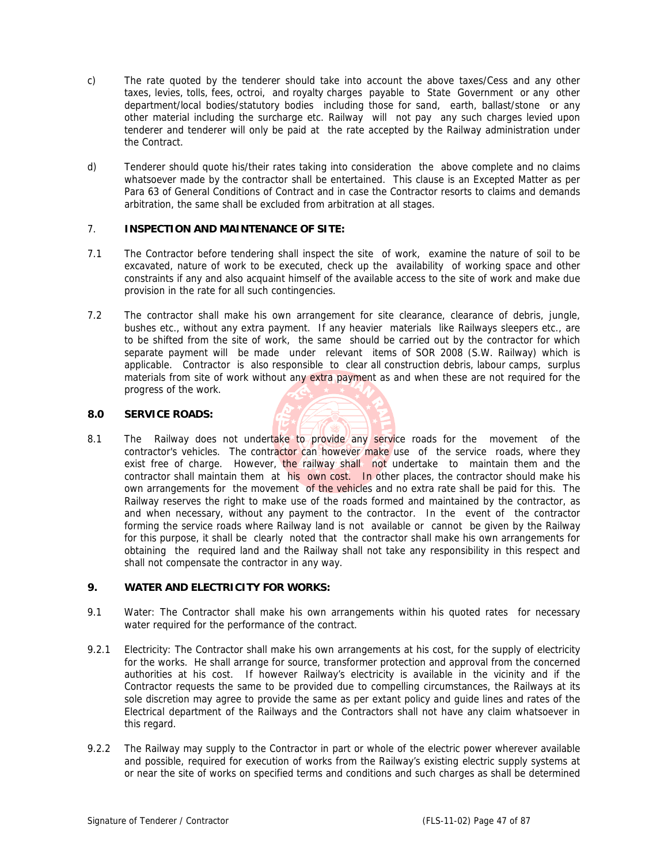- c) The rate quoted by the tenderer should take into account the above taxes/Cess and any other taxes, levies, tolls, fees, octroi, and royalty charges payable to State Government or any other department/local bodies/statutory bodies including those for sand, earth, ballast/stone or any other material including the surcharge etc. Railway will not pay any such charges levied upon tenderer and tenderer will only be paid at the rate accepted by the Railway administration under the Contract.
- d) Tenderer should quote his/their rates taking into consideration the above complete and no claims whatsoever made by the contractor shall be entertained. This clause is an Excepted Matter as per Para 63 of General Conditions of Contract and in case the Contractor resorts to claims and demands arbitration, the same shall be excluded from arbitration at all stages.

# 7. **INSPECTION AND MAINTENANCE OF SITE:**

- 7.1 The Contractor before tendering shall inspect the site of work, examine the nature of soil to be excavated, nature of work to be executed, check up the availability of working space and other constraints if any and also acquaint himself of the available access to the site of work and make due provision in the rate for all such contingencies.
- 7.2 The contractor shall make his own arrangement for site clearance, clearance of debris, jungle, bushes etc., without any extra payment. If any heavier materials like Railways sleepers etc., are to be shifted from the site of work, the same should be carried out by the contractor for which separate payment will be made under relevant items of SOR 2008 (S.W. Railway) which is applicable. Contractor is also responsible to clear all construction debris, labour camps, surplus materials from site of work without any extra payment as and when these are not required for the progress of the work.

#### **8.0 SERVICE ROADS:**

8.1 The Railway does not undertake to provide any service roads for the movement of the contractor's vehicles. The contractor can however make use of the service roads, where they exist free of charge. However, the railway shall not undertake to maintain them and the contractor shall maintain them at his own cost. In other places, the contractor should make his own arrangements for the movement of the vehicles and no extra rate shall be paid for this. The Railway reserves the right to make use of the roads formed and maintained by the contractor, as and when necessary, without any payment to the contractor. In the event of the contractor forming the service roads where Railway land is not available or cannot be given by the Railway for this purpose, it shall be clearly noted that the contractor shall make his own arrangements for obtaining the required land and the Railway shall not take any responsibility in this respect and shall not compensate the contractor in any way.

## **9. WATER AND ELECTRICITY FOR WORKS:**

- 9.1 Water: The Contractor shall make his own arrangements within his quoted rates for necessary water required for the performance of the contract.
- 9.2.1 Electricity: The Contractor shall make his own arrangements at his cost, for the supply of electricity for the works. He shall arrange for source, transformer protection and approval from the concerned authorities at his cost. If however Railway's electricity is available in the vicinity and if the Contractor requests the same to be provided due to compelling circumstances, the Railways at its sole discretion may agree to provide the same as per extant policy and guide lines and rates of the Electrical department of the Railways and the Contractors shall not have any claim whatsoever in this regard.
- 9.2.2 The Railway may supply to the Contractor in part or whole of the electric power wherever available and possible, required for execution of works from the Railway's existing electric supply systems at or near the site of works on specified terms and conditions and such charges as shall be determined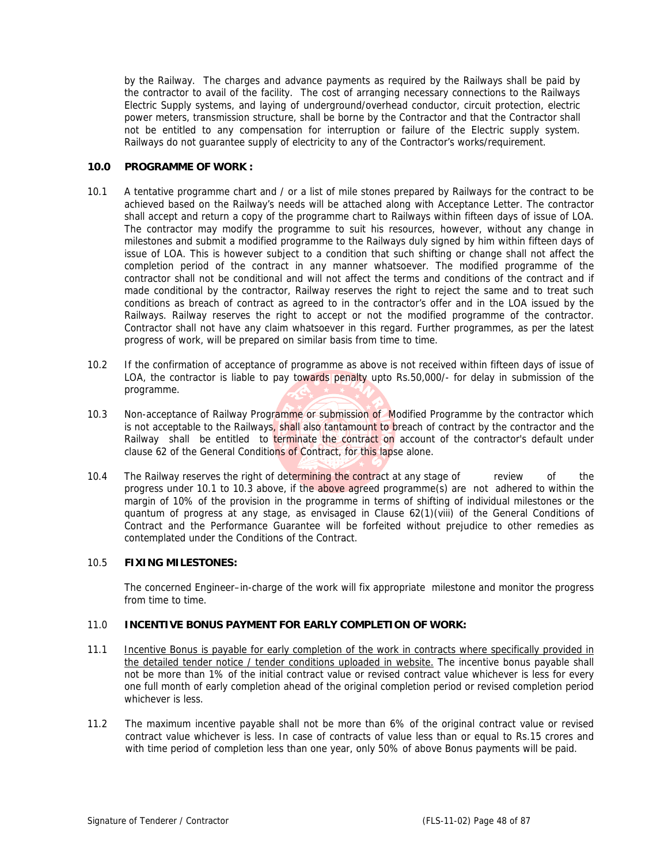by the Railway. The charges and advance payments as required by the Railways shall be paid by the contractor to avail of the facility. The cost of arranging necessary connections to the Railways Electric Supply systems, and laying of underground/overhead conductor, circuit protection, electric power meters, transmission structure, shall be borne by the Contractor and that the Contractor shall not be entitled to any compensation for interruption or failure of the Electric supply system. Railways do not guarantee supply of electricity to any of the Contractor's works/requirement.

#### **10.0 PROGRAMME OF WORK :**

- 10.1 A tentative programme chart and / or a list of mile stones prepared by Railways for the contract to be achieved based on the Railway's needs will be attached along with Acceptance Letter. The contractor shall accept and return a copy of the programme chart to Railways within fifteen days of issue of LOA. The contractor may modify the programme to suit his resources, however, without any change in milestones and submit a modified programme to the Railways duly signed by him within fifteen days of issue of LOA. This is however subject to a condition that such shifting or change shall not affect the completion period of the contract in any manner whatsoever. The modified programme of the contractor shall not be conditional and will not affect the terms and conditions of the contract and if made conditional by the contractor, Railway reserves the right to reject the same and to treat such conditions as breach of contract as agreed to in the contractor's offer and in the LOA issued by the Railways. Railway reserves the right to accept or not the modified programme of the contractor. Contractor shall not have any claim whatsoever in this regard. Further programmes, as per the latest progress of work, will be prepared on similar basis from time to time.
- 10.2 If the confirmation of acceptance of programme as above is not received within fifteen days of issue of LOA, the contractor is liable to pay towards penalty upto Rs.50,000/- for delay in submission of the programme.
- 10.3 Non-acceptance of Railway Programme or submission of Modified Programme by the contractor which is not acceptable to the Railways, shall also tantamount to breach of contract by the contractor and the Railway shall be entitled to terminate the contract on account of the contractor's default under clause 62 of the General Conditions of Contract, for this lapse alone.
- 10.4 The Railway reserves the right of determining the contract at any stage of review of the progress under 10.1 to 10.3 above, if the above agreed programme(s) are not adhered to within the margin of 10% of the provision in the programme in terms of shifting of individual milestones or the quantum of progress at any stage, as envisaged in Clause 62(1)(viii) of the General Conditions of Contract and the Performance Guarantee will be forfeited without prejudice to other remedies as contemplated under the Conditions of the Contract.

## 10.5 **FIXING MILESTONES:**

The concerned Engineer–in-charge of the work will fix appropriate milestone and monitor the progress from time to time.

#### 11.0 **INCENTIVE BONUS PAYMENT FOR EARLY COMPLETION OF WORK:**

- 11.1 Incentive Bonus is payable for early completion of the work in contracts where specifically provided in the detailed tender notice / tender conditions uploaded in website. The incentive bonus payable shall not be more than 1% of the initial contract value or revised contract value whichever is less for every one full month of early completion ahead of the original completion period or revised completion period whichever is less.
- 11.2 The maximum incentive payable shall not be more than 6% of the original contract value or revised contract value whichever is less. In case of contracts of value less than or equal to Rs.15 crores and with time period of completion less than one year, only 50% of above Bonus payments will be paid.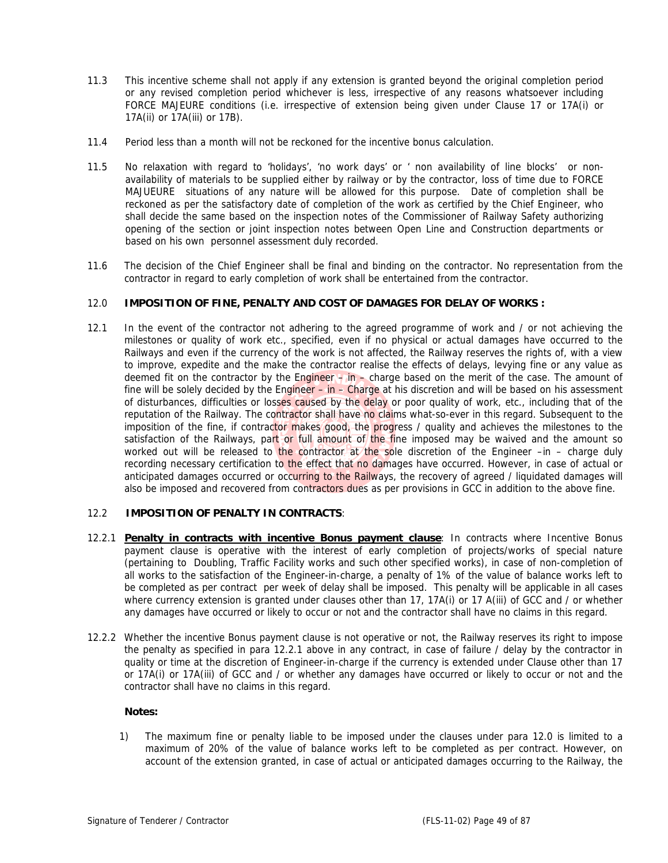- 11.3 This incentive scheme shall not apply if any extension is granted beyond the original completion period or any revised completion period whichever is less, irrespective of any reasons whatsoever including FORCE MAJEURE conditions (i.e. irrespective of extension being given under Clause 17 or 17A(i) or 17A(ii) or 17A(iii) or 17B).
- 11.4 Period less than a month will not be reckoned for the incentive bonus calculation.
- 11.5 No relaxation with regard to 'holidays', 'no work days' or ' non availability of line blocks' or nonavailability of materials to be supplied either by railway or by the contractor, loss of time due to FORCE MAJUEURE situations of any nature will be allowed for this purpose. Date of completion shall be reckoned as per the satisfactory date of completion of the work as certified by the Chief Engineer, who shall decide the same based on the inspection notes of the Commissioner of Railway Safety authorizing opening of the section or joint inspection notes between Open Line and Construction departments or based on his own personnel assessment duly recorded.
- 11.6 The decision of the Chief Engineer shall be final and binding on the contractor. No representation from the contractor in regard to early completion of work shall be entertained from the contractor.

## 12.0 **IMPOSITION OF FINE, PENALTY AND COST OF DAMAGES FOR DELAY OF WORKS :**

12.1 In the event of the contractor not adhering to the agreed programme of work and / or not achieving the milestones or quality of work etc., specified, even if no physical or actual damages have occurred to the Railways and even if the currency of the work is not affected, the Railway reserves the rights of, with a view to improve, expedite and the make the contractor realise the effects of delays, levying fine or any value as deemed fit on the contractor by the Engineer  $-$  in – charge based on the merit of the case. The amount of fine will be solely decided by the Engineer – in – Charge at his discretion and will be based on his assessment of disturbances, difficulties or losses caused by the delay or poor quality of work, etc., including that of the reputation of the Railway. The contractor shall have no claims what-so-ever in this regard. Subsequent to the imposition of the fine, if contractor makes good, the progress / quality and achieves the milestones to the satisfaction of the Railways, part or full amount of the fine imposed may be waived and the amount so worked out will be released to the contractor at the sole discretion of the Engineer –in – charge duly recording necessary certification to the effect that no damages have occurred. However, in case of actual or anticipated damages occurred or occurring to the Railways, the recovery of agreed / liquidated damages will also be imposed and recovered from contractors dues as per provisions in GCC in addition to the above fine.

#### 12.2 **IMPOSITION OF PENALTY IN CONTRACTS**:

- 12.2.1 **Penalty in contracts with incentive Bonus payment clause**: In contracts where Incentive Bonus payment clause is operative with the interest of early completion of projects/works of special nature (pertaining to Doubling, Traffic Facility works and such other specified works), in case of non-completion of all works to the satisfaction of the Engineer-in-charge, a penalty of 1% of the value of balance works left to be completed as per contract per week of delay shall be imposed. This penalty will be applicable in all cases where currency extension is granted under clauses other than 17, 17A(i) or 17 A(iii) of GCC and / or whether any damages have occurred or likely to occur or not and the contractor shall have no claims in this regard.
- 12.2.2 Whether the incentive Bonus payment clause is not operative or not, the Railway reserves its right to impose the penalty as specified in para 12.2.1 above in any contract, in case of failure / delay by the contractor in quality or time at the discretion of Engineer-in-charge if the currency is extended under Clause other than 17 or 17A(i) or 17A(iii) of GCC and / or whether any damages have occurred or likely to occur or not and the contractor shall have no claims in this regard.

#### **Notes:**

 1) The maximum fine or penalty liable to be imposed under the clauses under para 12.0 is limited to a maximum of 20% of the value of balance works left to be completed as per contract. However, on account of the extension granted, in case of actual or anticipated damages occurring to the Railway, the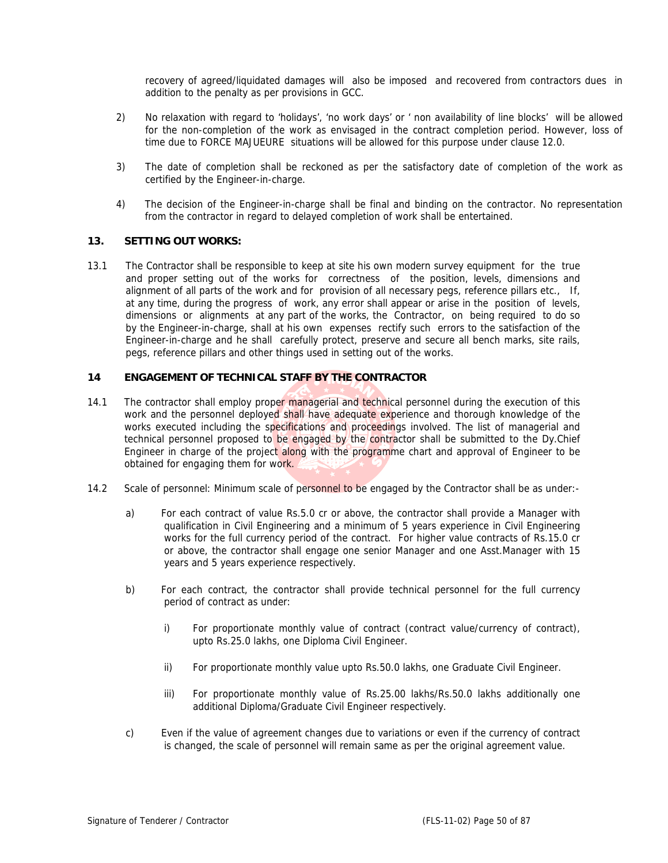recovery of agreed/liquidated damages will also be imposed and recovered from contractors dues in addition to the penalty as per provisions in GCC.

- 2) No relaxation with regard to 'holidays', 'no work days' or ' non availability of line blocks' will be allowed for the non-completion of the work as envisaged in the contract completion period. However, loss of time due to FORCE MAJUEURE situations will be allowed for this purpose under clause 12.0.
- 3) The date of completion shall be reckoned as per the satisfactory date of completion of the work as certified by the Engineer-in-charge.
- 4) The decision of the Engineer-in-charge shall be final and binding on the contractor. No representation from the contractor in regard to delayed completion of work shall be entertained.

## **13. SETTING OUT WORKS:**

13.1 The Contractor shall be responsible to keep at site his own modern survey equipment for the true and proper setting out of the works for correctness of the position, levels, dimensions and alignment of all parts of the work and for provision of all necessary pegs, reference pillars etc., If, at any time, during the progress of work, any error shall appear or arise in the position of levels, dimensions or alignments at any part of the works, the Contractor, on being required to do so by the Engineer-in-charge, shall at his own expenses rectify such errors to the satisfaction of the Engineer-in-charge and he shall carefully protect, preserve and secure all bench marks, site rails, pegs, reference pillars and other things used in setting out of the works.

## **14 ENGAGEMENT OF TECHNICAL STAFF BY THE CONTRACTOR**

- 14.1 The contractor shall employ proper managerial and technical personnel during the execution of this work and the personnel deployed shall have adequate experience and thorough knowledge of the works executed including the specifications and proceedings involved. The list of managerial and technical personnel proposed to be engaged by the contractor shall be submitted to the Dy.Chief Engineer in charge of the project along with the programme chart and approval of Engineer to be obtained for engaging them for work.
- 14.2 Scale of personnel: Minimum scale of personnel to be engaged by the Contractor shall be as under:
	- a) For each contract of value Rs.5.0 cr or above, the contractor shall provide a Manager with qualification in Civil Engineering and a minimum of 5 years experience in Civil Engineering works for the full currency period of the contract. For higher value contracts of Rs.15.0 cr or above, the contractor shall engage one senior Manager and one Asst.Manager with 15 years and 5 years experience respectively.
	- b) For each contract, the contractor shall provide technical personnel for the full currency period of contract as under:
		- i) For proportionate monthly value of contract (contract value/currency of contract), upto Rs.25.0 lakhs, one Diploma Civil Engineer.
		- ii) For proportionate monthly value upto Rs.50.0 lakhs, one Graduate Civil Engineer.
		- iii) For proportionate monthly value of Rs.25.00 lakhs/Rs.50.0 lakhs additionally one additional Diploma/Graduate Civil Engineer respectively.
	- c) Even if the value of agreement changes due to variations or even if the currency of contract is changed, the scale of personnel will remain same as per the original agreement value.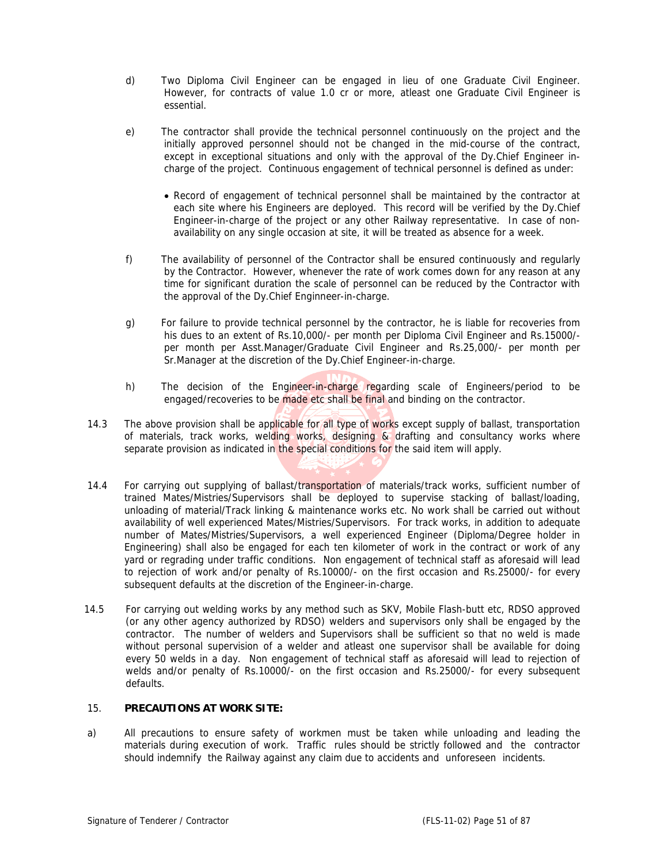- d) Two Diploma Civil Engineer can be engaged in lieu of one Graduate Civil Engineer. However, for contracts of value 1.0 cr or more, atleast one Graduate Civil Engineer is essential.
- e) The contractor shall provide the technical personnel continuously on the project and the initially approved personnel should not be changed in the mid-course of the contract, except in exceptional situations and only with the approval of the Dy.Chief Engineer incharge of the project. Continuous engagement of technical personnel is defined as under:
	- Record of engagement of technical personnel shall be maintained by the contractor at each site where his Engineers are deployed. This record will be verified by the Dy.Chief Engineer-in-charge of the project or any other Railway representative. In case of nonavailability on any single occasion at site, it will be treated as absence for a week.
- f) The availability of personnel of the Contractor shall be ensured continuously and regularly by the Contractor. However, whenever the rate of work comes down for any reason at any time for significant duration the scale of personnel can be reduced by the Contractor with the approval of the Dy.Chief Enginneer-in-charge.
- g) For failure to provide technical personnel by the contractor, he is liable for recoveries from his dues to an extent of Rs.10,000/- per month per Diploma Civil Engineer and Rs.15000/ per month per Asst.Manager/Graduate Civil Engineer and Rs.25,000/- per month per Sr.Manager at the discretion of the Dy.Chief Engineer-in-charge.
- h) The decision of the Engineer-in-charge regarding scale of Engineers/period to be engaged/recoveries to be made etc shall be final and binding on the contractor.
- 14.3 The above provision shall be applicable for all type of works except supply of ballast, transportation of materials, track works, welding works, designing & drafting and consultancy works where separate provision as indicated in the special conditions for the said item will apply.
- 14.4 For carrying out supplying of ballast/transportation of materials/track works, sufficient number of trained Mates/Mistries/Supervisors shall be deployed to supervise stacking of ballast/loading, unloading of material/Track linking & maintenance works etc. No work shall be carried out without availability of well experienced Mates/Mistries/Supervisors. For track works, in addition to adequate number of Mates/Mistries/Supervisors, a well experienced Engineer (Diploma/Degree holder in Engineering) shall also be engaged for each ten kilometer of work in the contract or work of any yard or regrading under traffic conditions. Non engagement of technical staff as aforesaid will lead to rejection of work and/or penalty of Rs.10000/- on the first occasion and Rs.25000/- for every subsequent defaults at the discretion of the Engineer-in-charge.
- 14.5 For carrying out welding works by any method such as SKV, Mobile Flash-butt etc, RDSO approved (or any other agency authorized by RDSO) welders and supervisors only shall be engaged by the contractor. The number of welders and Supervisors shall be sufficient so that no weld is made without personal supervision of a welder and atleast one supervisor shall be available for doing every 50 welds in a day. Non engagement of technical staff as aforesaid will lead to rejection of welds and/or penalty of Rs.10000/- on the first occasion and Rs.25000/- for every subsequent defaults.

## 15. **PRECAUTIONS AT WORK SITE:**

a) All precautions to ensure safety of workmen must be taken while unloading and leading the materials during execution of work. Traffic rules should be strictly followed and the contractor should indemnify the Railway against any claim due to accidents and unforeseen incidents.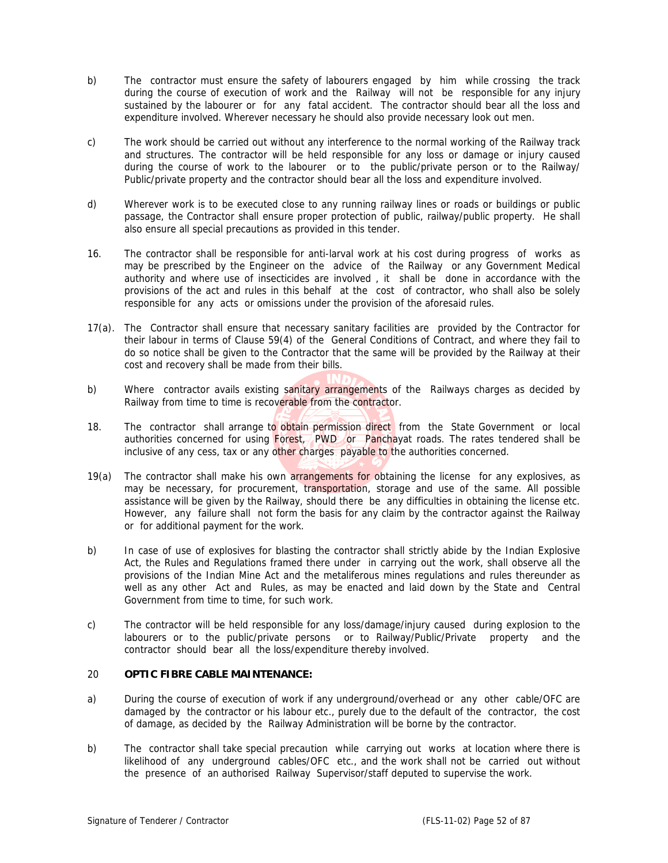- b) The contractor must ensure the safety of labourers engaged by him while crossing the track during the course of execution of work and the Railway will not be responsible for any injury sustained by the labourer or for any fatal accident. The contractor should bear all the loss and expenditure involved. Wherever necessary he should also provide necessary look out men.
- c) The work should be carried out without any interference to the normal working of the Railway track and structures. The contractor will be held responsible for any loss or damage or injury caused during the course of work to the labourer or to the public/private person or to the Railway/ Public/private property and the contractor should bear all the loss and expenditure involved.
- d) Wherever work is to be executed close to any running railway lines or roads or buildings or public passage, the Contractor shall ensure proper protection of public, railway/public property. He shall also ensure all special precautions as provided in this tender.
- 16. The contractor shall be responsible for anti-larval work at his cost during progress of works as may be prescribed by the Engineer on the advice of the Railway or any Government Medical authority and where use of insecticides are involved , it shall be done in accordance with the provisions of the act and rules in this behalf at the cost of contractor, who shall also be solely responsible for any acts or omissions under the provision of the aforesaid rules.
- 17(a). The Contractor shall ensure that necessary sanitary facilities are provided by the Contractor for their labour in terms of Clause 59(4) of the General Conditions of Contract, and where they fail to do so notice shall be given to the Contractor that the same will be provided by the Railway at their cost and recovery shall be made from their bills.
- b) Where contractor avails existing sanitary arrangements of the Railways charges as decided by Railway from time to time is recoverable from the contractor.
- 18. The contractor shall arrange to obtain permission direct from the State Government or local authorities concerned for using Forest, PWD or Panchayat roads. The rates tendered shall be inclusive of any cess, tax or any other charges payable to the authorities concerned.
- 19(a) The contractor shall make his own **arrangements for obtaining the license** for any explosives, as may be necessary, for procurement, transportation, storage and use of the same. All possible assistance will be given by the Railway, should there be any difficulties in obtaining the license etc. However, any failure shall not form the basis for any claim by the contractor against the Railway or for additional payment for the work.
- b) In case of use of explosives for blasting the contractor shall strictly abide by the Indian Explosive Act, the Rules and Regulations framed there under in carrying out the work, shall observe all the provisions of the Indian Mine Act and the metaliferous mines regulations and rules thereunder as well as any other Act and Rules, as may be enacted and laid down by the State and Central Government from time to time, for such work.
- c) The contractor will be held responsible for any loss/damage/injury caused during explosion to the labourers or to the public/private persons or to Railway/Public/Private property and the contractor should bear all the loss/expenditure thereby involved.

## 20 **OPTIC FIBRE CABLE MAINTENANCE:**

- a) During the course of execution of work if any underground/overhead or any other cable/OFC are damaged by the contractor or his labour etc., purely due to the default of the contractor, the cost of damage, as decided by the Railway Administration will be borne by the contractor.
- b) The contractor shall take special precaution while carrying out works at location where there is likelihood of any underground cables/OFC etc., and the work shall not be carried out without the presence of an authorised Railway Supervisor/staff deputed to supervise the work.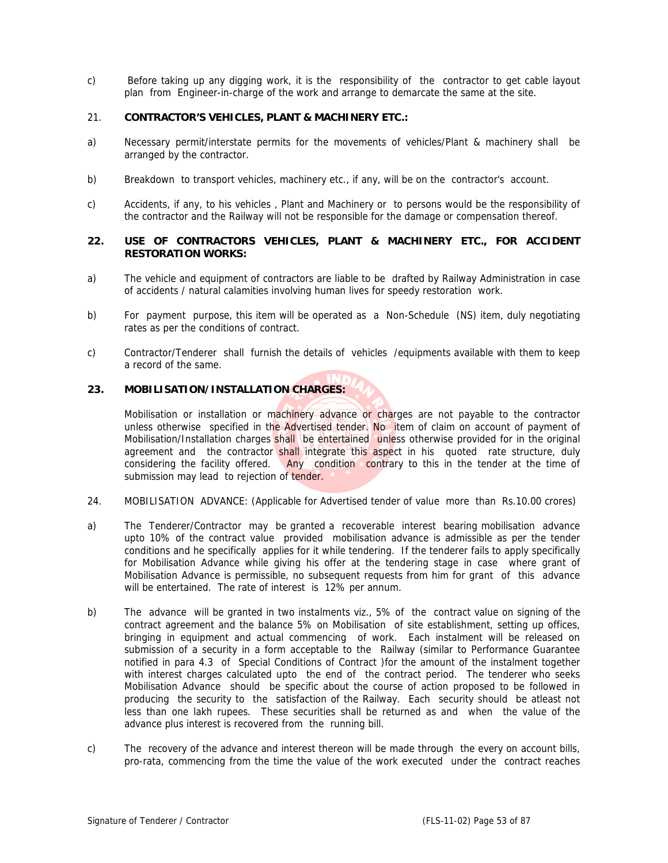c) Before taking up any digging work, it is the responsibility of the contractor to get cable layout plan from Engineer-in-charge of the work and arrange to demarcate the same at the site.

#### 21. **CONTRACTOR'S VEHICLES, PLANT & MACHINERY ETC.:**

- a) Necessary permit/interstate permits for the movements of vehicles/Plant & machinery shall be arranged by the contractor.
- b) Breakdown to transport vehicles, machinery etc., if any, will be on the contractor's account.
- c) Accidents, if any, to his vehicles , Plant and Machinery or to persons would be the responsibility of the contractor and the Railway will not be responsible for the damage or compensation thereof.

## **22. USE OF CONTRACTORS VEHICLES, PLANT & MACHINERY ETC., FOR ACCIDENT RESTORATION WORKS:**

- a) The vehicle and equipment of contractors are liable to be drafted by Railway Administration in case of accidents / natural calamities involving human lives for speedy restoration work.
- b) For payment purpose, this item will be operated as a Non-Schedule (NS) item, duly negotiating rates as per the conditions of contract.
- c) Contractor/Tenderer shall furnish the details of vehicles /equipments available with them to keep a record of the same.

# **23. MOBILISATION/INSTALLATION CHARGES:**

Mobilisation or installation or machinery advance or charges are not payable to the contractor unless otherwise specified in the Advertised tender. No item of claim on account of payment of Mobilisation/Installation charges shall be entertained unless otherwise provided for in the original agreement and the contractor shall integrate this aspect in his quoted rate structure, duly considering the facility offered. Any condition contrary to this in the tender at the time of submission may lead to rejection of tender.

- 24. MOBILISATION ADVANCE: (Applicable for Advertised tender of value more than Rs.10.00 crores)
- a) The Tenderer/Contractor may be granted a recoverable interest bearing mobilisation advance upto 10% of the contract value provided mobilisation advance is admissible as per the tender conditions and he specifically applies for it while tendering. If the tenderer fails to apply specifically for Mobilisation Advance while giving his offer at the tendering stage in case where grant of Mobilisation Advance is permissible, no subsequent requests from him for grant of this advance will be entertained. The rate of interest is 12% per annum.
- b) The advance will be granted in two instalments viz., 5% of the contract value on signing of the contract agreement and the balance 5% on Mobilisation of site establishment, setting up offices, bringing in equipment and actual commencing of work. Each instalment will be released on submission of a security in a form acceptable to the Railway (similar to Performance Guarantee notified in para 4.3 of Special Conditions of Contract )for the amount of the instalment together with interest charges calculated upto the end of the contract period. The tenderer who seeks Mobilisation Advance should be specific about the course of action proposed to be followed in producing the security to the satisfaction of the Railway. Each security should be atleast not less than one lakh rupees. These securities shall be returned as and when the value of the advance plus interest is recovered from the running bill.
- c) The recovery of the advance and interest thereon will be made through the every on account bills, pro-rata, commencing from the time the value of the work executed under the contract reaches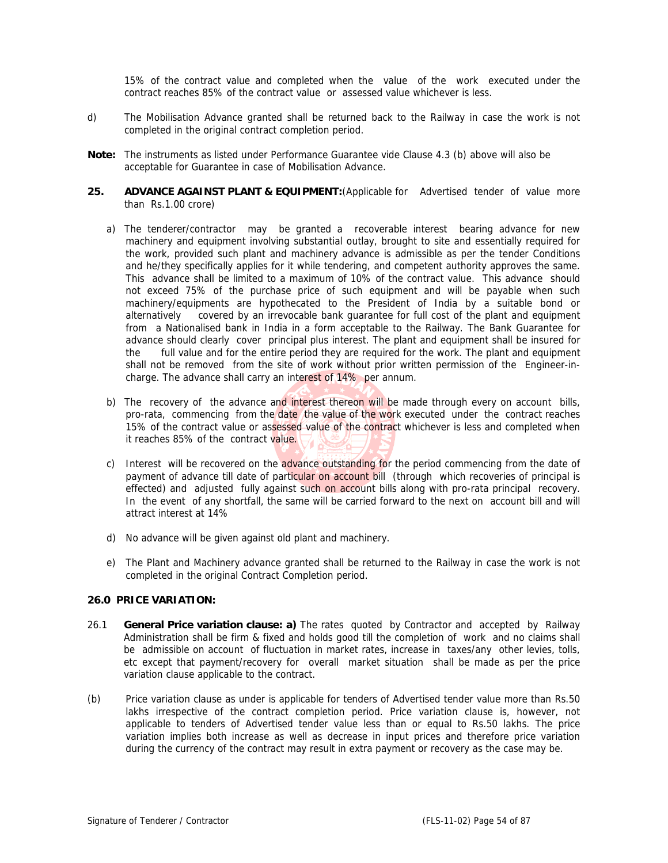15% of the contract value and completed when the value of the work executed under the contract reaches 85% of the contract value or assessed value whichever is less.

- d) The Mobilisation Advance granted shall be returned back to the Railway in case the work is not completed in the original contract completion period.
- **Note:** The instruments as listed under Performance Guarantee vide Clause 4.3 (b) above will also be acceptable for Guarantee in case of Mobilisation Advance.
- **25. ADVANCE AGAINST PLANT & EQUIPMENT:**(Applicable for Advertised tender of value more than Rs.1.00 crore)
	- a) The tenderer/contractor may be granted a recoverable interest bearing advance for new machinery and equipment involving substantial outlay, brought to site and essentially required for the work, provided such plant and machinery advance is admissible as per the tender Conditions and he/they specifically applies for it while tendering, and competent authority approves the same. This advance shall be limited to a maximum of 10% of the contract value. This advance should not exceed 75% of the purchase price of such equipment and will be payable when such machinery/equipments are hypothecated to the President of India by a suitable bond or alternatively covered by an irrevocable bank guarantee for full cost of the plant and equipment from a Nationalised bank in India in a form acceptable to the Railway. The Bank Guarantee for advance should clearly cover principal plus interest. The plant and equipment shall be insured for the full value and for the entire period they are required for the work. The plant and equipment shall not be removed from the site of work without prior written permission of the Engineer-incharge. The advance shall carry an interest of 14% per annum.
	- b) The recovery of the advance and interest thereon will be made through every on account bills, pro-rata, commencing from the date the value of the work executed under the contract reaches 15% of the contract value or assessed value of the contract whichever is less and completed when it reaches 85% of the contract value.
	- c) Interest will be recovered on the advance outstanding for the period commencing from the date of payment of advance till date of particular on account bill (through which recoveries of principal is effected) and adjusted fully against such on account bills along with pro-rata principal recovery. In the event of any shortfall, the same will be carried forward to the next on account bill and will attract interest at 14%
	- d) No advance will be given against old plant and machinery.
	- e) The Plant and Machinery advance granted shall be returned to the Railway in case the work is not completed in the original Contract Completion period.

# **26.0 PRICE VARIATION:**

- 26.1 **General Price variation clause: a)** The rates quoted by Contractor and accepted by Railway Administration shall be firm & fixed and holds good till the completion of work and no claims shall be admissible on account of fluctuation in market rates, increase in taxes/any other levies, tolls, etc except that payment/recovery for overall market situation shall be made as per the price variation clause applicable to the contract.
- (b)Price variation clause as under is applicable for tenders of Advertised tender value more than Rs.50 lakhs irrespective of the contract completion period. Price variation clause is, however, not applicable to tenders of Advertised tender value less than or equal to Rs.50 lakhs. The price variation implies both increase as well as decrease in input prices and therefore price variation during the currency of the contract may result in extra payment or recovery as the case may be.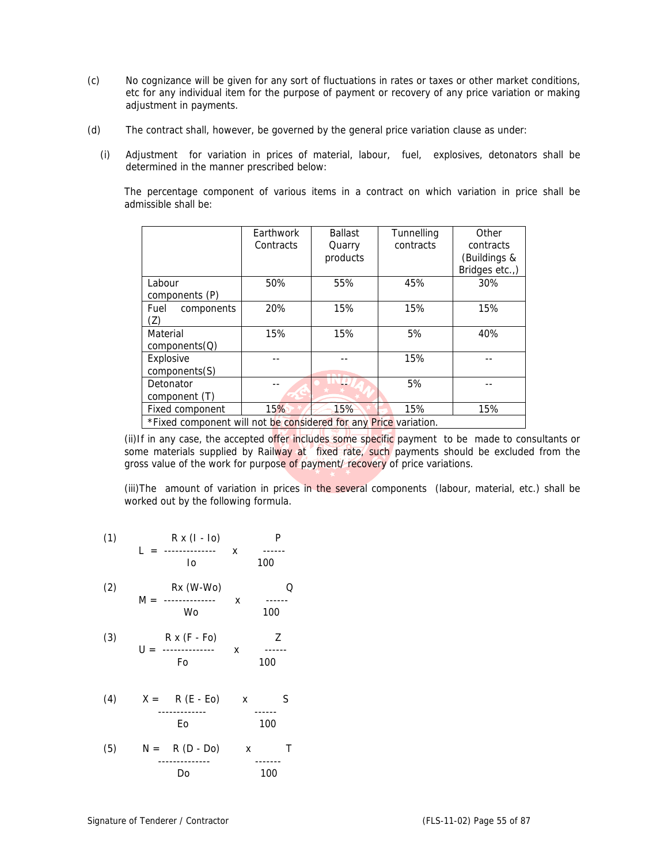- (c) No cognizance will be given for any sort of fluctuations in rates or taxes or other market conditions, etc for any individual item for the purpose of payment or recovery of any price variation or making adjustment in payments.
- (d) The contract shall, however, be governed by the general price variation clause as under:
	- (i) Adjustment for variation in prices of material, labour, fuel, explosives, detonators shall be determined in the manner prescribed below:

The percentage component of various items in a contract on which variation in price shall be admissible shall be:

|                                                                  | Earthwork<br>Contracts | <b>Ballast</b><br>Quarry | Tunnelling<br>contracts | Other<br>contracts |  |  |
|------------------------------------------------------------------|------------------------|--------------------------|-------------------------|--------------------|--|--|
|                                                                  |                        | products                 |                         | (Buildings &       |  |  |
|                                                                  |                        |                          |                         | Bridges etc.,)     |  |  |
| Labour                                                           | 50%                    | 55%                      | 45%                     | 30%                |  |  |
| components (P)                                                   |                        |                          |                         |                    |  |  |
| Fuel<br>components                                               | 20%                    | 15%                      | 15%                     | 15%                |  |  |
| (Z)                                                              |                        |                          |                         |                    |  |  |
| Material                                                         | 15%                    | 15%                      | 5%                      | 40%                |  |  |
| components(Q)                                                    |                        |                          |                         |                    |  |  |
| Explosive                                                        |                        |                          | 15%                     |                    |  |  |
| components(S)                                                    |                        |                          |                         |                    |  |  |
| Detonator                                                        |                        |                          | 5%                      |                    |  |  |
| component (T)                                                    |                        |                          |                         |                    |  |  |
| Fixed component                                                  | 15%                    | 15%                      | 15%                     | 15%                |  |  |
| *Fixed component will not be considered for any Price variation. |                        |                          |                         |                    |  |  |

(ii)If in any case, the accepted offer includes some specific payment to be made to consultants or some materials supplied by Railway at fixed rate, such payments should be excluded from the gross value of the work for purpose of payment/ recovery of price variations.

(iii)The amount of variation in prices in the several components (labour, material, etc.) shall be worked out by the following formula.

| (1) | $R \times (I - I_0)$<br>L<br>_______________<br>I٥ | x | P<br>100 |
|-----|----------------------------------------------------|---|----------|
| (2) | Rx (W-Wo)<br>M = --------------<br>Wo              | x | 100      |
| (3) | $R \times (F - F_0)$<br>$U =$ --------------<br>Fo | x | Z<br>100 |
| (4) | $X = R(E - E_0)$<br>Eo                             | X | S<br>100 |
| (5) | $N = R(D - Do)$<br>Do                              | x | Τ<br>100 |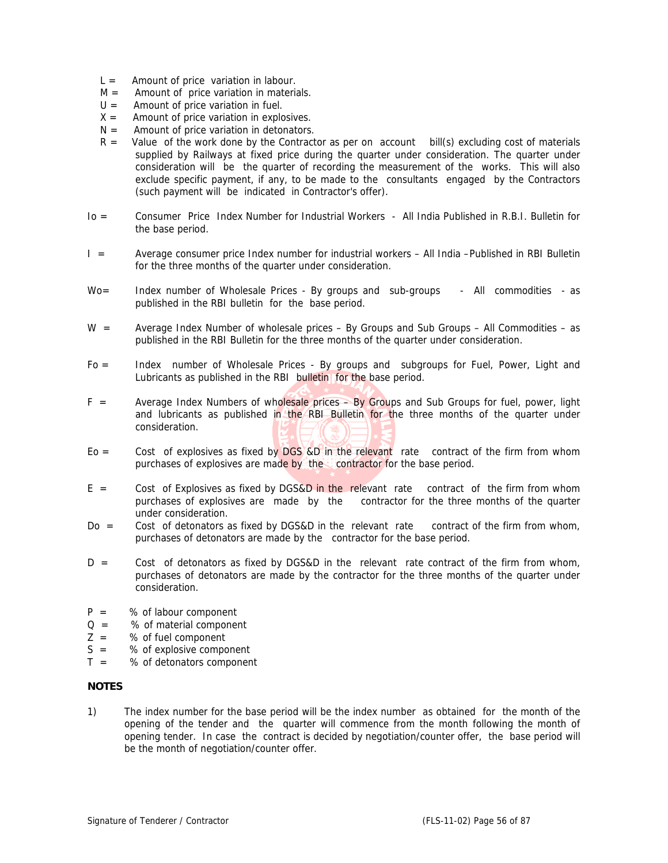- $L =$  Amount of price variation in labour.
- $M =$  Amount of price variation in materials.
- $U =$  Amount of price variation in fuel.
- $X =$  Amount of price variation in explosives.
- $N =$  Amount of price variation in detonators.
- R = Value of the work done by the Contractor as per on account bill(s) excluding cost of materials supplied by Railways at fixed price during the quarter under consideration. The quarter under consideration will be the quarter of recording the measurement of the works. This will also exclude specific payment, if any, to be made to the consultants engaged by the Contractors (such payment will be indicated in Contractor's offer).
- Io = Consumer Price Index Number for Industrial Workers All India Published in R.B.I. Bulletin for the base period.
- I = Average consumer price Index number for industrial workers All India –Published in RBI Bulletin for the three months of the quarter under consideration.
- Wo= Index number of Wholesale Prices By groups and sub-groups All commodities as published in the RBI bulletin for the base period.
- $W =$  Average Index Number of wholesale prices By Groups and Sub Groups All Commodities as published in the RBI Bulletin for the three months of the quarter under consideration.
- Fo = Index number of Wholesale Prices By groups and subgroups for Fuel, Power, Light and Lubricants as published in the RBI bulletin for the base period.
- F = Average Index Numbers of wholesale prices By Groups and Sub Groups for fuel, power, light and lubricants as published in the RBI Bulletin for the three months of the quarter under consideration.
- $E_0 =$  Cost of explosives as fixed by DGS &D in the relevant rate contract of the firm from whom purchases of explosives are made by the contractor for the base period.
- $E =$  Cost of Explosives as fixed by DGS&D in the relevant rate contract of the firm from whom purchases of explosives are made by the contractor for the three months of the quarter under consideration.
- Do = Cost of detonators as fixed by DGS&D in the relevant rate contract of the firm from whom, purchases of detonators are made by the contractor for the base period.
- D = Cost of detonators as fixed by DGS&D in the relevant rate contract of the firm from whom, purchases of detonators are made by the contractor for the three months of the quarter under consideration.
- $P = % of labour component$
- $Q = %$  of material component
- $Z = %$  of fuel component
- $S = %$  of explosive component
- $T = % of detonators component$

#### **NOTES**

1) The index number for the base period will be the index number as obtained for the month of the opening of the tender and the quarter will commence from the month following the month of opening tender. In case the contract is decided by negotiation/counter offer, the base period will be the month of negotiation/counter offer.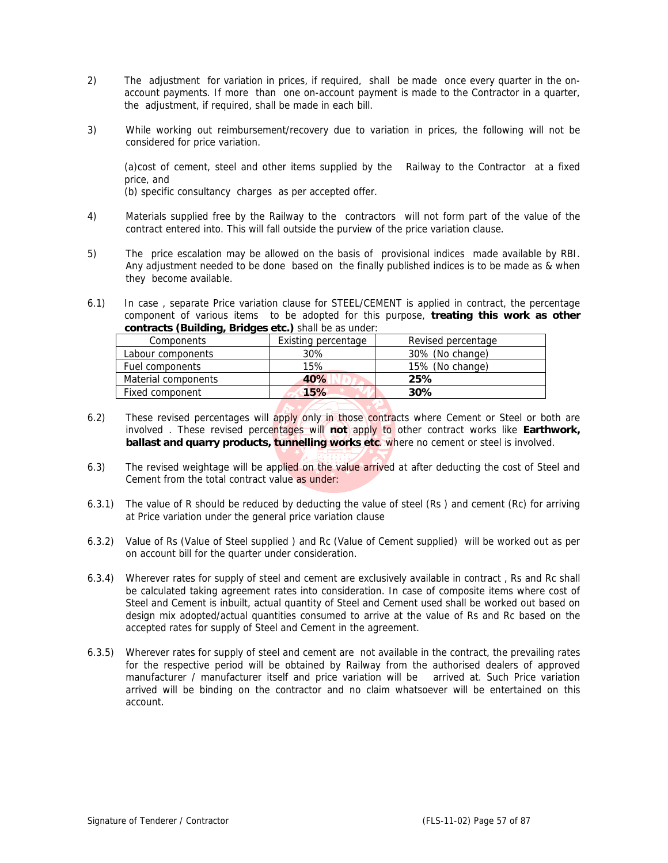- 2) The adjustment for variation in prices, if required, shall be made once every quarter in the onaccount payments. If more than one on-account payment is made to the Contractor in a quarter, the adjustment, if required, shall be made in each bill.
- 3) While working out reimbursement/recovery due to variation in prices, the following will not be considered for price variation.

(a)cost of cement, steel and other items supplied by the Railway to the Contractor at a fixed price, and

(b) specific consultancy charges as per accepted offer.

- 4) Materials supplied free by the Railway to the contractors will not form part of the value of the contract entered into. This will fall outside the purview of the price variation clause.
- 5) The price escalation may be allowed on the basis of provisional indices made available by RBI. Any adjustment needed to be done based on the finally published indices is to be made as & when they become available.
- 6.1) In case , separate Price variation clause for STEEL/CEMENT is applied in contract, the percentage component of various items to be adopted for this purpose, **treating this work as other contracts (Building, Bridges etc.)** shall be as under:

| Components          | Existing percentage | Revised percentage |
|---------------------|---------------------|--------------------|
| Labour components   | 30%                 | 30% (No change)    |
| Fuel components     | 15%                 | 15% (No change)    |
| Material components | 40%                 | 25%                |
| Fixed component     | 15%                 | 30%                |
|                     |                     |                    |

- 6.2) These revised percentages will apply only in those contracts where Cement or Steel or both are involved . These revised percentages will **not** apply to other contract works like **Earthwork, ballast and quarry products, tunnelling works etc**. where no cement or steel is involved.
- 6.3) The revised weightage will be applied on the value arrived at after deducting the cost of Steel and Cement from the total contract value as under:
- 6.3.1) The value of R should be reduced by deducting the value of steel (Rs ) and cement (Rc) for arriving at Price variation under the general price variation clause
- 6.3.2) Value of Rs (Value of Steel supplied ) and Rc (Value of Cement supplied) will be worked out as per on account bill for the quarter under consideration.
- 6.3.4) Wherever rates for supply of steel and cement are exclusively available in contract , Rs and Rc shall be calculated taking agreement rates into consideration. In case of composite items where cost of Steel and Cement is inbuilt, actual quantity of Steel and Cement used shall be worked out based on design mix adopted/actual quantities consumed to arrive at the value of Rs and Rc based on the accepted rates for supply of Steel and Cement in the agreement.
- 6.3.5) Wherever rates for supply of steel and cement are not available in the contract, the prevailing rates for the respective period will be obtained by Railway from the authorised dealers of approved manufacturer / manufacturer itself and price variation will be arrived at. Such Price variation arrived will be binding on the contractor and no claim whatsoever will be entertained on this account.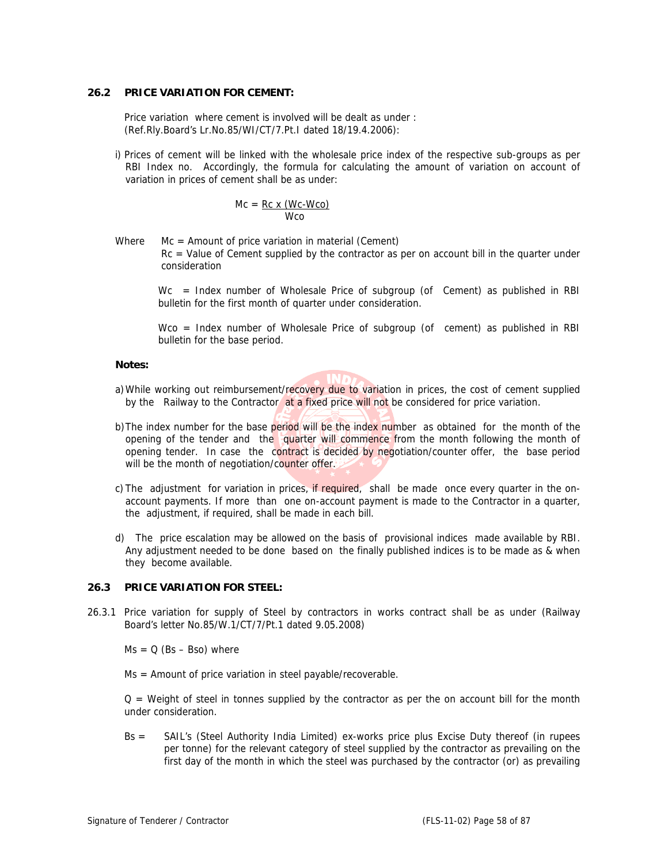## **26.2 PRICE VARIATION FOR CEMENT:**

Price variation where cement is involved will be dealt as under : (Ref.Rly.Board's Lr.No.85/WI/CT/7.Pt.I dated 18/19.4.2006):

i) Prices of cement will be linked with the wholesale price index of the respective sub-groups as per RBI Index no. Accordingly, the formula for calculating the amount of variation on account of variation in prices of cement shall be as under:

$$
Mc = \frac{Rc \times (Wc-Wco)}{Wco}
$$

Where Mc = Amount of price variation in material (Cement) Rc = Value of Cement supplied by the contractor as per on account bill in the quarter under consideration

Wc = Index number of Wholesale Price of subgroup (of Cement) as published in RBI bulletin for the first month of quarter under consideration.

Wco = Index number of Wholesale Price of subgroup (of cement) as published in RBI bulletin for the base period.

#### **Notes:**

- a) While working out reimbursement/recovery due to variation in prices, the cost of cement supplied by the Railway to the Contractor at a fixed price will not be considered for price variation.
- b) The index number for the base period will be the index number as obtained for the month of the opening of the tender and the quarter will commence from the month following the month of opening tender. In case the contract is decided by negotiation/counter offer, the base period will be the month of negotiation/counter offer.
- c) The adjustment for variation in prices, if required, shall be made once every quarter in the onaccount payments. If more than one on-account payment is made to the Contractor in a quarter, the adjustment, if required, shall be made in each bill.
- d) The price escalation may be allowed on the basis of provisional indices made available by RBI. Any adjustment needed to be done based on the finally published indices is to be made as & when they become available.

## **26.3 PRICE VARIATION FOR STEEL:**

26.3.1 Price variation for supply of Steel by contractors in works contract shall be as under (Railway Board's letter No.85/W.1/CT/7/Pt.1 dated 9.05.2008)

 $Ms = Q (Bs - Bso)$  where

Ms = Amount of price variation in steel payable/recoverable.

 $Q =$  Weight of steel in tonnes supplied by the contractor as per the on account bill for the month under consideration.

Bs = SAIL's (Steel Authority India Limited) ex-works price plus Excise Duty thereof (in rupees per tonne) for the relevant category of steel supplied by the contractor as prevailing on the first day of the month in which the steel was purchased by the contractor (or) as prevailing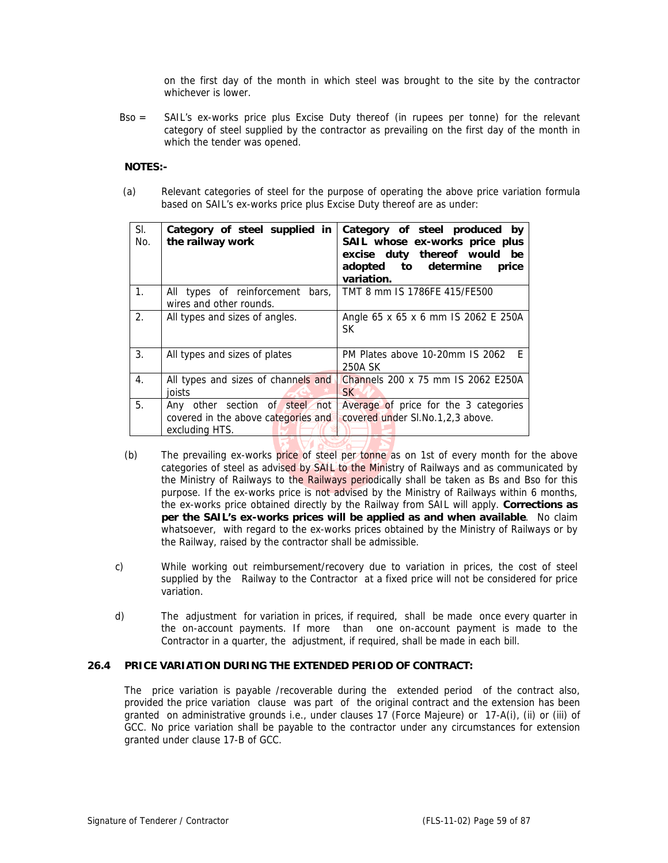on the first day of the month in which steel was brought to the site by the contractor whichever is lower.

 Bso = SAIL's ex-works price plus Excise Duty thereof (in rupees per tonne) for the relevant category of steel supplied by the contractor as prevailing on the first day of the month in which the tender was opened.

#### **NOTES:-**

(a) Relevant categories of steel for the purpose of operating the above price variation formula based on SAIL's ex-works price plus Excise Duty thereof are as under:

| SI.<br>No.     | Category of steel supplied in<br>the railway work                                       | Category of steel produced by<br>SAIL whose ex-works price plus<br>excise duty thereof would be<br>adopted to determine<br>price<br>variation. |  |
|----------------|-----------------------------------------------------------------------------------------|------------------------------------------------------------------------------------------------------------------------------------------------|--|
| $\mathbf{1}$ . | All types of reinforcement<br>bars,<br>wires and other rounds.                          | TMT 8 mm IS 1786FE 415/FE500                                                                                                                   |  |
| 2.             | All types and sizes of angles.                                                          | Angle 65 x 65 x 6 mm IS 2062 E 250A<br>SK.                                                                                                     |  |
| 3.             | All types and sizes of plates                                                           | PM Plates above 10-20mm IS 2062 E<br>250A SK                                                                                                   |  |
| 4.             | All types and sizes of channels and<br>ioists                                           | Channels 200 x 75 mm IS 2062 E250A<br>SK.                                                                                                      |  |
| 5.             | Any other section of steel not<br>covered in the above categories and<br>excluding HTS. | Average of price for the 3 categories<br>covered under SI.No.1,2,3 above.                                                                      |  |
|                |                                                                                         |                                                                                                                                                |  |

- (b) The prevailing ex-works price of steel per tonne as on 1st of every month for the above categories of steel as advised by SAIL to the Ministry of Railways and as communicated by the Ministry of Railways to the Railways periodically shall be taken as Bs and Bso for this purpose. If the ex-works price is not advised by the Ministry of Railways within 6 months, the ex-works price obtained directly by the Railway from SAIL will apply. **Corrections as per the SAIL's ex-works prices will be applied as and when available**. No claim whatsoever, with regard to the ex-works prices obtained by the Ministry of Railways or by the Railway, raised by the contractor shall be admissible.
- c) While working out reimbursement/recovery due to variation in prices, the cost of steel supplied by the Railway to the Contractor at a fixed price will not be considered for price variation.
- d) The adjustment for variation in prices, if required, shall be made once every quarter in the on-account payments. If more than one on-account payment is made to the Contractor in a quarter, the adjustment, if required, shall be made in each bill.

#### **26.4 PRICE VARIATION DURING THE EXTENDED PERIOD OF CONTRACT:**

The price variation is payable /recoverable during the extended period of the contract also, provided the price variation clause was part of the original contract and the extension has been granted on administrative grounds i.e., under clauses 17 (Force Majeure) or 17-A(i), (ii) or (iii) of GCC. No price variation shall be payable to the contractor under any circumstances for extension granted under clause 17-B of GCC.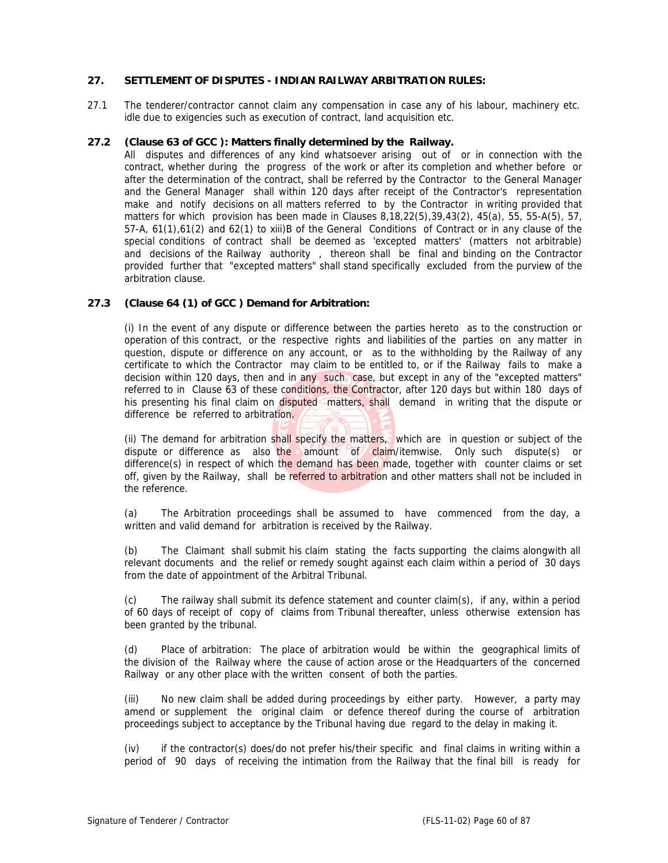#### **27. SETTLEMENT OF DISPUTES - INDIAN RAILWAY ARBITRATION RULES:**

27.1 The tenderer/contractor cannot claim any compensation in case any of his labour, machinery etc. idle due to exigencies such as execution of contract, land acquisition etc.

#### **27.2 (Clause 63 of GCC ): Matters finally determined by the Railway.**

All disputes and differences of any kind whatsoever arising out of or in connection with the contract, whether during the progress of the work or after its completion and whether before or after the determination of the contract, shall be referred by the Contractor to the General Manager and the General Manager shall within 120 days after receipt of the Contractor's representation make and notify decisions on all matters referred to by the Contractor in writing provided that matters for which provision has been made in Clauses 8, 18, 22(5), 39, 43(2), 45(a), 55, 55-A(5), 57, 57-A, 61(1),61(2) and 62(1) to xiii)B of the General Conditions of Contract or in any clause of the special conditions of contract shall be deemed as 'excepted matters' (matters not arbitrable) and decisions of the Railway authority , thereon shall be final and binding on the Contractor provided further that "excepted matters" shall stand specifically excluded from the purview of the arbitration clause.

## **27.3 (Clause 64 (1) of GCC ) Demand for Arbitration:**

(i) In the event of any dispute or difference between the parties hereto as to the construction or operation of this contract, or the respective rights and liabilities of the parties on any matter in question, dispute or difference on any account, or as to the withholding by the Railway of any certificate to which the Contractor may claim to be entitled to, or if the Railway fails to make a decision within 120 days, then and in any such case, but except in any of the "excepted matters" referred to in Clause 63 of these conditions, the Contractor, after 120 days but within 180 days of his presenting his final claim on disputed matters, shall demand in writing that the dispute or difference be referred to arbitration.

(ii) The demand for arbitration shall specify the matters, which are in question or subject of the dispute or difference as also the amount of claim/itemwise. Only such dispute(s) or difference(s) in respect of which the demand has been made, together with counter claims or set off, given by the Railway, shall be referred to arbitration and other matters shall not be included in the reference.

(a) The Arbitration proceedings shall be assumed to have commenced from the day, a written and valid demand for arbitration is received by the Railway.

(b) The Claimant shall submit his claim stating the facts supporting the claims alongwith all relevant documents and the relief or remedy sought against each claim within a period of 30 days from the date of appointment of the Arbitral Tribunal.

(c) The railway shall submit its defence statement and counter claim(s), if any, within a period of 60 days of receipt of copy of claims from Tribunal thereafter, unless otherwise extension has been granted by the tribunal.

(d) Place of arbitration: The place of arbitration would be within the geographical limits of the division of the Railway where the cause of action arose or the Headquarters of the concerned Railway or any other place with the written consent of both the parties.

(iii) No new claim shall be added during proceedings by either party. However, a party may amend or supplement the original claim or defence thereof during the course of arbitration proceedings subject to acceptance by the Tribunal having due regard to the delay in making it.

(iv) if the contractor(s) does/do not prefer his/their specific and final claims in writing within a period of 90 days of receiving the intimation from the Railway that the final bill is ready for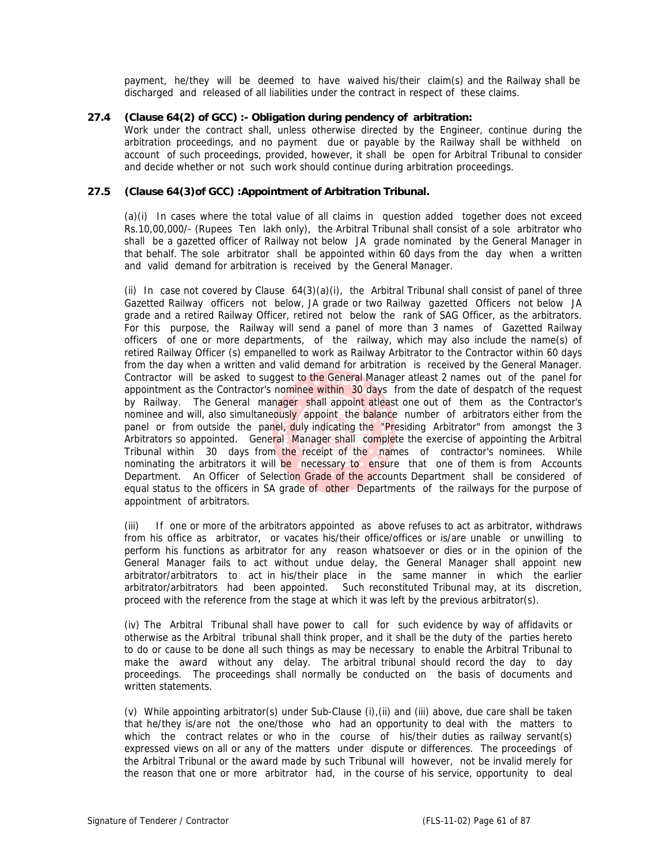payment, he/they will be deemed to have waived his/their claim(s) and the Railway shall be discharged and released of all liabilities under the contract in respect of these claims.

## **27.4 (Clause 64(2) of GCC) :- Obligation during pendency of arbitration:**

Work under the contract shall, unless otherwise directed by the Engineer, continue during the arbitration proceedings, and no payment due or payable by the Railway shall be withheld on account of such proceedings, provided, however, it shall be open for Arbitral Tribunal to consider and decide whether or not such work should continue during arbitration proceedings.

#### **27.5 (Clause 64(3)of GCC) :Appointment of Arbitration Tribunal.**

(a)(i) In cases where the total value of all claims in question added together does not exceed Rs.10,00,000/- (Rupees Ten lakh only), the Arbitral Tribunal shall consist of a sole arbitrator who shall be a gazetted officer of Railway not below JA grade nominated by the General Manager in that behalf. The sole arbitrator shall be appointed within 60 days from the day when a written and valid demand for arbitration is received by the General Manager.

(ii) In case not covered by Clause  $64(3)(a)(i)$ , the Arbitral Tribunal shall consist of panel of three Gazetted Railway officers not below, JA grade or two Railway gazetted Officers not below JA grade and a retired Railway Officer, retired not below the rank of SAG Officer, as the arbitrators. For this purpose, the Railway will send a panel of more than 3 names of Gazetted Railway officers of one or more departments, of the railway, which may also include the name(s) of retired Railway Officer (s) empanelled to work as Railway Arbitrator to the Contractor within 60 days from the day when a written and valid demand for arbitration is received by the General Manager. Contractor will be asked to suggest to the General Manager atleast 2 names out of the panel for appointment as the Contractor's nominee within 30 days from the date of despatch of the request by Railway. The General manager shall appoint atleast one out of them as the Contractor's nominee and will, also simultaneously appoint the balance number of arbitrators either from the panel or from outside the panel, duly indicating the "Presiding Arbitrator" from amongst the 3 Arbitrators so appointed. General Manager shall complete the exercise of appointing the Arbitral Tribunal within 30 days from the receipt of the names of contractor's nominees. While nominating the arbitrators it will be necessary to ensure that one of them is from Accounts Department. An Officer of Selection Grade of the accounts Department shall be considered of equal status to the officers in SA grade of other Departments of the railways for the purpose of appointment of arbitrators.

(iii) If one or more of the arbitrators appointed as above refuses to act as arbitrator, withdraws from his office as arbitrator, or vacates his/their office/offices or is/are unable or unwilling to perform his functions as arbitrator for any reason whatsoever or dies or in the opinion of the General Manager fails to act without undue delay, the General Manager shall appoint new arbitrator/arbitrators to act in his/their place in the same manner in which the earlier arbitrator/arbitrators had been appointed. Such reconstituted Tribunal may, at its discretion, proceed with the reference from the stage at which it was left by the previous arbitrator(s).

(iv) The Arbitral Tribunal shall have power to call for such evidence by way of affidavits or otherwise as the Arbitral tribunal shall think proper, and it shall be the duty of the parties hereto to do or cause to be done all such things as may be necessary to enable the Arbitral Tribunal to make the award without any delay. The arbitral tribunal should record the day to day proceedings. The proceedings shall normally be conducted on the basis of documents and written statements.

(v) While appointing arbitrator(s) under Sub-Clause (i),(ii) and (iii) above, due care shall be taken that he/they is/are not the one/those who had an opportunity to deal with the matters to which the contract relates or who in the course of his/their duties as railway servant(s) expressed views on all or any of the matters under dispute or differences. The proceedings of the Arbitral Tribunal or the award made by such Tribunal will however, not be invalid merely for the reason that one or more arbitrator had, in the course of his service, opportunity to deal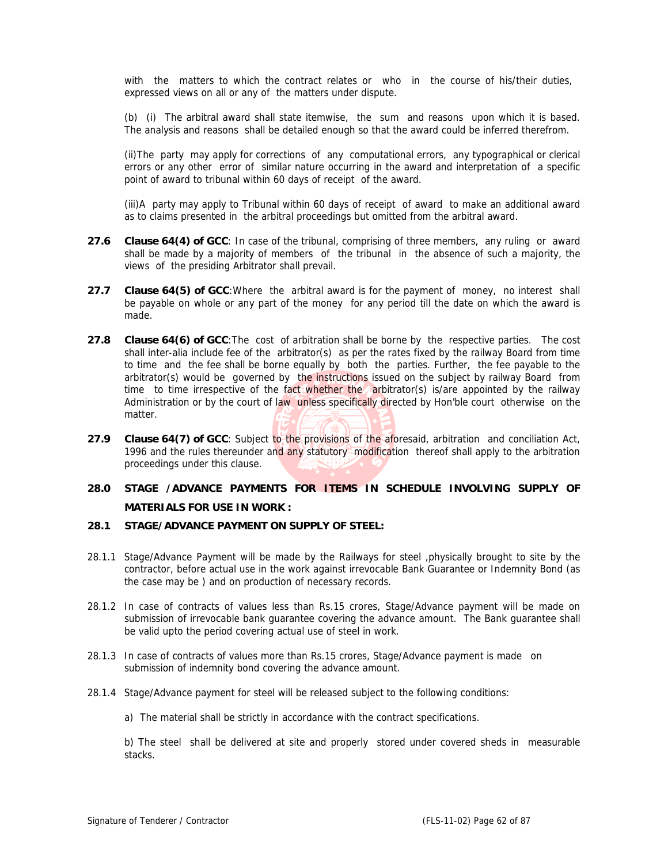with the matters to which the contract relates or who in the course of his/their duties, expressed views on all or any of the matters under dispute.

(b) (i) The arbitral award shall state itemwise, the sum and reasons upon which it is based. The analysis and reasons shall be detailed enough so that the award could be inferred therefrom.

(ii)The party may apply for corrections of any computational errors, any typographical or clerical errors or any other error of similar nature occurring in the award and interpretation of a specific point of award to tribunal within 60 days of receipt of the award.

(iii)A party may apply to Tribunal within 60 days of receipt of award to make an additional award as to claims presented in the arbitral proceedings but omitted from the arbitral award.

- **27.6 Clause 64(4) of GCC**: In case of the tribunal, comprising of three members, any ruling or award shall be made by a majority of members of the tribunal in the absence of such a majority, the views of the presiding Arbitrator shall prevail.
- **27.7 Clause 64(5) of GCC**:Where the arbitral award is for the payment of money, no interest shall be payable on whole or any part of the money for any period till the date on which the award is made.
- **27.8 Clause 64(6) of GCC**:The cost of arbitration shall be borne by the respective parties. The cost shall inter-alia include fee of the arbitrator(s) as per the rates fixed by the railway Board from time to time and the fee shall be borne equally by both the parties. Further, the fee payable to the arbitrator(s) would be governed by the instructions issued on the subject by railway Board from time to time irrespective of the fact whether the arbitrator(s) is/are appointed by the railway Administration or by the court of law unless specifically directed by Hon'ble court otherwise on the matter.
- **27.9 Clause 64(7) of GCC**: Subject to the provisions of the aforesaid, arbitration and conciliation Act, 1996 and the rules thereunder and any statutory modification thereof shall apply to the arbitration proceedings under this clause.

# **28.0 STAGE /ADVANCE PAYMENTS FOR ITEMS IN SCHEDULE INVOLVING SUPPLY OF MATERIALS FOR USE IN WORK :**

#### **28.1 STAGE/ADVANCE PAYMENT ON SUPPLY OF STEEL:**

- 28.1.1 Stage/Advance Payment will be made by the Railways for steel ,physically brought to site by the contractor, before actual use in the work against irrevocable Bank Guarantee or Indemnity Bond (as the case may be ) and on production of necessary records.
- 28.1.2 In case of contracts of values less than Rs.15 crores, Stage/Advance payment will be made on submission of irrevocable bank guarantee covering the advance amount. The Bank guarantee shall be valid upto the period covering actual use of steel in work.
- 28.1.3 In case of contracts of values more than Rs.15 crores, Stage/Advance payment is made on submission of indemnity bond covering the advance amount.
- 28.1.4 Stage/Advance payment for steel will be released subject to the following conditions:
	- a) The material shall be strictly in accordance with the contract specifications.

b) The steel shall be delivered at site and properly stored under covered sheds in measurable stacks.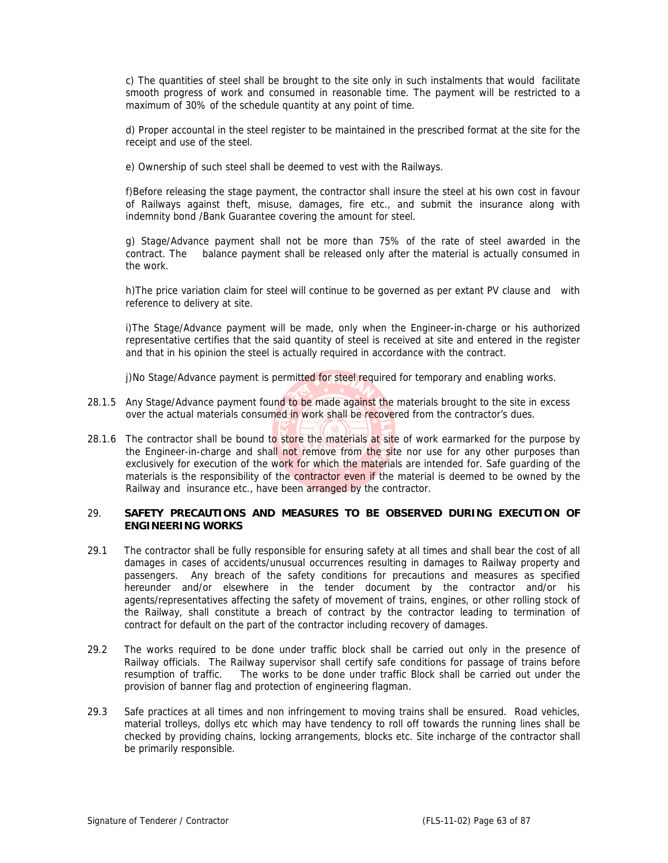c) The quantities of steel shall be brought to the site only in such instalments that would facilitate smooth progress of work and consumed in reasonable time. The payment will be restricted to a maximum of 30% of the schedule quantity at any point of time.

d) Proper accountal in the steel register to be maintained in the prescribed format at the site for the receipt and use of the steel.

e) Ownership of such steel shall be deemed to vest with the Railways.

f)Before releasing the stage payment, the contractor shall insure the steel at his own cost in favour of Railways against theft, misuse, damages, fire etc., and submit the insurance along with indemnity bond /Bank Guarantee covering the amount for steel.

g) Stage/Advance payment shall not be more than 75% of the rate of steel awarded in the contract. The balance payment shall be released only after the material is actually consumed in the work.

h)The price variation claim for steel will continue to be governed as per extant PV clause and with reference to delivery at site.

i)The Stage/Advance payment will be made, only when the Engineer-in-charge or his authorized representative certifies that the said quantity of steel is received at site and entered in the register and that in his opinion the steel is actually required in accordance with the contract.

j)No Stage/Advance payment is permitted for steel required for temporary and enabling works.

- 28.1.5 Any Stage/Advance payment found to be made against the materials brought to the site in excess over the actual materials consumed in work shall be recovered from the contractor's dues.
- 28.1.6 The contractor shall be bound to store the materials at site of work earmarked for the purpose by the Engineer-in-charge and shall not remove from the site nor use for any other purposes than exclusively for execution of the work for which the materials are intended for. Safe quarding of the materials is the responsibility of the contractor even if the material is deemed to be owned by the Railway and insurance etc., have been arranged by the contractor.

## 29. **SAFETY PRECAUTIONS AND MEASURES TO BE OBSERVED DURING EXECUTION OF ENGINEERING WORKS**

- 29.1 The contractor shall be fully responsible for ensuring safety at all times and shall bear the cost of all damages in cases of accidents/unusual occurrences resulting in damages to Railway property and passengers. Any breach of the safety conditions for precautions and measures as specified hereunder and/or elsewhere in the tender document by the contractor and/or his agents/representatives affecting the safety of movement of trains, engines, or other rolling stock of the Railway, shall constitute a breach of contract by the contractor leading to termination of contract for default on the part of the contractor including recovery of damages.
- 29.2 The works required to be done under traffic block shall be carried out only in the presence of Railway officials. The Railway supervisor shall certify safe conditions for passage of trains before resumption of traffic. The works to be done under traffic Block shall be carried out under the provision of banner flag and protection of engineering flagman.
- 29.3 Safe practices at all times and non infringement to moving trains shall be ensured. Road vehicles, material trolleys, dollys etc which may have tendency to roll off towards the running lines shall be checked by providing chains, locking arrangements, blocks etc. Site incharge of the contractor shall be primarily responsible.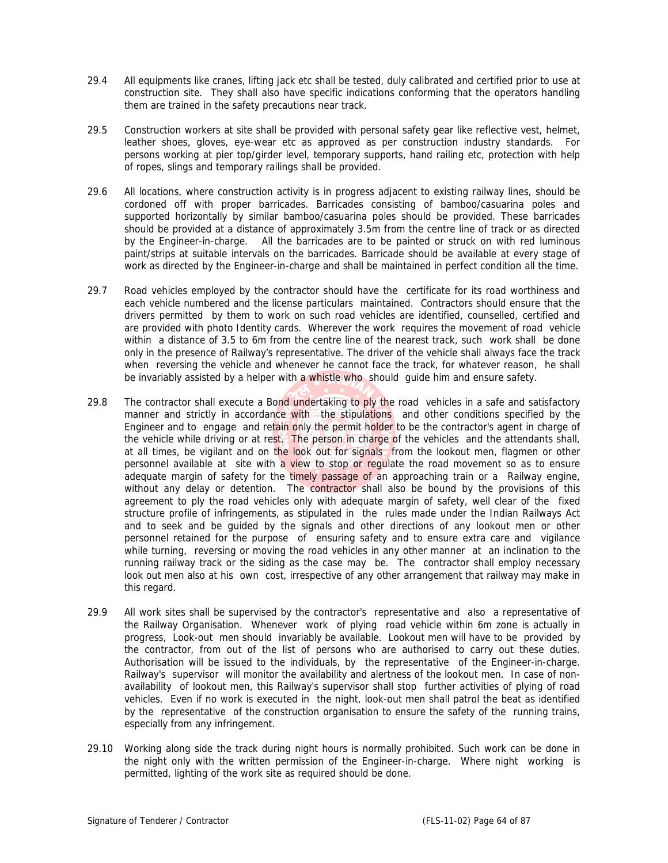- 29.4 All equipments like cranes, lifting jack etc shall be tested, duly calibrated and certified prior to use at construction site. They shall also have specific indications conforming that the operators handling them are trained in the safety precautions near track.
- 29.5 Construction workers at site shall be provided with personal safety gear like reflective vest, helmet, leather shoes, gloves, eye-wear etc as approved as per construction industry standards. For persons working at pier top/girder level, temporary supports, hand railing etc, protection with help of ropes, slings and temporary railings shall be provided.
- 29.6 All locations, where construction activity is in progress adjacent to existing railway lines, should be cordoned off with proper barricades. Barricades consisting of bamboo/casuarina poles and supported horizontally by similar bamboo/casuarina poles should be provided. These barricades should be provided at a distance of approximately 3.5m from the centre line of track or as directed by the Engineer-in-charge. All the barricades are to be painted or struck on with red luminous paint/strips at suitable intervals on the barricades. Barricade should be available at every stage of work as directed by the Engineer-in-charge and shall be maintained in perfect condition all the time.
- 29.7 Road vehicles employed by the contractor should have the certificate for its road worthiness and each vehicle numbered and the license particulars maintained. Contractors should ensure that the drivers permitted by them to work on such road vehicles are identified, counselled, certified and are provided with photo Identity cards. Wherever the work requires the movement of road vehicle within a distance of 3.5 to 6m from the centre line of the nearest track, such work shall be done only in the presence of Railway's representative. The driver of the vehicle shall always face the track when reversing the vehicle and whenever he cannot face the track, for whatever reason, he shall be invariably assisted by a helper with a whistle who should quide him and ensure safety.
- 29.8 The contractor shall execute a Bond undertaking to ply the road vehicles in a safe and satisfactory manner and strictly in accordance with the stipulations and other conditions specified by the Engineer and to engage and retain only the permit holder to be the contractor's agent in charge of the vehicle while driving or at rest. The person in charge of the vehicles and the attendants shall, at all times, be vigilant and on the look out for signals from the lookout men, flagmen or other personnel available at site with a view to stop or regulate the road movement so as to ensure adequate margin of safety for the timely passage of an approaching train or a Railway engine, without any delay or detention. The contractor shall also be bound by the provisions of this agreement to ply the road vehicles only with adequate margin of safety, well clear of the fixed structure profile of infringements, as stipulated in the rules made under the Indian Railways Act and to seek and be guided by the signals and other directions of any lookout men or other personnel retained for the purpose of ensuring safety and to ensure extra care and vigilance while turning, reversing or moving the road vehicles in any other manner at an inclination to the running railway track or the siding as the case may be. The contractor shall employ necessary look out men also at his own cost, irrespective of any other arrangement that railway may make in this regard.
- 29.9 All work sites shall be supervised by the contractor's representative and also a representative of the Railway Organisation. Whenever work of plying road vehicle within 6m zone is actually in progress, Look-out men should invariably be available. Lookout men will have to be provided by the contractor, from out of the list of persons who are authorised to carry out these duties. Authorisation will be issued to the individuals, by the representative of the Engineer-in-charge. Railway's supervisor will monitor the availability and alertness of the lookout men. In case of nonavailability of lookout men, this Railway's supervisor shall stop further activities of plying of road vehicles. Even if no work is executed in the night, look-out men shall patrol the beat as identified by the representative of the construction organisation to ensure the safety of the running trains, especially from any infringement.
- 29.10 Working along side the track during night hours is normally prohibited. Such work can be done in the night only with the written permission of the Engineer-in-charge. Where night working is permitted, lighting of the work site as required should be done.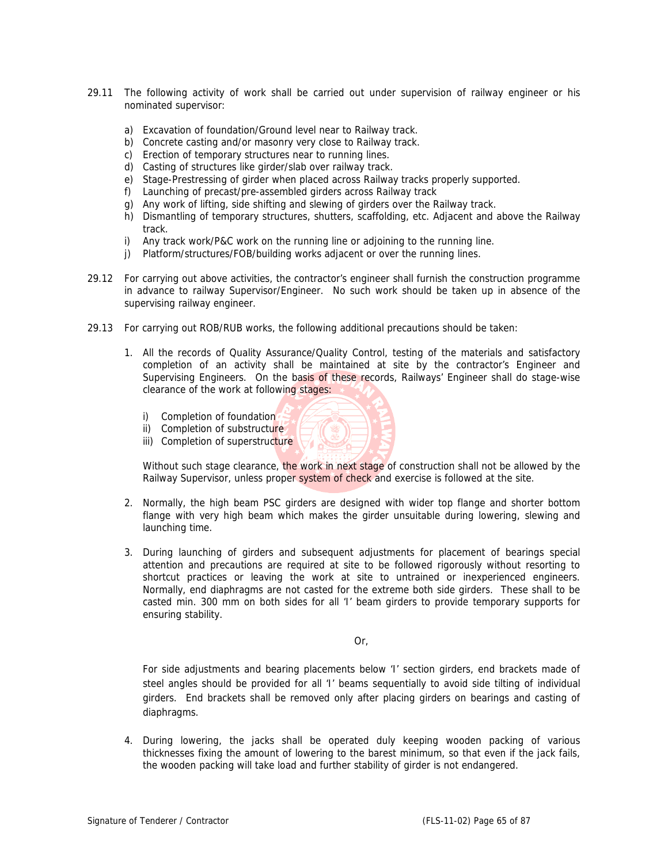- 29.11 The following activity of work shall be carried out under supervision of railway engineer or his nominated supervisor:
	- a) Excavation of foundation/Ground level near to Railway track.
	- b) Concrete casting and/or masonry very close to Railway track.
	- c) Erection of temporary structures near to running lines.
	- d) Casting of structures like girder/slab over railway track.
	- e) Stage-Prestressing of girder when placed across Railway tracks properly supported.
	- f) Launching of precast/pre-assembled girders across Railway track
	- g) Any work of lifting, side shifting and slewing of girders over the Railway track.
	- h) Dismantling of temporary structures, shutters, scaffolding, etc. Adjacent and above the Railway track.
	- i) Any track work/P&C work on the running line or adjoining to the running line.
	- j) Platform/structures/FOB/building works adjacent or over the running lines.
- 29.12 For carrying out above activities, the contractor's engineer shall furnish the construction programme in advance to railway Supervisor/Engineer. No such work should be taken up in absence of the supervising railway engineer.
- 29.13 For carrying out ROB/RUB works, the following additional precautions should be taken:
	- 1. All the records of Quality Assurance/Quality Control, testing of the materials and satisfactory completion of an activity shall be maintained at site by the contractor's Engineer and Supervising Engineers. On the basis of these records, Railways' Engineer shall do stage-wise clearance of the work at following stages:
		- i) Completion of foundation
		- ii) Completion of substructure
		- iii) Completion of superstructure



- 2. Normally, the high beam PSC girders are designed with wider top flange and shorter bottom flange with very high beam which makes the girder unsuitable during lowering, slewing and launching time.
- 3. During launching of girders and subsequent adjustments for placement of bearings special attention and precautions are required at site to be followed rigorously without resorting to shortcut practices or leaving the work at site to untrained or inexperienced engineers. Normally, end diaphragms are not casted for the extreme both side girders. These shall to be casted min. 300 mm on both sides for all 'I' beam girders to provide temporary supports for ensuring stability.

Or,

For side adjustments and bearing placements below 'I' section girders, end brackets made of steel angles should be provided for all 'I' beams sequentially to avoid side tilting of individual girders. End brackets shall be removed only after placing girders on bearings and casting of diaphragms.

4. During lowering, the jacks shall be operated duly keeping wooden packing of various thicknesses fixing the amount of lowering to the barest minimum, so that even if the jack fails, the wooden packing will take load and further stability of girder is not endangered.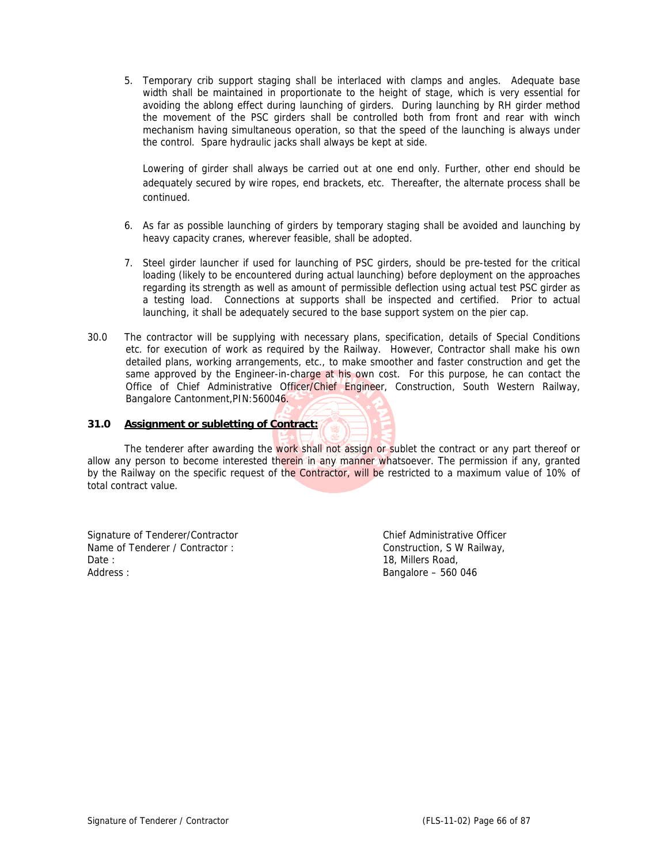5. Temporary crib support staging shall be interlaced with clamps and angles. Adequate base width shall be maintained in proportionate to the height of stage, which is very essential for avoiding the ablong effect during launching of girders. During launching by RH girder method the movement of the PSC girders shall be controlled both from front and rear with winch mechanism having simultaneous operation, so that the speed of the launching is always under the control. Spare hydraulic jacks shall always be kept at side.

Lowering of girder shall always be carried out at one end only. Further, other end should be adequately secured by wire ropes, end brackets, etc. Thereafter, the alternate process shall be continued.

- 6. As far as possible launching of girders by temporary staging shall be avoided and launching by heavy capacity cranes, wherever feasible, shall be adopted.
- 7. Steel girder launcher if used for launching of PSC girders, should be pre-tested for the critical loading (likely to be encountered during actual launching) before deployment on the approaches regarding its strength as well as amount of permissible deflection using actual test PSC girder as a testing load. Connections at supports shall be inspected and certified. Prior to actual launching, it shall be adequately secured to the base support system on the pier cap.
- 30.0 The contractor will be supplying with necessary plans, specification, details of Special Conditions etc. for execution of work as required by the Railway. However, Contractor shall make his own detailed plans, working arrangements, etc., to make smoother and faster construction and get the same approved by the Engineer-in-charge at his own cost. For this purpose, he can contact the Office of Chief Administrative Officer/Chief Engineer, Construction, South Western Railway, Bangalore Cantonment,PIN:560046.

#### **31.0 Assignment or subletting of Contract:**

The tenderer after awarding the work shall not assign or sublet the contract or any part thereof or allow any person to become interested therein in any manner whatsoever. The permission if any, granted by the Railway on the specific request of the Contractor, will be restricted to a maximum value of 10% of total contract value.

Signature of Tenderer/Contractor Chief Administrative Officer Name of Tenderer / Contractor : Construction, S W Railway, Date : 18, Millers Road, Address : Bangalore – 560 046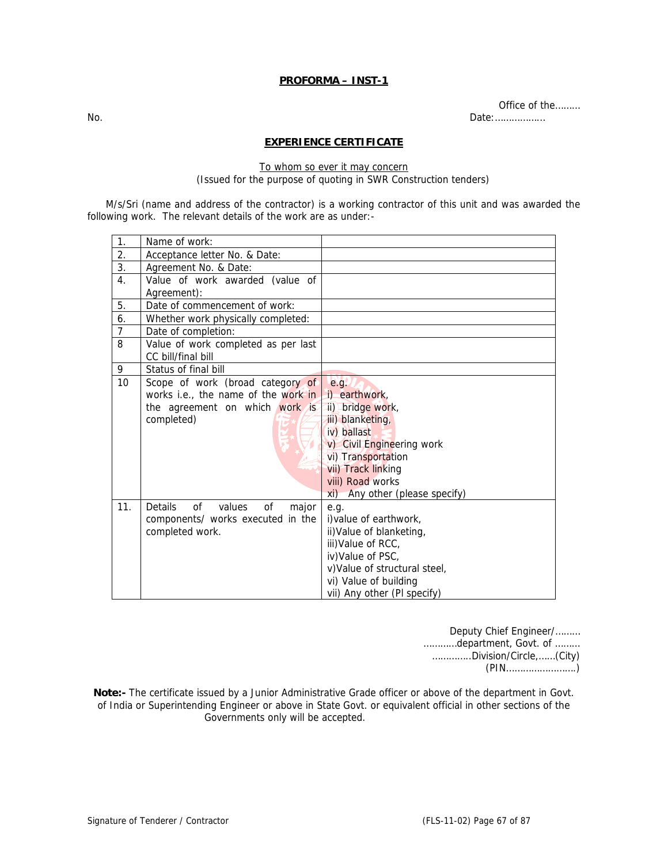Office of the……… No. Date:……………...

#### **EXPERIENCE CERTIFICATE**

To whom so ever it may concern (Issued for the purpose of quoting in SWR Construction tenders)

M/s/Sri (name and address of the contractor) is a working contractor of this unit and was awarded the following work. The relevant details of the work are as under:-

| 1.               | Name of work:                                              |                                |
|------------------|------------------------------------------------------------|--------------------------------|
| 2.               | Acceptance letter No. & Date:                              |                                |
| 3.               | Agreement No. & Date:                                      |                                |
| 4.               | Value of work awarded (value of                            |                                |
|                  | Agreement):                                                |                                |
| 5.               | Date of commencement of work:                              |                                |
| 6.               | Whether work physically completed:                         |                                |
| $\overline{7}$   | Date of completion:                                        |                                |
| 8                | Value of work completed as per last                        |                                |
|                  | CC bill/final bill                                         |                                |
| 9                | Status of final bill                                       |                                |
| 10 <sup>10</sup> | Scope of work (broad category of                           | e.g.                           |
|                  | works i.e., the name of the work in                        | i) earthwork,                  |
|                  | the agreement on which work is                             | ii) bridge work,               |
|                  | completed)                                                 | iii) blanketing,               |
|                  |                                                            | iv) ballast                    |
|                  |                                                            | v) Civil Engineering work      |
|                  |                                                            | vi) Transportation             |
|                  |                                                            | vii) Track linking             |
|                  |                                                            | viii) Road works               |
|                  |                                                            | xi) Any other (please specify) |
| 11.              | <b>Details</b><br>$\Omega$<br><b>of</b><br>values<br>major | e.g.                           |
|                  | components/ works executed in the                          | i) value of earthwork,         |
|                  | completed work.                                            | ii) Value of blanketing,       |
|                  |                                                            | iii) Value of RCC,             |
|                  |                                                            | iv) Value of PSC,              |
|                  |                                                            | v) Value of structural steel,  |
|                  |                                                            | vi) Value of building          |
|                  |                                                            | vii) Any other (PI specify)    |

 Deputy Chief Engineer/……… …………department, Govt. of ……… …………..Division/Circle,……(City) (PIN…………………….)

**Note:-** The certificate issued by a Junior Administrative Grade officer or above of the department in Govt. of India or Superintending Engineer or above in State Govt. or equivalent official in other sections of the Governments only will be accepted.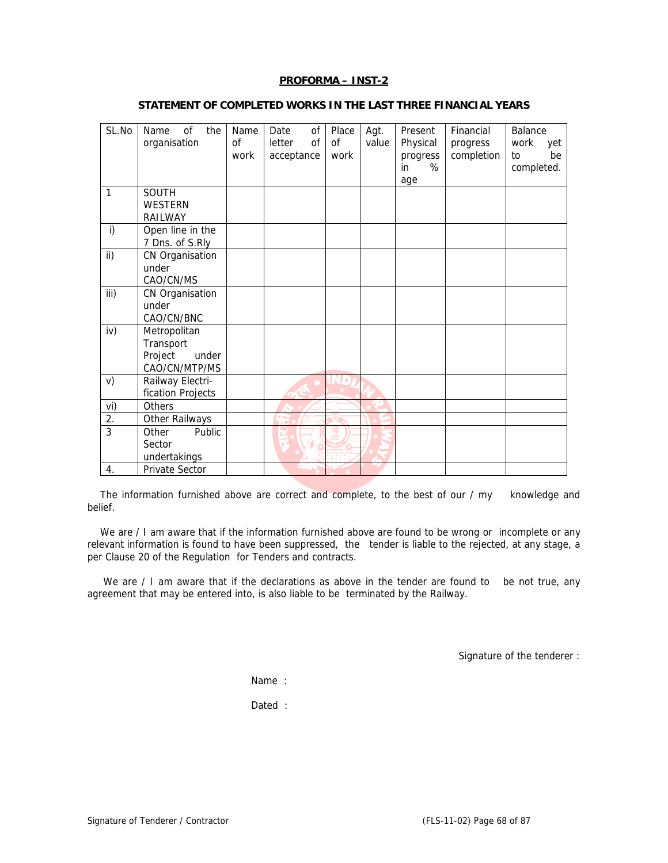| SL.No            | Name<br><sub>of</sub><br>the<br>organisation                   | Name<br><sub>Of</sub> | Date<br>0f<br><sub>O</sub> f<br>letter | Place<br>of | Agt.<br>value | Present<br>Physical        | Financial<br>progress | Balance<br>work<br>yet |
|------------------|----------------------------------------------------------------|-----------------------|----------------------------------------|-------------|---------------|----------------------------|-----------------------|------------------------|
|                  |                                                                | work                  | acceptance                             | work        |               | progress<br>%<br>in<br>age | completion            | be<br>to<br>completed. |
| 1                | SOUTH<br><b>WESTERN</b><br>RAILWAY                             |                       |                                        |             |               |                            |                       |                        |
| i)               | Open line in the<br>7 Dns. of S.Rly                            |                       |                                        |             |               |                            |                       |                        |
| ii)              | CN Organisation<br>under<br>CAO/CN/MS                          |                       |                                        |             |               |                            |                       |                        |
| iii)             | CN Organisation<br>under<br>CAO/CN/BNC                         |                       |                                        |             |               |                            |                       |                        |
| iv)              | Metropolitan<br>Transport<br>Project<br>under<br>CAO/CN/MTP/MS |                       |                                        |             |               |                            |                       |                        |
| V)               | Railway Electri-<br>fication Projects                          |                       |                                        |             |               |                            |                       |                        |
| vi)              | <b>Others</b>                                                  |                       |                                        |             |               |                            |                       |                        |
| 2.               | <b>Other Railways</b>                                          |                       |                                        |             |               |                            |                       |                        |
| 3                | Other<br>Public<br>Sector                                      |                       |                                        |             |               |                            |                       |                        |
|                  | undertakings                                                   |                       |                                        |             |               |                            |                       |                        |
| $\overline{4}$ . | Private Sector                                                 |                       |                                        |             |               |                            |                       |                        |

# **STATEMENT OF COMPLETED WORKS IN THE LAST THREE FINANCIAL YEARS**

The information furnished above are correct and complete, to the best of our / my knowledge and belief.

We are / I am aware that if the information furnished above are found to be wrong or incomplete or any relevant information is found to have been suppressed, the tender is liable to the rejected, at any stage, a per Clause 20 of the Regulation for Tenders and contracts.

We are / I am aware that if the declarations as above in the tender are found to be not true, any agreement that may be entered into, is also liable to be terminated by the Railway.

Signature of the tenderer :

Name :

Dated :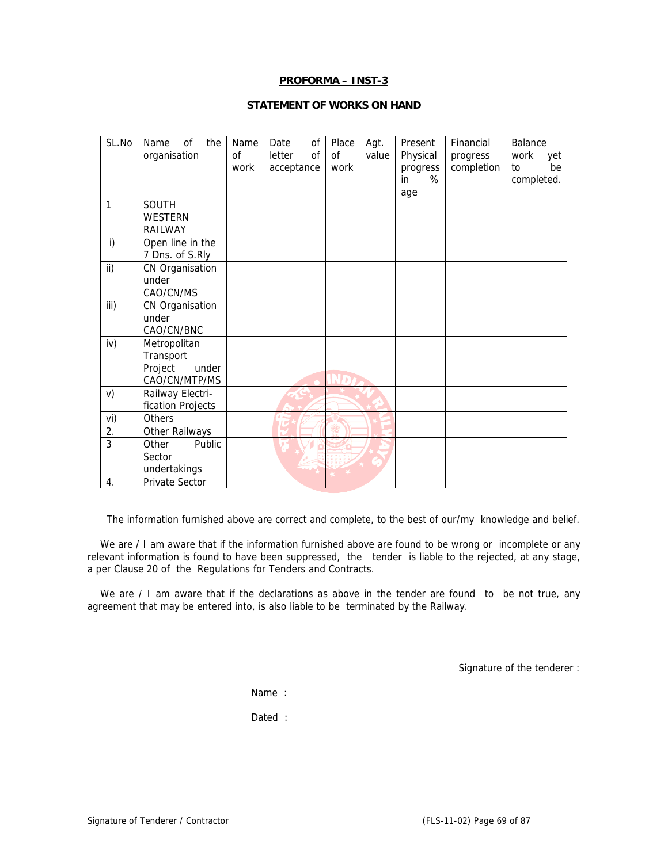# **STATEMENT OF WORKS ON HAND**

| SL.No          | 0f<br>the<br>Name     | Name | of<br>Date   | Place | Agt.  | Present  | Financial  | Balance     |
|----------------|-----------------------|------|--------------|-------|-------|----------|------------|-------------|
|                | organisation          | 0f   | of<br>letter | 0f    | value | Physical | progress   | work<br>yet |
|                |                       | work | acceptance   | work  |       | progress | completion | be<br>to    |
|                |                       |      |              |       |       | %<br>in  |            | completed.  |
|                |                       |      |              |       |       | age      |            |             |
| 1              | <b>SOUTH</b>          |      |              |       |       |          |            |             |
|                | <b>WESTERN</b>        |      |              |       |       |          |            |             |
|                | RAILWAY               |      |              |       |       |          |            |             |
| i)             | Open line in the      |      |              |       |       |          |            |             |
|                | 7 Dns. of S.Rly       |      |              |       |       |          |            |             |
| ii)            | CN Organisation       |      |              |       |       |          |            |             |
|                | under                 |      |              |       |       |          |            |             |
|                | CAO/CN/MS             |      |              |       |       |          |            |             |
| iii)           | CN Organisation       |      |              |       |       |          |            |             |
|                | under                 |      |              |       |       |          |            |             |
|                | CAO/CN/BNC            |      |              |       |       |          |            |             |
| iv)            | Metropolitan          |      |              |       |       |          |            |             |
|                | Transport             |      |              |       |       |          |            |             |
|                | Project<br>under      |      |              |       |       |          |            |             |
|                | CAO/CN/MTP/MS         |      |              |       |       |          |            |             |
| v)             | Railway Electri-      |      |              |       |       |          |            |             |
|                | fication Projects     |      |              |       |       |          |            |             |
| vi)            | Others                |      |              |       |       |          |            |             |
| 2.             | Other Railways        |      |              |       |       |          |            |             |
| $\overline{3}$ | Public<br>Other       |      |              |       |       |          |            |             |
|                | Sector                |      |              |       |       |          |            |             |
|                | undertakings          |      |              |       |       |          |            |             |
| 4.             | <b>Private Sector</b> |      |              |       |       |          |            |             |

The information furnished above are correct and complete, to the best of our/my knowledge and belief.

We are / I am aware that if the information furnished above are found to be wrong or incomplete or any relevant information is found to have been suppressed, the tender is liable to the rejected, at any stage, a per Clause 20 of the Regulations for Tenders and Contracts.

We are / I am aware that if the declarations as above in the tender are found to be not true, any agreement that may be entered into, is also liable to be terminated by the Railway.

Signature of the tenderer :

Name :

Dated :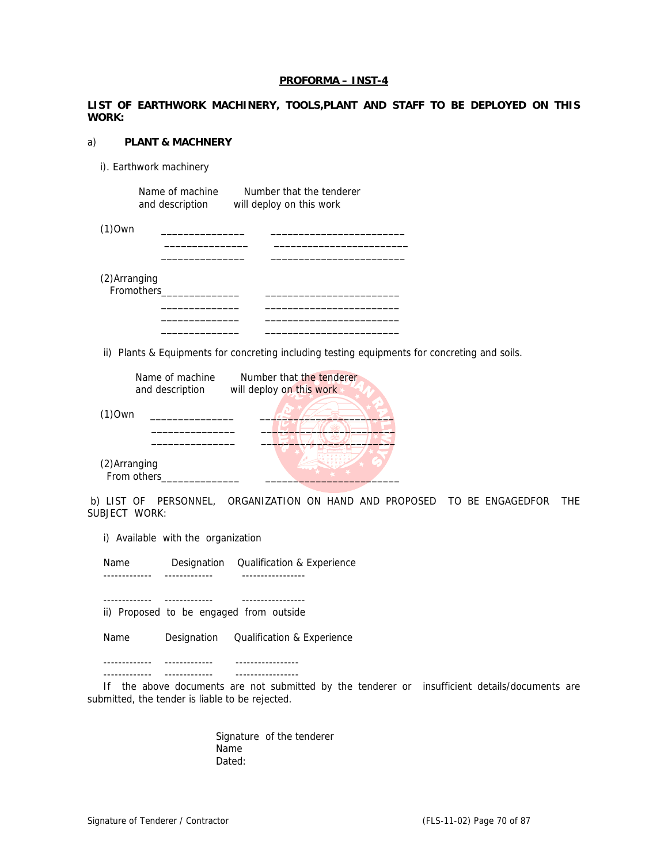**LIST OF EARTHWORK MACHINERY, TOOLS,PLANT AND STAFF TO BE DEPLOYED ON THIS WORK:**

#### a) **PLANT & MACHNERY**

i). Earthwork machinery

Name of machine Number that the tenderer and description will deploy on this work

| $(1)$ Own                           |  |  |
|-------------------------------------|--|--|
| (2) Arranging<br>Fromothers________ |  |  |
|                                     |  |  |
|                                     |  |  |

ii) Plants & Equipments for concreting including testing equipments for concreting and soils.

|                              | Name of machine<br>and description | Number that the tenderer<br>will deploy on this work |
|------------------------------|------------------------------------|------------------------------------------------------|
| $(1)$ Own                    |                                    |                                                      |
|                              |                                    |                                                      |
| (2) Arranging<br>From others |                                    |                                                      |

 b) LIST OF PERSONNEL, ORGANIZATION ON HAND AND PROPOSED TO BE ENGAGEDFOR THE SUBJECT WORK:

i) Available with the organization

 Name Designation Qualification & Experience ------------- ------------- -----------------

 ------------- ------------- ---------------- ii) Proposed to be engaged from outside

Name Designation Qualification & Experience

 ------------- ------------- ----------------- ------------- ------------- -----------------

 If the above documents are not submitted by the tenderer or insufficient details/documents are submitted, the tender is liable to be rejected.

> Signature of the tenderer Name Dated: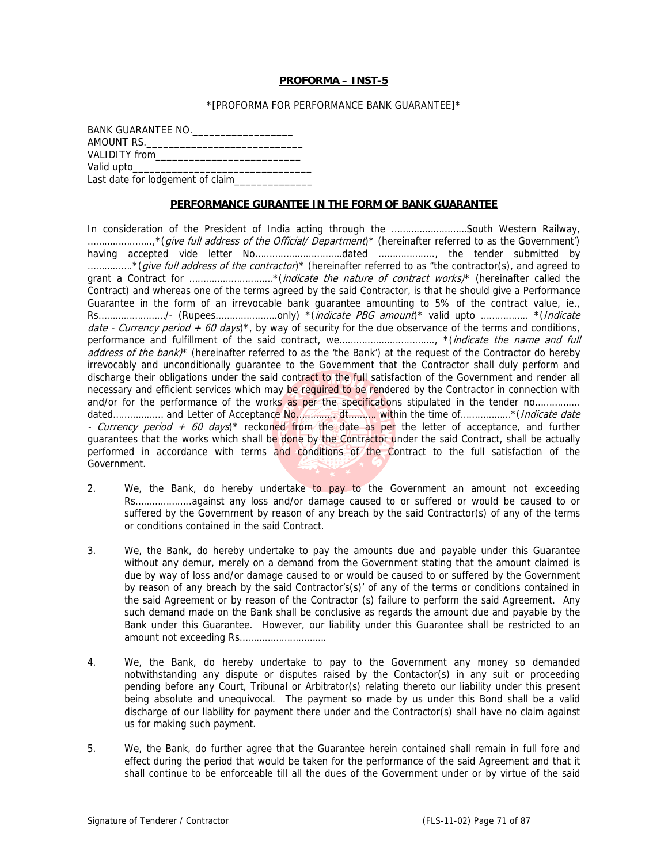#### \*[PROFORMA FOR PERFORMANCE BANK GUARANTEE]\*

| BANK GUARANTEE NO.                               |  |
|--------------------------------------------------|--|
|                                                  |  |
|                                                  |  |
|                                                  |  |
| Last date for lodgement of claim________________ |  |

## **PERFORMANCE GURANTEE IN THE FORM OF BANK GUARANTEE**

In consideration of the President of India acting through the ………………………South Western Railway, ........................,\* (give full address of the Official/ Department)\* (hereinafter referred to as the Government') having accepted vide letter No………………………….dated ……………….., the tender submitted by ................\* (give full address of the contractor)\* (hereinafter referred to as "the contractor(s), and agreed to grant a Contract for …………………………\*(indicate the nature of contract works)\* (hereinafter called the Contract) and whereas one of the terms agreed by the said Contractor, is that he should give a Performance Guarantee in the form of an irrevocable bank guarantee amounting to 5% of the contract value, ie., Rs……………………/- (Rupees………………….only) \*(indicate PBG amount)\* valid upto …………….. \*(Indicate date - Currency period + 60 days)\*, by way of security for the due observance of the terms and conditions, performance and fulfillment of the said contract, we……………………………., \*(indicate the name and full address of the bank)<sup>\*</sup> (hereinafter referred to as the 'the Bank') at the request of the Contractor do hereby irrevocably and unconditionally guarantee to the Government that the Contractor shall duly perform and discharge their obligations under the said contract to the full satisfaction of the Government and render all necessary and efficient services which may be required to be rendered by the Contractor in connection with and/or for the performance of the works as per the specifications stipulated in the tender no................ dated……………… and Letter of Acceptance No………………… dt………… within the time of………………… \* (Indicate date - Currency period + 60 days)\* reckoned from the date as per the letter of acceptance, and further guarantees that the works which shall be done by the Contractor under the said Contract, shall be actually performed in accordance with terms and conditions of the Contract to the full satisfaction of the Government.

- 2. We, the Bank, do hereby undertake to pay to the Government an amount not exceeding Rs………………..against any loss and/or damage caused to or suffered or would be caused to or suffered by the Government by reason of any breach by the said Contractor(s) of any of the terms or conditions contained in the said Contract.
- 3. We, the Bank, do hereby undertake to pay the amounts due and payable under this Guarantee without any demur, merely on a demand from the Government stating that the amount claimed is due by way of loss and/or damage caused to or would be caused to or suffered by the Government by reason of any breach by the said Contractor's(s)' of any of the terms or conditions contained in the said Agreement or by reason of the Contractor (s) failure to perform the said Agreement. Any such demand made on the Bank shall be conclusive as regards the amount due and payable by the Bank under this Guarantee. However, our liability under this Guarantee shall be restricted to an amount not exceeding Rs………………………….
- 4. We, the Bank, do hereby undertake to pay to the Government any money so demanded notwithstanding any dispute or disputes raised by the Contactor(s) in any suit or proceeding pending before any Court, Tribunal or Arbitrator(s) relating thereto our liability under this present being absolute and unequivocal. The payment so made by us under this Bond shall be a valid discharge of our liability for payment there under and the Contractor(s) shall have no claim against us for making such payment.
- 5. We, the Bank, do further agree that the Guarantee herein contained shall remain in full fore and effect during the period that would be taken for the performance of the said Agreement and that it shall continue to be enforceable till all the dues of the Government under or by virtue of the said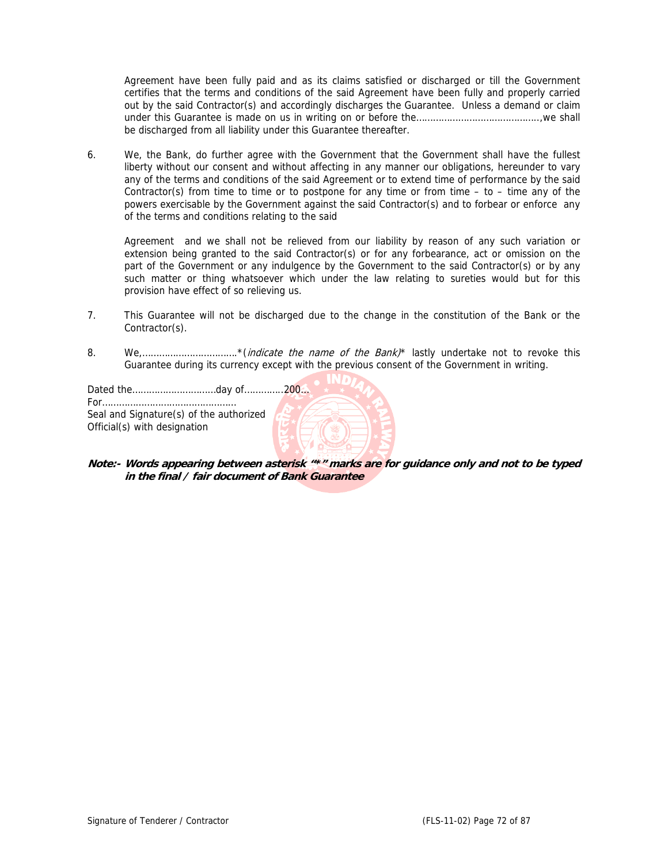Agreement have been fully paid and as its claims satisfied or discharged or till the Government certifies that the terms and conditions of the said Agreement have been fully and properly carried out by the said Contractor(s) and accordingly discharges the Guarantee. Unless a demand or claim under this Guarantee is made on us in writing on or before the……………………………………..,we shall be discharged from all liability under this Guarantee thereafter.

6. We, the Bank, do further agree with the Government that the Government shall have the fullest liberty without our consent and without affecting in any manner our obligations, hereunder to vary any of the terms and conditions of the said Agreement or to extend time of performance by the said Contractor(s) from time to time or to postpone for any time or from time  $-$  to  $-$  time any of the powers exercisable by the Government against the said Contractor(s) and to forbear or enforce any of the terms and conditions relating to the said

Agreement and we shall not be relieved from our liability by reason of any such variation or extension being granted to the said Contractor(s) or for any forbearance, act or omission on the part of the Government or any indulgence by the Government to the said Contractor(s) or by any such matter or thing whatsoever which under the law relating to sureties would but for this provision have effect of so relieving us.

- 7. This Guarantee will not be discharged due to the change in the constitution of the Bank or the Contractor(s).
- 8. We,…………………………….\*(indicate the name of the Bank)\* lastly undertake not to revoke this Guarantee during its currency except with the previous consent of the Government in writing.

| Seal and Signature(s) of the authorized<br>Official(s) with designation |  |
|-------------------------------------------------------------------------|--|
|                                                                         |  |

**Note:- Words appearing between asterisk "\*" marks are for guidance only and not to be typed in the final / fair document of Bank Guarantee**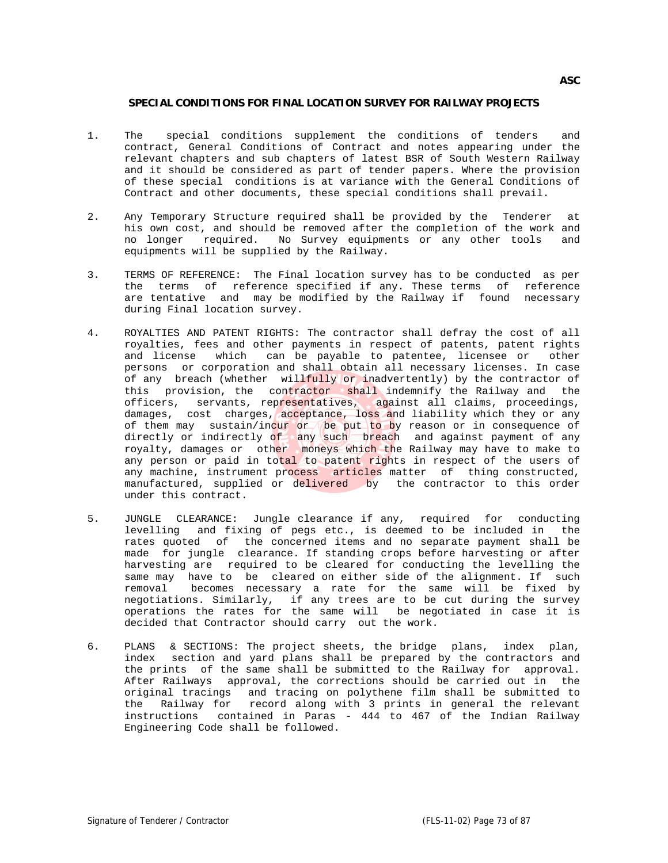## **SPECIAL CONDITIONS FOR FINAL LOCATION SURVEY FOR RAILWAY PROJECTS**

- 1. The special conditions supplement the conditions of tenders and contract, General Conditions of Contract and notes appearing under the relevant chapters and sub chapters of latest BSR of South Western Railway and it should be considered as part of tender papers. Where the provision of these special conditions is at variance with the General Conditions of Contract and other documents, these special conditions shall prevail.
- 2. Any Temporary Structure required shall be provided by the Tenderer at his own cost, and should be removed after the completion of the work and no longer required. No Survey equipments or any other tools and equipments will be supplied by the Railway.
- 3. TERMS OF REFERENCE: The Final location survey has to be conducted as per the terms of reference specified if any. These terms of reference are tentative and may be modified by the Railway if found necessary during Final location survey.
- 4. ROYALTIES AND PATENT RIGHTS: The contractor shall defray the cost of all royalties, fees and other payments in respect of patents, patent rights and license which can be payable to patentee, licensee or other persons or corporation and shall obtain all necessary licenses. In case of any breach (whether willfully or inadvertently) by the contractor of this provision, the contractor shall indemnify the Railway and the officers, servants, representatives, against all claims, proceedings, damages, cost charges, acceptance, loss and liability which they or any of them may sustain/incur or be put to by reason or in consequence of directly or indirectly of any such breach and against payment of any royalty, damages or other moneys which the Railway may have to make to any person or paid in total to patent rights in respect of the users of any machine, instrument process articles matter of thing constructed, manufactured, supplied or delivered by the contractor to this order under this contract.
- 5. JUNGLE CLEARANCE: Jungle clearance if any, required for conducting levelling and fixing of pegs etc., is deemed to be included in the rates quoted of the concerned items and no separate payment shall be made for jungle clearance. If standing crops before harvesting or after harvesting are required to be cleared for conducting the levelling the same may have to be cleared on either side of the alignment. If such removal becomes necessary a rate for the same will be fixed by negotiations. Similarly, if any trees are to be cut during the survey operations the rates for the same will be negotiated in case it is decided that Contractor should carry out the work.
- 6. PLANS & SECTIONS: The project sheets, the bridge plans, index plan, index section and yard plans shall be prepared by the contractors and the prints of the same shall be submitted to the Railway for approval. After Railways approval, the corrections should be carried out in the original tracings and tracing on polythene film shall be submitted to the Railway for record along with 3 prints in general the relevant instructions contained in Paras - 444 to 467 of the Indian Railway Engineering Code shall be followed.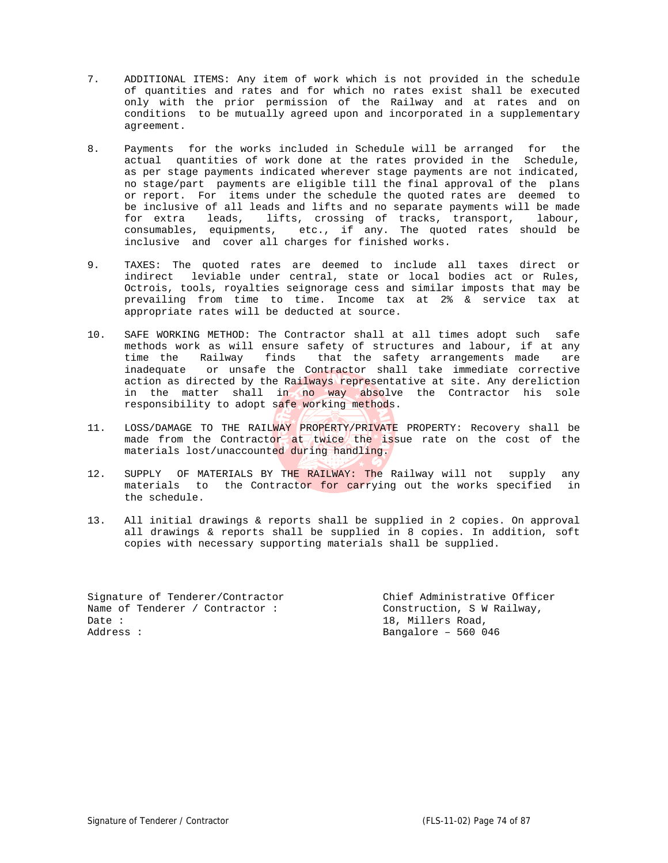- 7. ADDITIONAL ITEMS: Any item of work which is not provided in the schedule of quantities and rates and for which no rates exist shall be executed only with the prior permission of the Railway and at rates and on conditions to be mutually agreed upon and incorporated in a supplementary agreement.
- 8. Payments for the works included in Schedule will be arranged for the actual quantities of work done at the rates provided in the Schedule, as per stage payments indicated wherever stage payments are not indicated, no stage/part payments are eligible till the final approval of the plans or report. For items under the schedule the quoted rates are deemed to be inclusive of all leads and lifts and no separate payments will be made for extra leads, lifts, crossing of tracks, transport, labour, consumables, equipments, etc., if any. The quoted rates should be inclusive and cover all charges for finished works.
- 9. TAXES: The quoted rates are deemed to include all taxes direct or indirect leviable under central, state or local bodies act or Rules, Octrois, tools, royalties seignorage cess and similar imposts that may be prevailing from time to time. Income tax at 2% & service tax at appropriate rates will be deducted at source.
- 10. SAFE WORKING METHOD: The Contractor shall at all times adopt such safe methods work as will ensure safety of structures and labour, if at any time the Railway finds that the safety arrangements made are inadequate or unsafe the Contractor shall take immediate corrective action as directed by the Railways representative at site. Any dereliction in the matter shall in no way absolve the Contractor his sole responsibility to adopt safe working methods.
- 11. LOSS/DAMAGE TO THE RAILWAY PROPERTY/PRIVATE PROPERTY: Recovery shall be made from the Contractor  $at$  twice the issue rate on the cost of the materials lost/unaccounted during handling.
- 12. SUPPLY OF MATERIALS BY THE RAILWAY: The Railway will not supply any materials to the Contractor for carrying out the works specified in the schedule.
- 13. All initial drawings & reports shall be supplied in 2 copies. On approval all drawings & reports shall be supplied in 8 copies. In addition, soft copies with necessary supporting materials shall be supplied.

Signature of Tenderer/Contractor Chief Administrative Officer Name of Tenderer / Contractor: Date :<br>
2011 - Date : 18, Millers Road,<br>
2018 - Bangalore - 560

Bangalore - 560 046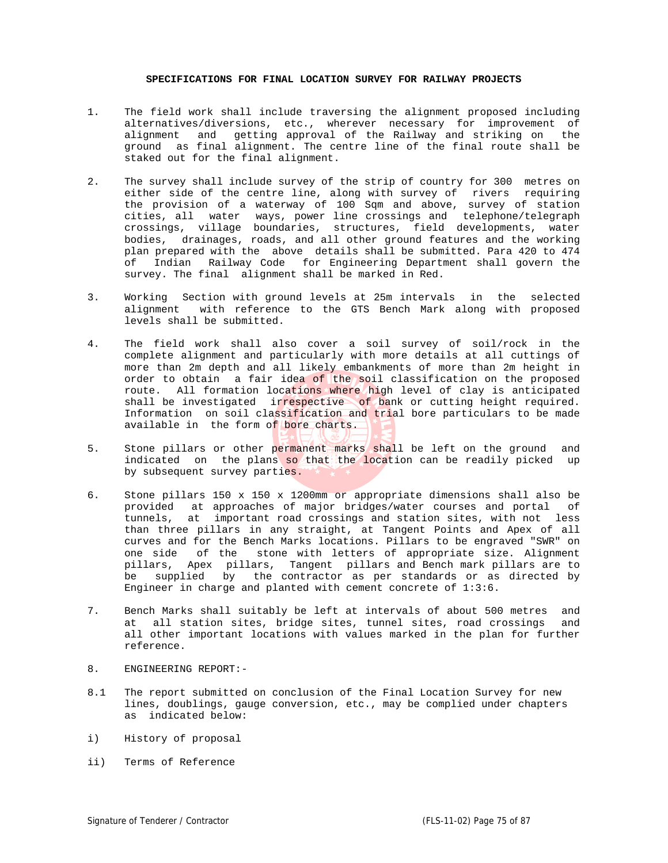## **SPECIFICATIONS FOR FINAL LOCATION SURVEY FOR RAILWAY PROJECTS**

- 1. The field work shall include traversing the alignment proposed including alternatives/diversions, etc., wherever necessary for improvement of alignment and getting approval of the Railway and striking on the ground as final alignment. The centre line of the final route shall be staked out for the final alignment.
- 2. The survey shall include survey of the strip of country for 300 metres on either side of the centre line, along with survey of rivers requiring the provision of a waterway of 100 Sqm and above, survey of station cities, all water ways, power line crossings and telephone/telegraph crossings, village boundaries, structures, field developments, water bodies, drainages, roads, and all other ground features and the working plan prepared with the above details shall be submitted. Para 420 to 474 of Indian Railway Code for Engineering Department shall govern the survey. The final alignment shall be marked in Red.
- 3. Working Section with ground levels at 25m intervals in the selected alignment with reference to the GTS Bench Mark along with proposed levels shall be submitted.
- 4. The field work shall also cover a soil survey of soil/rock in the complete alignment and particularly with more details at all cuttings of more than 2m depth and all likely embankments of more than 2m height in order to obtain a fair idea of the soil classification on the proposed route. All formation locations where high level of clay is anticipated shall be investigated irrespective of bank or cutting height required. Information on soil classification and trial bore particulars to be made available in the form of bore charts.
- 5. Stone pillars or other permanent marks shall be left on the ground and indicated on the plans so that the location can be readily picked up by subsequent survey parties.
- 6. Stone pillars 150 x 150 x 1200mm or appropriate dimensions shall also be provided at approaches of major bridges/water courses and portal of tunnels, at important road crossings and station sites, with not less than three pillars in any straight, at Tangent Points and Apex of all curves and for the Bench Marks locations. Pillars to be engraved "SWR" on one side of the stone with letters of appropriate size. Alignment pillars, Apex pillars, Tangent pillars and Bench mark pillars are to be supplied by the contractor as per standards or as directed by Engineer in charge and planted with cement concrete of 1:3:6.
- 7. Bench Marks shall suitably be left at intervals of about 500 metres and at all station sites, bridge sites, tunnel sites, road crossings and all other important locations with values marked in the plan for further reference.
- 8. ENGINEERING REPORT:-
- 8.1 The report submitted on conclusion of the Final Location Survey for new lines, doublings, gauge conversion, etc., may be complied under chapters as indicated below:
- i) History of proposal
- ii) Terms of Reference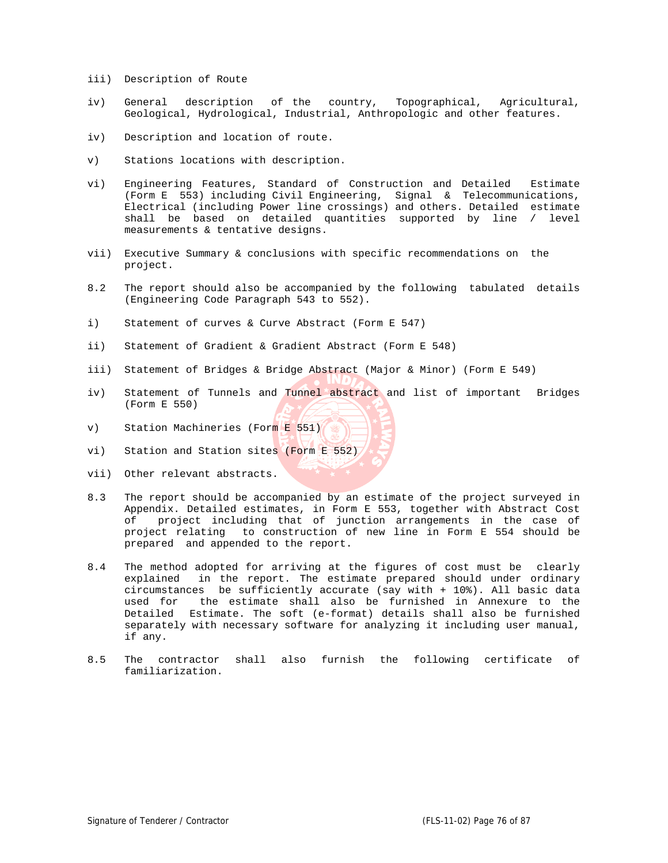- iii) Description of Route
- iv) General description of the country, Topographical, Agricultural, Geological, Hydrological, Industrial, Anthropologic and other features.
- iv) Description and location of route.
- v) Stations locations with description.
- vi) Engineering Features, Standard of Construction and Detailed Estimate (Form E 553) including Civil Engineering, Signal & Telecommunications, Electrical (including Power line crossings) and others. Detailed estimate shall be based on detailed quantities supported by line / level measurements & tentative designs.
- vii) Executive Summary & conclusions with specific recommendations on the project.
- 8.2 The report should also be accompanied by the following tabulated details (Engineering Code Paragraph 543 to 552).
- i) Statement of curves & Curve Abstract (Form E 547)
- ii) Statement of Gradient & Gradient Abstract (Form E 548)
- iii) Statement of Bridges & Bridge Abstract (Major & Minor) (Form E 549)
- iv) Statement of Tunnels and Tunnel abstract and list of important Bridges (Form E 550)
- v) Station Machineries (Form E 551)
- vi) Station and Station sites (Form E 552)
- vii) Other relevant abstracts.
- 8.3 The report should be accompanied by an estimate of the project surveyed in Appendix. Detailed estimates, in Form E 553, together with Abstract Cost of project including that of junction arrangements in the case of project relating to construction of new line in Form E 554 should be prepared and appended to the report.
- 8.4 The method adopted for arriving at the figures of cost must be clearly explained in the report. The estimate prepared should under ordinary circumstances be sufficiently accurate (say with + 10%). All basic data used for the estimate shall also be furnished in Annexure to the Detailed Estimate. The soft (e-format) details shall also be furnished separately with necessary software for analyzing it including user manual, if any.
- 8.5 The contractor shall also furnish the following certificate of familiarization.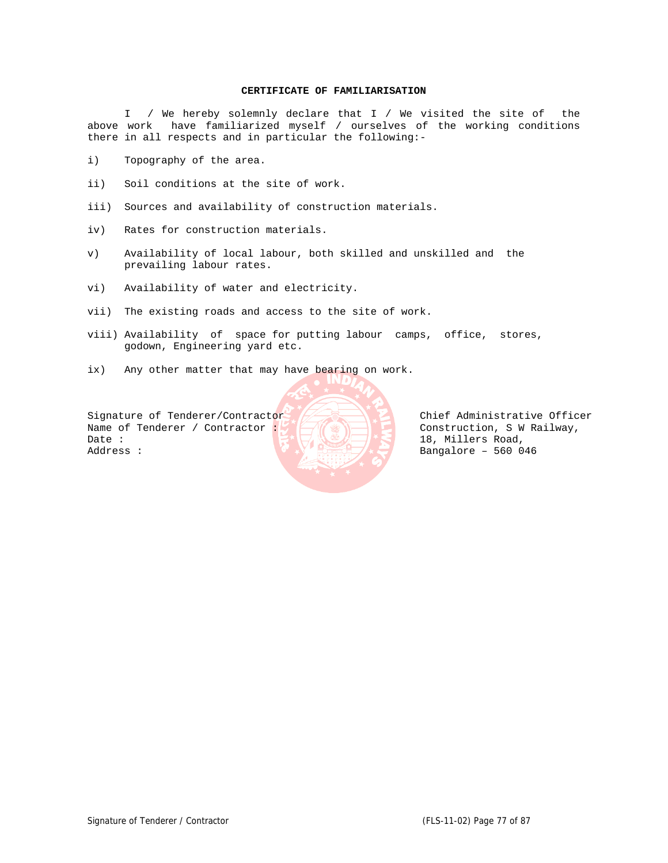## **CERTIFICATE OF FAMILIARISATION**

I / We hereby solemnly declare that I / We visited the site of the above work have familiarized myself / ourselves of the working conditions there in all respects and in particular the following:-

- i) Topography of the area.
- ii) Soil conditions at the site of work.
- iii) Sources and availability of construction materials.
- iv) Rates for construction materials.
- v) Availability of local labour, both skilled and unskilled and the prevailing labour rates.
- vi) Availability of water and electricity.
- vii) The existing roads and access to the site of work.
- viii) Availability of space for putting labour camps, office, stores, godown, Engineering yard etc.
- ix) Any other matter that may have bearing on work.

Signature of Tenderer/Contractor Chief Administrative Officer Name of Tenderer / Contractor  $\|V\|$  ( )  $\|V\|$  Construction, S W Railway, Date : 18, Millers Road, Address :  $\sqrt{2}$  Bangalore – 560 046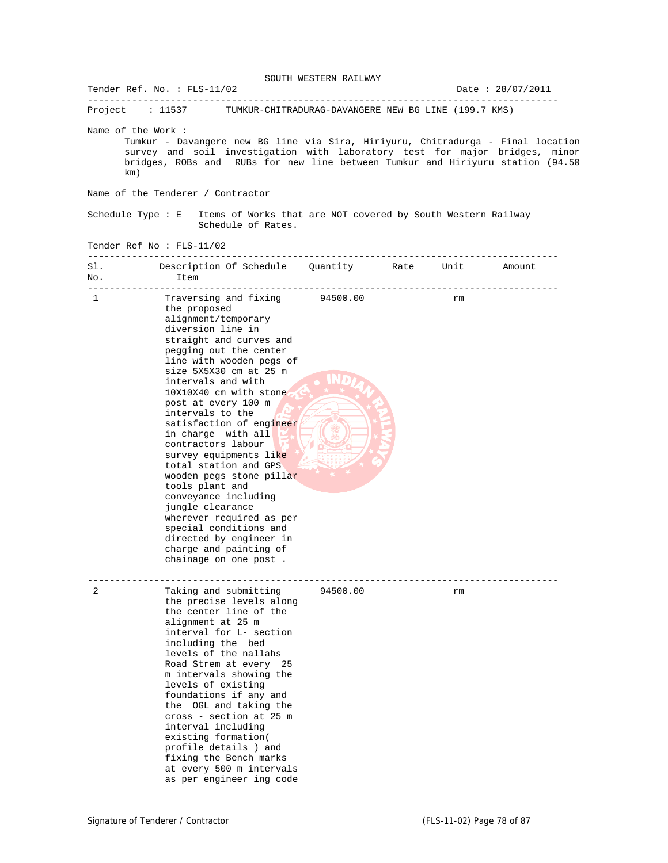|              |                                                                                                                                                                                                                                                                                                                                                                                                                                                                                                                                                                                                                                                            | SOUTH WESTERN RAILWAY                                |    |                    |
|--------------|------------------------------------------------------------------------------------------------------------------------------------------------------------------------------------------------------------------------------------------------------------------------------------------------------------------------------------------------------------------------------------------------------------------------------------------------------------------------------------------------------------------------------------------------------------------------------------------------------------------------------------------------------------|------------------------------------------------------|----|--------------------|
|              | Tender Ref. No. : $FLS-11/02$                                                                                                                                                                                                                                                                                                                                                                                                                                                                                                                                                                                                                              |                                                      |    | Date: $28/07/2011$ |
|              | Project : $11537$                                                                                                                                                                                                                                                                                                                                                                                                                                                                                                                                                                                                                                          | TUMKUR-CHITRADURAG-DAVANGERE NEW BG LINE (199.7 KMS) |    |                    |
| km)          | Name of the Work:<br>Tumkur - Davangere new BG line via Sira, Hiriyuru, Chitradurga - Final location<br>survey and soil investigation with laboratory test for major bridges, minor<br>bridges, ROBs and RUBs for new line between Tumkur and Hiriyuru station (94.50                                                                                                                                                                                                                                                                                                                                                                                      |                                                      |    |                    |
|              | Name of the Tenderer / Contractor                                                                                                                                                                                                                                                                                                                                                                                                                                                                                                                                                                                                                          |                                                      |    |                    |
|              |                                                                                                                                                                                                                                                                                                                                                                                                                                                                                                                                                                                                                                                            |                                                      |    |                    |
|              | Schedule Type : E Items of Works that are NOT covered by South Western Railway<br>Schedule of Rates.                                                                                                                                                                                                                                                                                                                                                                                                                                                                                                                                                       |                                                      |    |                    |
|              | Tender Ref No: FLS-11/02                                                                                                                                                                                                                                                                                                                                                                                                                                                                                                                                                                                                                                   |                                                      |    |                    |
| Sl.          | Description Of Schedule Quantity Rate Unit Amount                                                                                                                                                                                                                                                                                                                                                                                                                                                                                                                                                                                                          |                                                      |    |                    |
| No.          | Item                                                                                                                                                                                                                                                                                                                                                                                                                                                                                                                                                                                                                                                       |                                                      |    |                    |
| $\mathbf{1}$ | Traversing and fixing 94500.00<br>the proposed<br>alignment/temporary<br>diversion line in<br>straight and curves and<br>pegging out the center<br>line with wooden pegs of<br>size 5X5X30 cm at 25 m<br>intervals and with<br>10X10X40 cm with stone<br>post at every 100 m<br>intervals to the<br>satisfaction of engineer<br>in charge with all<br>contractors labour<br>survey equipments like<br>total station and GPS<br>wooden pegs stone pillar<br>tools plant and<br>conveyance including<br>jungle clearance<br>wherever required as per<br>special conditions and<br>directed by engineer in<br>charge and painting of<br>chainage on one post. |                                                      | rm |                    |
| 2            | Taking and submitting<br>the precise levels along<br>the center line of the<br>alignment at 25 m<br>interval for L- section<br>including the bed<br>levels of the nallahs<br>Road Strem at every 25<br>m intervals showing the<br>levels of existing<br>foundations if any and<br>the OGL and taking the<br>cross - section at 25 m<br>interval including<br>existing formation(<br>profile details ) and<br>fixing the Bench marks<br>at every 500 m intervals<br>as per engineer ing code                                                                                                                                                                | 94500.00                                             | rm |                    |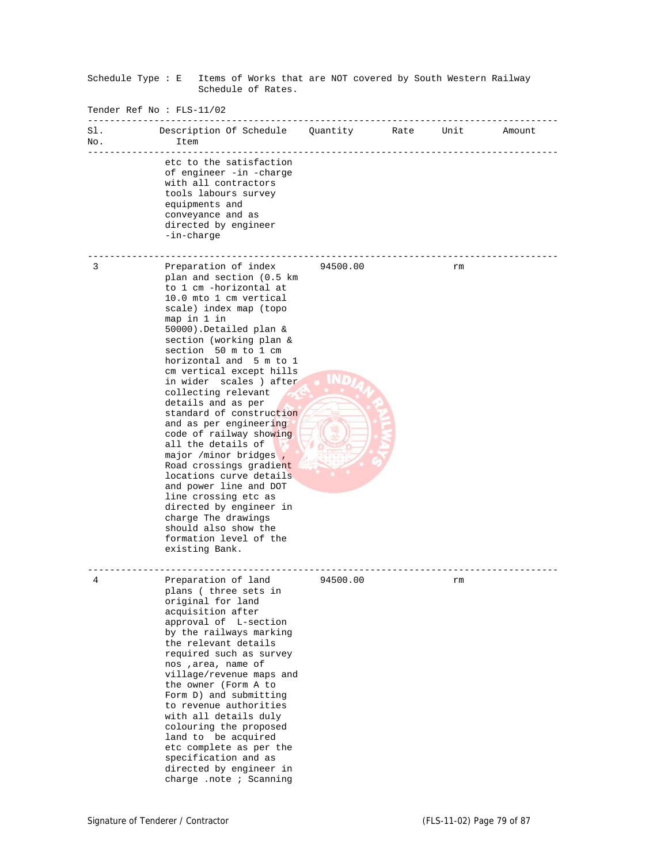| Schedule Type : E Items of Works that are NOT covered by South Western Railway<br>Schedule of Rates. |                                                                                                                                                                                                                                                                                                                                                                                                                                                                                                                                                                                                                                                                                                                          |          |  |    |  |  |
|------------------------------------------------------------------------------------------------------|--------------------------------------------------------------------------------------------------------------------------------------------------------------------------------------------------------------------------------------------------------------------------------------------------------------------------------------------------------------------------------------------------------------------------------------------------------------------------------------------------------------------------------------------------------------------------------------------------------------------------------------------------------------------------------------------------------------------------|----------|--|----|--|--|
| Tender Ref No : $FLS-11/02$<br>---------                                                             |                                                                                                                                                                                                                                                                                                                                                                                                                                                                                                                                                                                                                                                                                                                          |          |  |    |  |  |
| Sl.<br>No.                                                                                           | Description Of Schedule Quantity Rate Unit Amount<br>Item                                                                                                                                                                                                                                                                                                                                                                                                                                                                                                                                                                                                                                                                |          |  |    |  |  |
|                                                                                                      | etc to the satisfaction<br>of engineer -in -charge<br>with all contractors<br>tools labours survey<br>equipments and<br>conveyance and as<br>directed by engineer<br>-in-charge                                                                                                                                                                                                                                                                                                                                                                                                                                                                                                                                          |          |  |    |  |  |
| 3                                                                                                    | Preparation of index<br>plan and section (0.5 km)<br>to 1 cm -horizontal at<br>10.0 mto 1 cm vertical<br>scale) index map (topo<br>map in 1 in<br>50000).Detailed plan &<br>section (working plan &<br>section 50 m to 1 cm<br>horizontal and 5 m to 1<br>cm vertical except hills<br>in wider scales ) after<br>collecting relevant<br>details and as per<br>standard of construction<br>and as per engineering<br>code of railway showing<br>all the details of<br>major /minor bridges,<br>Road crossings gradient<br>locations curve details<br>and power line and DOT<br>line crossing etc as<br>directed by engineer in<br>charge The drawings<br>should also show the<br>formation level of the<br>existing Bank. | 94500.00 |  | rm |  |  |
| 4                                                                                                    | Preparation of land<br>plans ( three sets in<br>original for land<br>acquisition after<br>approval of L-section<br>by the railways marking<br>the relevant details<br>required such as survey<br>nos ,area, name of<br>village/revenue maps and<br>the owner (Form A to<br>Form D) and submitting<br>to revenue authorities<br>with all details duly<br>colouring the proposed<br>land to be acquired<br>etc complete as per the<br>specification and as<br>directed by engineer in                                                                                                                                                                                                                                      | 94500.00 |  | rm |  |  |

charge .note ; Scanning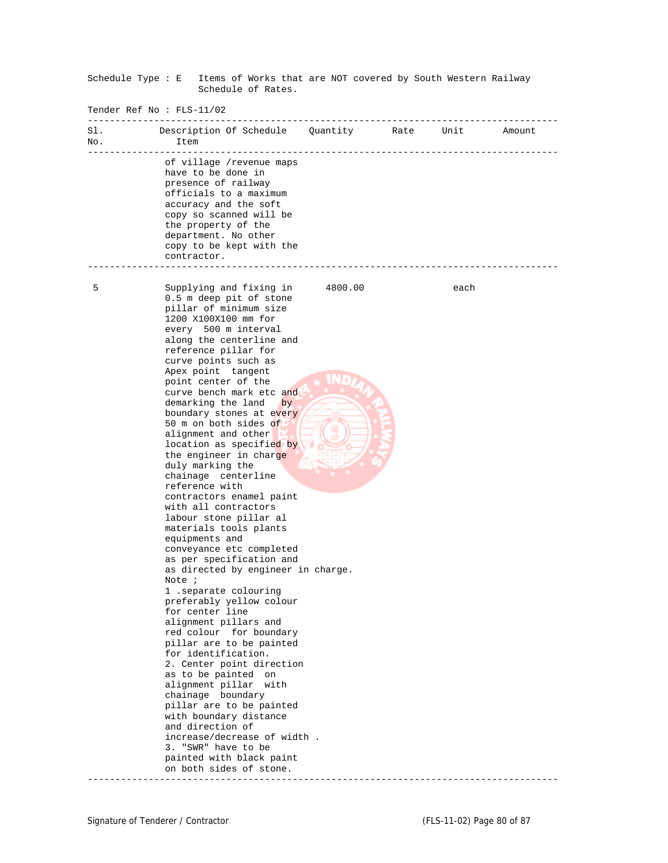Schedule Type : E Items of Works that are NOT covered by South Western Railway Schedule of Rates. Tender Ref No : FLS-11/02 ------------------------------------------------------------------------------------- Sl. Description Of Schedule Quantity Rate Unit Amount No. Item ------------------------------------------------------------------------------------ of village /revenue maps have to be done in presence of railway officials to a maximum accuracy and the soft copy so scanned will be the property of the department. No other copy to be kept with the contractor. ------------------------------------------------------------------------------------- 5 Supplying and fixing in 4800.00 each 0.5 m deep pit of stone pillar of minimum size 1200 X100X100 mm for every 500 m interval along the centerline and reference pillar for curve points such as Apex point tangent point center of the curve bench mark etc and demarking the land by boundary stones at every 50 m on both sides of alignment and other location as specified by the engineer in charge duly marking the chainage centerline reference with contractors enamel paint with all contractors labour stone pillar al materials tools plants equipments and conveyance etc completed as per specification and as directed by engineer in charge. Note ; 1 .separate colouring preferably yellow colour for center line alignment pillars and red colour for boundary pillar are to be painted for identification. 2. Center point direction as to be painted on alignment pillar with chainage boundary pillar are to be painted with boundary distance and direction of increase/decrease of width . 3. "SWR" have to be painted with black paint on both sides of stone. -------------------------------------------------------------------------------------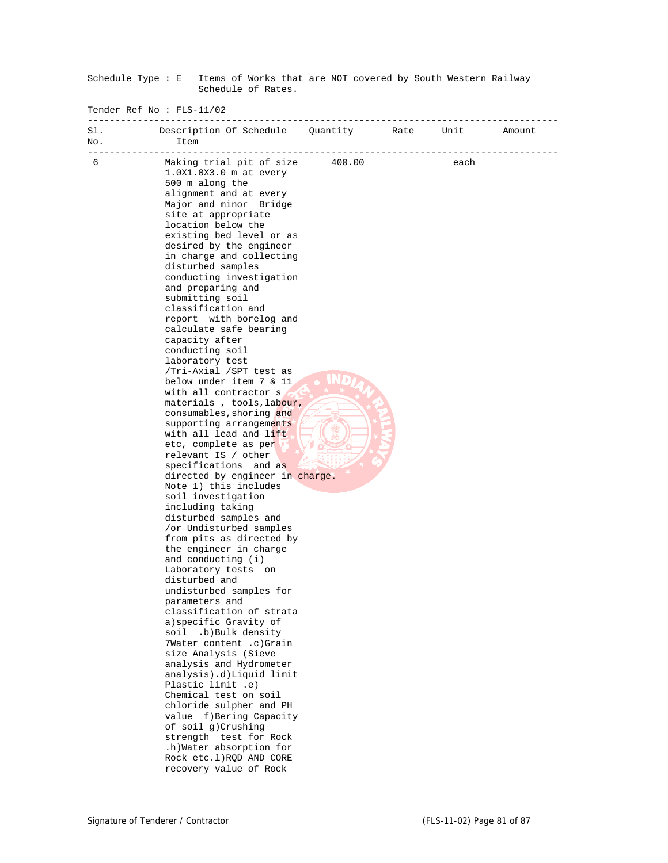Schedule Type : E Items of Works that are NOT covered by South Western Railway Schedule of Rates.

Tender Ref No : FLS-11/02

| Sl.<br>No. | Description Of Schedule Quantity Rate Unit Amount<br>Item                                                                                                                                                                                                                                                                                                                                                                                                                                                                                                                                                                                                                                                                                                                                                                                                                                                                                                                                                                                                                                                                                                                                                                                                                                                                        |        |      |  |
|------------|----------------------------------------------------------------------------------------------------------------------------------------------------------------------------------------------------------------------------------------------------------------------------------------------------------------------------------------------------------------------------------------------------------------------------------------------------------------------------------------------------------------------------------------------------------------------------------------------------------------------------------------------------------------------------------------------------------------------------------------------------------------------------------------------------------------------------------------------------------------------------------------------------------------------------------------------------------------------------------------------------------------------------------------------------------------------------------------------------------------------------------------------------------------------------------------------------------------------------------------------------------------------------------------------------------------------------------|--------|------|--|
| 6          | Making trial pit of size<br>$1.0X1.0X3.0$ m at every<br>500 m along the<br>alignment and at every<br>Major and minor Bridge<br>site at appropriate<br>location below the<br>existing bed level or as<br>desired by the engineer<br>in charge and collecting<br>disturbed samples<br>conducting investigation<br>and preparing and<br>submitting soil<br>classification and<br>report with borelog and<br>calculate safe bearing<br>capacity after<br>conducting soil<br>laboratory test<br>/Tri-Axial /SPT test as<br>below under item 7 & 11<br>with all contractor s<br>materials, tools, labour,<br>consumables, shoring and<br>supporting arrangements<br>with all lead and lift<br>etc, complete as per<br>relevant IS / other<br>specifications and as<br>directed by engineer in charge.<br>Note 1) this includes<br>soil investigation<br>including taking<br>disturbed samples and<br>/or Undisturbed samples<br>from pits as directed by<br>the engineer in charge<br>and conducting (i)<br>Laboratory tests on<br>disturbed and<br>undisturbed samples for<br>parameters and<br>classification of strata<br>a) specific Gravity of<br>soil<br>.b)Bulk density<br>7Water content .c)Grain<br>size Analysis (Sieve<br>analysis and Hydrometer<br>analysis).d)Liquid limit<br>Plastic limit .e)<br>Chemical test on soil | 400.00 | each |  |
|            | chloride sulpher and PH<br>value f) Bering Capacity<br>of soil g)Crushing<br>strength test for Rock                                                                                                                                                                                                                                                                                                                                                                                                                                                                                                                                                                                                                                                                                                                                                                                                                                                                                                                                                                                                                                                                                                                                                                                                                              |        |      |  |
|            | .h) Water absorption for<br>Rock etc.1) RQD AND CORE<br>recovery value of Rock                                                                                                                                                                                                                                                                                                                                                                                                                                                                                                                                                                                                                                                                                                                                                                                                                                                                                                                                                                                                                                                                                                                                                                                                                                                   |        |      |  |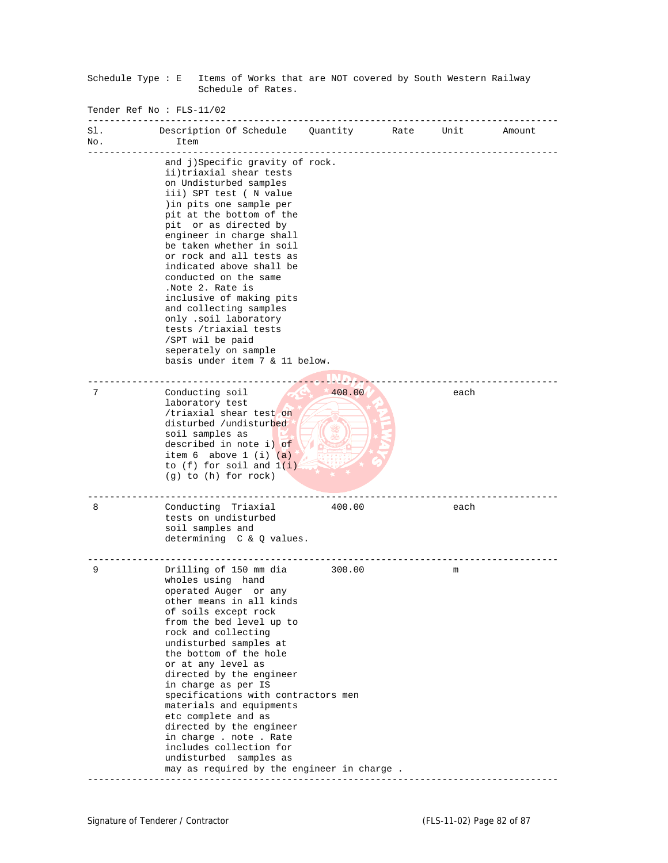Schedule Type : E Items of Works that are NOT covered by South Western Railway Schedule of Rates. Tender Ref No : FLS-11/02 ------------------------------------------------------------------------------------- Sl. Description Of Schedule Quantity Rate Unit Amount No. Item ------------------------------------------------------------------------------------ and j)Specific gravity of rock. ii)triaxial shear tests on Undisturbed samples iii) SPT test ( N value )in pits one sample per pit at the bottom of the pit or as directed by engineer in charge shall be taken whether in soil or rock and all tests as indicated above shall be conducted on the same .Note 2. Rate is inclusive of making pits and collecting samples only .soil laboratory tests /triaxial tests /SPT wil be paid seperately on sample basis under item 7 & 11 below. ------------------------------------------------------------------------------------- 7 Conducting soil 400.00<sup>1</sup> each laboratory test /triaxial shear test on disturbed /undisturbed soil samples as described in note i) of  $\nabla$  a item 6 above 1 (i)  $(a)$ to  $(f)$  for soil and  $1(i)$  (g) to (h) for rock) ------------------------------------------------------------------------------------- 8 Conducting Triaxial 400.00 each tests on undisturbed soil samples and determining C & Q values. ------------------------------------------------------------------------------------- Drilling of 150 mm dia 300.00 m wholes using hand operated Auger or any other means in all kinds of soils except rock from the bed level up to rock and collecting undisturbed samples at the bottom of the hole or at any level as directed by the engineer in charge as per IS specifications with contractors men materials and equipments etc complete and as directed by the engineer in charge . note . Rate includes collection for undisturbed samples as may as required by the engineer in charge . -------------------------------------------------------------------------------------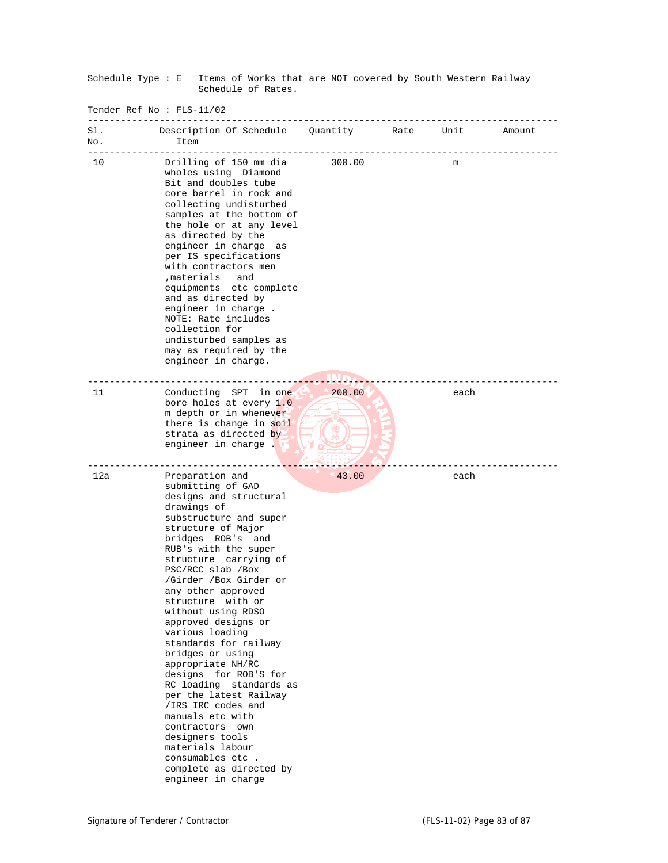Schedule Type : E Items of Works that are NOT covered by South Western Railway Schedule of Rates.

Tender Ref No : FLS-11/02

| Sl.<br>No. | Description Of Schedule Quantity<br>Item                                                                                                                                                                                                                                                                                                                                                                                                                                                                                                                                                                                                                                               |        | Rate | Unit | Amount |
|------------|----------------------------------------------------------------------------------------------------------------------------------------------------------------------------------------------------------------------------------------------------------------------------------------------------------------------------------------------------------------------------------------------------------------------------------------------------------------------------------------------------------------------------------------------------------------------------------------------------------------------------------------------------------------------------------------|--------|------|------|--------|
| 10         | Drilling of 150 mm dia<br>wholes using Diamond<br>Bit and doubles tube<br>core barrel in rock and<br>collecting undisturbed<br>samples at the bottom of<br>the hole or at any level<br>as directed by the<br>engineer in charge as<br>per IS specifications<br>with contractors men<br>, materials<br>and<br>equipments etc complete<br>and as directed by<br>engineer in charge.<br>NOTE: Rate includes<br>collection for<br>undisturbed samples as<br>may as required by the<br>engineer in charge.                                                                                                                                                                                  | 300.00 |      | m    |        |
| 11         | Conducting SPT<br>in one<br>bore holes at every 1.0<br>m depth or in whenever<br>there is change in soil<br>strata as directed by<br>engineer in charge.                                                                                                                                                                                                                                                                                                                                                                                                                                                                                                                               | 200.00 |      | each |        |
| 12a        | Preparation and<br>submitting of GAD<br>designs and structural<br>drawings of<br>substructure and super<br>structure of Major<br>bridges ROB's and<br>RUB's with the super<br>structure carrying of<br>PSC/RCC slab /Box<br>/Girder /Box Girder or<br>any other approved<br>structure with or<br>without using RDSO<br>approved designs or<br>various loading<br>standards for railway<br>bridges or using<br>appropriate NH/RC<br>designs for ROB'S for<br>RC loading standards as<br>per the latest Railway<br>/IRS IRC codes and<br>manuals etc with<br>contractors own<br>designers tools<br>materials labour<br>consumables etc.<br>complete as directed by<br>engineer in charge | 43.00  |      | each |        |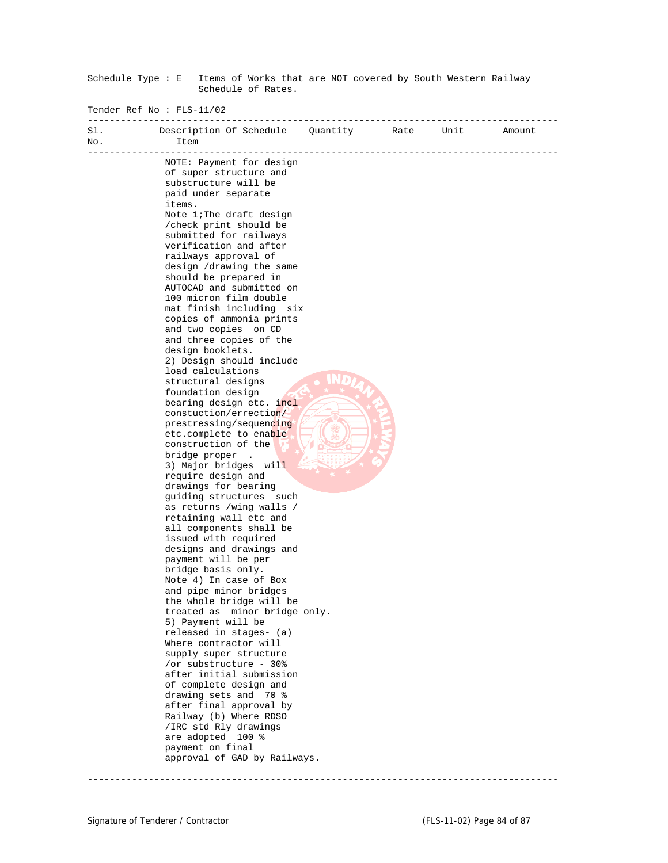| Schedule Type : E Items of Works that are NOT covered by South Western Railway<br>Schedule of Rates. |                                                                                                                                                                                                                                                                                                                                                                                                                                                                                                                                                                                                                                                                                                                                                                                                                                                                                                                                                                                                                                                                                                                                                                                                                                                                                                                                                                                                                                                                                                                  |  |  |  |        |  |  |
|------------------------------------------------------------------------------------------------------|------------------------------------------------------------------------------------------------------------------------------------------------------------------------------------------------------------------------------------------------------------------------------------------------------------------------------------------------------------------------------------------------------------------------------------------------------------------------------------------------------------------------------------------------------------------------------------------------------------------------------------------------------------------------------------------------------------------------------------------------------------------------------------------------------------------------------------------------------------------------------------------------------------------------------------------------------------------------------------------------------------------------------------------------------------------------------------------------------------------------------------------------------------------------------------------------------------------------------------------------------------------------------------------------------------------------------------------------------------------------------------------------------------------------------------------------------------------------------------------------------------------|--|--|--|--------|--|--|
| Tender Ref No: FLS-11/02<br>_____________________                                                    |                                                                                                                                                                                                                                                                                                                                                                                                                                                                                                                                                                                                                                                                                                                                                                                                                                                                                                                                                                                                                                                                                                                                                                                                                                                                                                                                                                                                                                                                                                                  |  |  |  |        |  |  |
| Sl.<br>No.                                                                                           | Description Of Schedule Quantity Rate Unit<br>Item                                                                                                                                                                                                                                                                                                                                                                                                                                                                                                                                                                                                                                                                                                                                                                                                                                                                                                                                                                                                                                                                                                                                                                                                                                                                                                                                                                                                                                                               |  |  |  | Amount |  |  |
|                                                                                                      | NOTE: Payment for design<br>of super structure and<br>substructure will be<br>paid under separate<br>items.<br>Note 1; The draft design<br>/check print should be<br>submitted for railways<br>verification and after<br>railways approval of<br>design /drawing the same<br>should be prepared in<br>AUTOCAD and submitted on<br>100 micron film double<br>mat finish including six<br>copies of ammonia prints<br>and two copies on CD<br>and three copies of the<br>design booklets.<br>2) Design should include<br>load calculations<br>structural designs<br>foundation design<br>bearing design etc. incl<br>constuction/errection/<br>prestressing/sequencing<br>etc.complete to enable<br>construction of the<br>bridge proper.<br>3) Major bridges will<br>require design and<br>drawings for bearing<br>quiding structures such<br>as returns /wing walls /<br>retaining wall etc and<br>all components shall be<br>issued with required<br>designs and drawings and<br>payment will be per<br>bridge basis only.<br>Note 4) In case of Box<br>and pipe minor bridges<br>the whole bridge will be<br>treated as minor bridge only.<br>5) Payment will be<br>released in stages- (a)<br>Where contractor will<br>supply super structure<br>/or substructure - 30%<br>after initial submission<br>of complete design and<br>drawing sets and 70 %<br>after final approval by<br>Railway (b) Where RDSO<br>/IRC std Rly drawings<br>are adopted 100 %<br>payment on final<br>approval of GAD by Railways. |  |  |  |        |  |  |
|                                                                                                      |                                                                                                                                                                                                                                                                                                                                                                                                                                                                                                                                                                                                                                                                                                                                                                                                                                                                                                                                                                                                                                                                                                                                                                                                                                                                                                                                                                                                                                                                                                                  |  |  |  |        |  |  |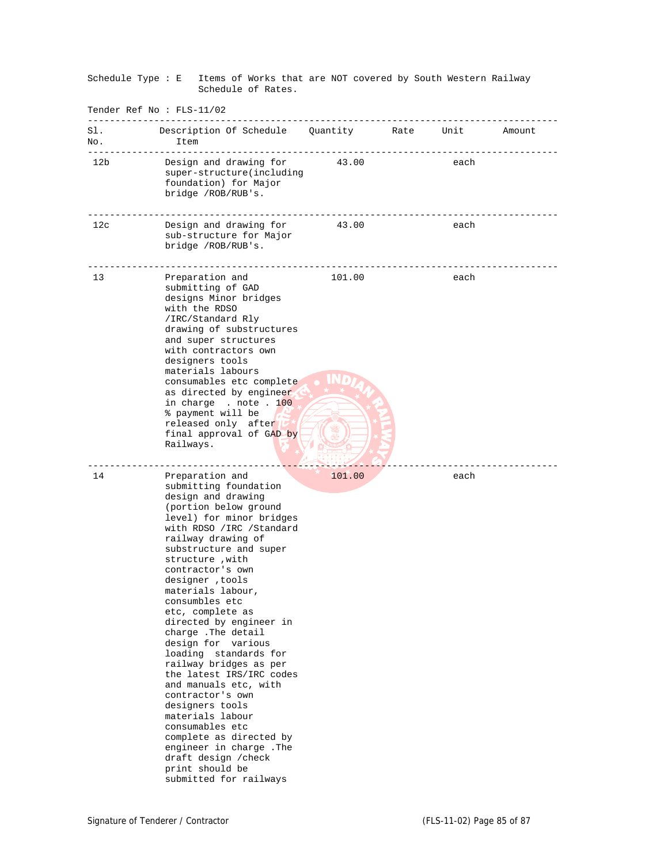Schedule Type : E Items of Works that are NOT covered by South Western Railway Schedule of Rates. Tender Ref No : FLS-11/02 ------------------------------------------------------------------------------------- Sl. Description Of Schedule Quantity Rate Unit Amount No. Item ------------------------------------------------------------------------------------- 12b Design and drawing for 43.00 each super-structure(including foundation) for Major bridge /ROB/RUB's. ------------------------------------------------------------------------------------- 12c Design and drawing for 43.00 each sub-structure for Major bridge /ROB/RUB's. ------------------------------------------------------------------------------------- 13 Preparation and 101.00 each submitting of GAD designs Minor bridges with the RDSO /IRC/Standard Rly drawing of substructures and super structures with contractors own designers tools materials labours consumables etc complete as directed by engineer in charge . note . 100 % payment will be released only after **U**  final approval of GAD by Railways. ------------------------------------------------------------------------------------- 14 Preparation and 101.00 each submitting foundation design and drawing (portion below ground level) for minor bridges with RDSO /IRC /Standard railway drawing of substructure and super structure ,with contractor's own designer ,tools materials labour, consumbles etc etc, complete as directed by engineer in charge .The detail design for various loading standards for railway bridges as per the latest IRS/IRC codes and manuals etc, with contractor's own designers tools materials labour consumables etc complete as directed by engineer in charge .The draft design /check print should be submitted for railways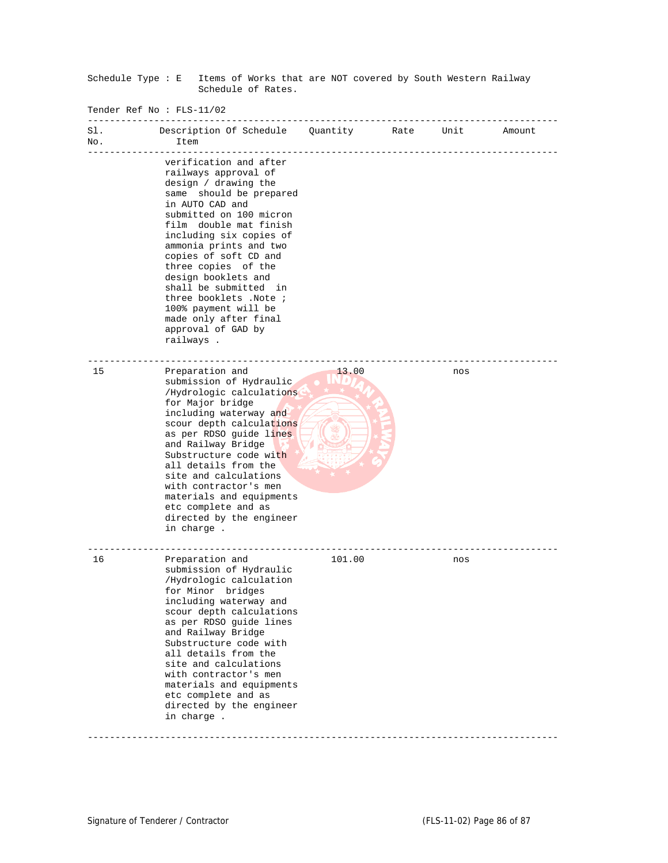Schedule Type : E Items of Works that are NOT covered by South Western Railway Schedule of Rates. Tender Ref No : FLS-11/02 ------------------------------------------------------------------------------------- Sl. Description Of Schedule Quantity Rate Unit Amount No. Item ------------------------------------------------------------------------------------ verification and after railways approval of design / drawing the same should be prepared in AUTO CAD and submitted on 100 micron film double mat finish including six copies of ammonia prints and two copies of soft CD and three copies of the design booklets and shall be submitted in three booklets .Note ; 100% payment will be made only after final approval of GAD by railways . ------------------------------------------------------------------------------------- Preparation and 13.00 nos submission of Hydraulic /Hydrologic calculations for Major bridge including waterway and scour depth calculations as per RDSO guide lines and Railway Bridge Substructure code with all details from the site and calculations with contractor's men materials and equipments etc complete and as directed by the engineer in charge . ------------------------------------------------------------------------------------- 16 Preparation and 101.00 nos submission of Hydraulic /Hydrologic calculation for Minor bridges including waterway and scour depth calculations as per RDSO guide lines and Railway Bridge Substructure code with all details from the site and calculations with contractor's men materials and equipments etc complete and as directed by the engineer in charge . -------------------------------------------------------------------------------------